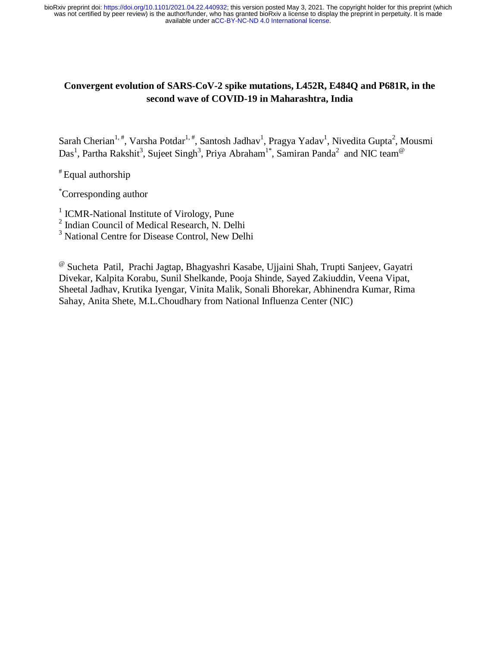# **Convergent evolution of SARS-CoV-2 spike mutations, L452R, E484Q and P681R, in the second wave of COVID-19 in Maharashtra, India**

Sarah Cherian<sup>1,#</sup>, Varsha Potdar<sup>1,#</sup>, Santosh Jadhav<sup>1</sup>, Pragya Yadav<sup>1</sup>, Nivedita Gupta<sup>2</sup>, Mousmi Das<sup>1</sup>, Partha Rakshit<sup>3</sup>, Sujeet Singh<sup>3</sup>, Priya Abraham<sup>1\*</sup>, Samiran Panda<sup>2</sup> and NIC team<sup>@</sup>

# Equal authorship

\* Corresponding author

<sup>1</sup> ICMR-National Institute of Virology, Pune

2 Indian Council of Medical Research, N. Delhi

<sup>3</sup> National Centre for Disease Control, New Delhi

@ Sucheta Patil, Prachi Jagtap, Bhagyashri Kasabe, Ujjaini Shah, Trupti Sanjeev, Gayatri Divekar, Kalpita Korabu, Sunil Shelkande, Pooja Shinde, Sayed Zakiuddin, Veena Vipat, Sheetal Jadhav, Krutika Iyengar, Vinita Malik, Sonali Bhorekar, Abhinendra Kumar, Rima Sahay, Anita Shete, M.L.Choudhary from National Influenza Center (NIC)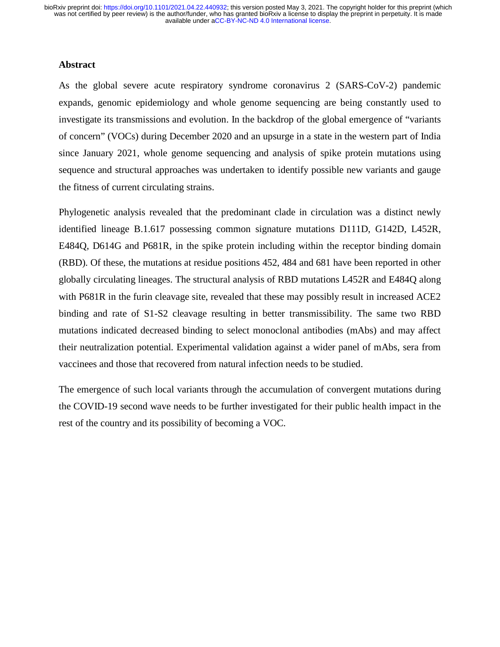#### **Abstract**

As the global severe acute respiratory syndrome coronavirus 2 (SARS-CoV-2) pandemic expands, genomic epidemiology and whole genome sequencing are being constantly used to investigate its transmissions and evolution. In the backdrop of the global emergence of "variants of concern" (VOCs) during December 2020 and an upsurge in a state in the western part of India since January 2021, whole genome sequencing and analysis of spike protein mutations using sequence and structural approaches was undertaken to identify possible new variants and gauge the fitness of current circulating strains.

Phylogenetic analysis revealed that the predominant clade in circulation was a distinct newly identified lineage B.1.617 possessing common signature mutations D111D, G142D, L452R, E484Q, D614G and P681R, in the spike protein including within the receptor binding domain (RBD). Of these, the mutations at residue positions 452, 484 and 681 have been reported in other globally circulating lineages. The structural analysis of RBD mutations L452R and E484Q along with P681R in the furin cleavage site, revealed that these may possibly result in increased ACE2 binding and rate of S1-S2 cleavage resulting in better transmissibility. The same two RBD mutations indicated decreased binding to select monoclonal antibodies (mAbs) and may affect their neutralization potential. Experimental validation against a wider panel of mAbs, sera from vaccinees and those that recovered from natural infection needs to be studied.

The emergence of such local variants through the accumulation of convergent mutations during the COVID-19 second wave needs to be further investigated for their public health impact in the rest of the country and its possibility of becoming a VOC.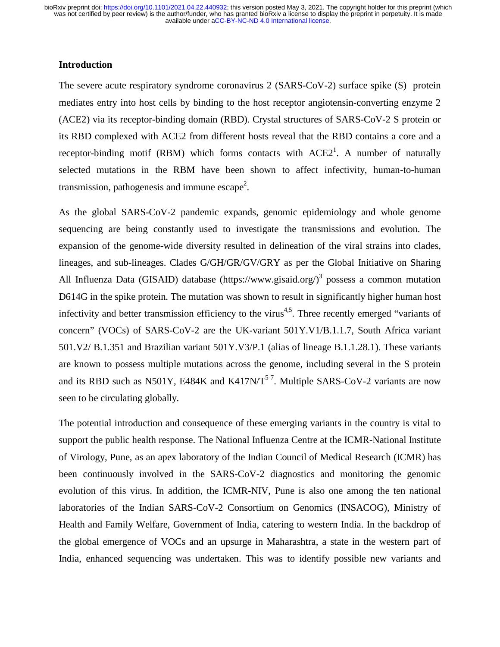#### **Introduction**

The severe acute respiratory syndrome coronavirus 2 (SARS-CoV-2) surface spike (S) protein mediates entry into host cells by binding to the host receptor angiotensin-converting enzyme 2 (ACE2) via its receptor-binding domain (RBD). Crystal structures of SARS-CoV-2 S protein or its RBD complexed with ACE2 from different hosts reveal that the RBD contains a core and a receptor-binding motif (RBM) which forms contacts with  $ACE2<sup>1</sup>$ . A number of naturally selected mutations in the RBM have been shown to affect infectivity, human-to-human transmission, pathogenesis and immune escape<sup>2</sup>.

As the global SARS-CoV-2 pandemic expands, genomic epidemiology and whole genome sequencing are being constantly used to investigate the transmissions and evolution. The expansion of the genome-wide diversity resulted in delineation of the viral strains into clades, lineages, and sub-lineages. Clades G/GH/GR/GV/GRY as per the Global Initiative on Sharing All Influenza Data (GISAID) database (https://www.gisaid.org/)<sup>3</sup> possess a common mutation D614G in the spike protein. The mutation was shown to result in significantly higher human host infectivity and better transmission efficiency to the virus<sup>4,5</sup>. Three recently emerged "variants of concern" (VOCs) of SARS-CoV-2 are the UK-variant 501Y.V1/B.1.1.7, South Africa variant 501.V2/ B.1.351 and Brazilian variant 501Y.V3/P.1 (alias of lineage B.1.1.28.1). These variants are known to possess multiple mutations across the genome, including several in the S protein and its RBD such as N501Y, E484K and K417N/T<sup>5-7</sup>. Multiple SARS-CoV-2 variants are now seen to be circulating globally.

The potential introduction and consequence of these emerging variants in the country is vital to support the public health response. The National Influenza Centre at the ICMR-National Institute of Virology, Pune, as an apex laboratory of the Indian Council of Medical Research (ICMR) has been continuously involved in the SARS-CoV-2 diagnostics and monitoring the genomic evolution of this virus. In addition, the ICMR-NIV, Pune is also one among the ten national laboratories of the Indian SARS-CoV-2 Consortium on Genomics (INSACOG), Ministry of Health and Family Welfare, Government of India, catering to western India. In the backdrop of the global emergence of VOCs and an upsurge in Maharashtra, a state in the western part of India, enhanced sequencing was undertaken. This was to identify possible new variants and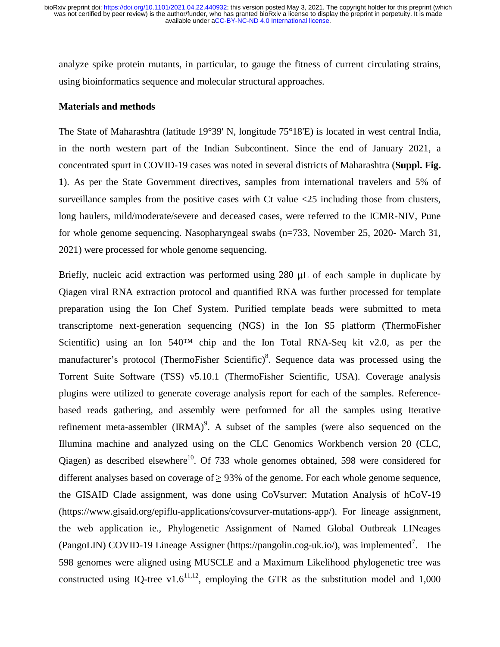analyze spike protein mutants, in particular, to gauge the fitness of current circulating strains, using bioinformatics sequence and molecular structural approaches.

#### **Materials and methods**

The State of Maharashtra (latitude 19°39' N, longitude 75°18'E) is located in west central India, in the north western part of the Indian Subcontinent. Since the end of January 2021, a concentrated spurt in COVID-19 cases was noted in several districts of Maharashtra (**Suppl. Fig. 1**). As per the State Government directives, samples from international travelers and 5% of surveillance samples from the positive cases with Ct value  $\leq 25$  including those from clusters, long haulers, mild/moderate/severe and deceased cases, were referred to the ICMR-NIV, Pune for whole genome sequencing. Nasopharyngeal swabs (n=733, November 25, 2020- March 31, 2021) were processed for whole genome sequencing.

Briefly, nucleic acid extraction was performed using 280 μL of each sample in duplicate by Qiagen viral RNA extraction protocol and quantified RNA was further processed for template preparation using the Ion Chef System. Purified template beads were submitted to meta transcriptome next-generation sequencing (NGS) in the Ion S5 platform (ThermoFisher Scientific) using an Ion 540<sup>™</sup> chip and the Ion Total RNA-Seq kit v2.0, as per the manufacturer's protocol (ThermoFisher Scientific)<sup>8</sup>. Sequence data was processed using the Torrent Suite Software (TSS) v5.10.1 (ThermoFisher Scientific, USA). Coverage analysis plugins were utilized to generate coverage analysis report for each of the samples. Referencebased reads gathering, and assembly were performed for all the samples using Iterative refinement meta-assembler  $(IRMA)^9$ . A subset of the samples (were also sequenced on the Illumina machine and analyzed using on the CLC Genomics Workbench version 20 (CLC, Qiagen) as described elsewhere<sup>10</sup>. Of 733 whole genomes obtained, 598 were considered for different analyses based on coverage of  $\geq$  93% of the genome. For each whole genome sequence, the GISAID Clade assignment, was done using CoVsurver: Mutation Analysis of hCoV-19 (https://www.gisaid.org/epiflu-applications/covsurver-mutations-app/). For lineage assignment, the web application ie., Phylogenetic Assignment of Named Global Outbreak LINeages (PangoLIN) COVID-19 Lineage Assigner (https://pangolin.cog-uk.io/), was implemented<sup>7</sup>. The 598 genomes were aligned using MUSCLE and a Maximum Likelihood phylogenetic tree was constructed using IQ-tree v1.6<sup>11,12</sup>, employing the GTR as the substitution model and 1,000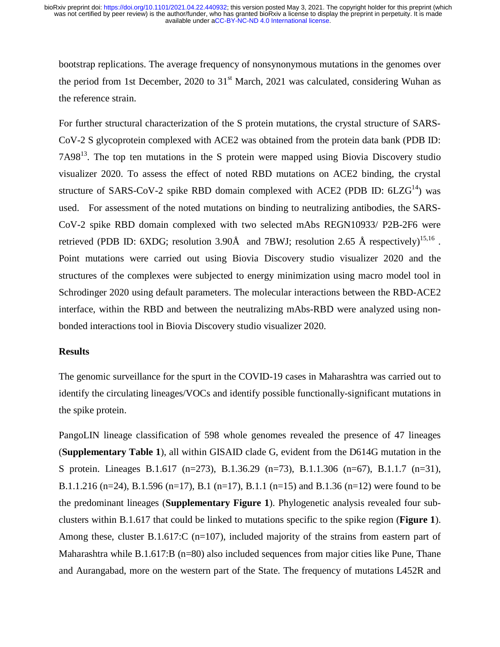bootstrap replications. The average frequency of nonsynonymous mutations in the genomes over the period from 1st December, 2020 to  $31<sup>st</sup>$  March, 2021 was calculated, considering Wuhan as the reference strain.

For further structural characterization of the S protein mutations, the crystal structure of SARS-CoV-2 S glycoprotein complexed with ACE2 was obtained from the protein data bank (PDB ID:  $7A98<sup>13</sup>$ . The top ten mutations in the S protein were mapped using Biovia Discovery studio visualizer 2020. To assess the effect of noted RBD mutations on ACE2 binding, the crystal structure of SARS-CoV-2 spike RBD domain complexed with ACE2 (PDB ID:  $6LZG<sup>14</sup>$ ) was used. For assessment of the noted mutations on binding to neutralizing antibodies, the SARS-CoV-2 spike RBD domain complexed with two selected mAbs REGN10933/ P2B-2F6 were retrieved (PDB ID: 6XDG; resolution 3.90 $\AA$  and 7BWJ; resolution 2.65  $\AA$  respectively)<sup>15,16</sup>. Point mutations were carried out using Biovia Discovery studio visualizer 2020 and the structures of the complexes were subjected to energy minimization using macro model tool in Schrodinger 2020 using default parameters. The molecular interactions between the RBD-ACE2 interface, within the RBD and between the neutralizing mAbs-RBD were analyzed using nonbonded interactions tool in Biovia Discovery studio visualizer 2020.

#### **Results**

The genomic surveillance for the spurt in the COVID-19 cases in Maharashtra was carried out to identify the circulating lineages/VOCs and identify possible functionally-significant mutations in the spike protein.

PangoLIN lineage classification of 598 whole genomes revealed the presence of 47 lineages (**Supplementary Table 1**), all within GISAID clade G, evident from the D614G mutation in the S protein. Lineages B.1.617 (n=273), B.1.36.29 (n=73), B.1.1.306 (n=67), B.1.1.7 (n=31), B.1.1.216 (n=24), B.1.596 (n=17), B.1 (n=17), B.1.1 (n=15) and B.1.36 (n=12) were found to be the predominant lineages (**Supplementary Figure 1**). Phylogenetic analysis revealed four subclusters within B.1.617 that could be linked to mutations specific to the spike region (**Figure 1**). Among these, cluster B.1.617:C (n=107), included majority of the strains from eastern part of Maharashtra while B.1.617:B (n=80) also included sequences from major cities like Pune, Thane and Aurangabad, more on the western part of the State. The frequency of mutations L452R and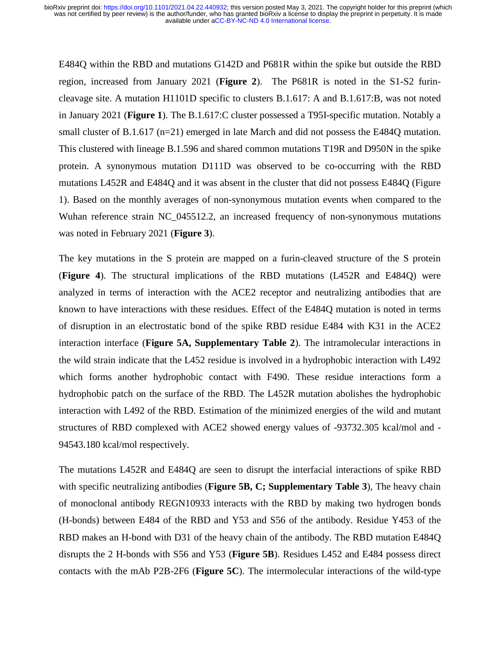E484Q within the RBD and mutations G142D and P681R within the spike but outside the RBD region, increased from January 2021 (**Figure 2**). The P681R is noted in the S1-S2 furincleavage site. A mutation H1101D specific to clusters B.1.617: A and B.1.617:B, was not noted in January 2021 (**Figure 1**). The B.1.617:C cluster possessed a T95I-specific mutation. Notably a small cluster of B.1.617 (n=21) emerged in late March and did not possess the E484Q mutation. This clustered with lineage B.1.596 and shared common mutations T19R and D950N in the spike protein. A synonymous mutation D111D was observed to be co-occurring with the RBD mutations L452R and E484Q and it was absent in the cluster that did not possess E484Q (Figure 1). Based on the monthly averages of non-synonymous mutation events when compared to the Wuhan reference strain NC\_045512.2, an increased frequency of non-synonymous mutations was noted in February 2021 (**Figure 3**).

The key mutations in the S protein are mapped on a furin-cleaved structure of the S protein (**Figure 4**). The structural implications of the RBD mutations (L452R and E484Q) were analyzed in terms of interaction with the ACE2 receptor and neutralizing antibodies that are known to have interactions with these residues. Effect of the E484Q mutation is noted in terms of disruption in an electrostatic bond of the spike RBD residue E484 with K31 in the ACE2 interaction interface (**Figure 5A, Supplementary Table 2**). The intramolecular interactions in the wild strain indicate that the L452 residue is involved in a hydrophobic interaction with L492 which forms another hydrophobic contact with F490. These residue interactions form a hydrophobic patch on the surface of the RBD. The L452R mutation abolishes the hydrophobic interaction with L492 of the RBD. Estimation of the minimized energies of the wild and mutant structures of RBD complexed with ACE2 showed energy values of -93732.305 kcal/mol and - 94543.180 kcal/mol respectively.

The mutations L452R and E484Q are seen to disrupt the interfacial interactions of spike RBD with specific neutralizing antibodies (**Figure 5B, C; Supplementary Table 3**), The heavy chain of monoclonal antibody REGN10933 interacts with the RBD by making two hydrogen bonds (H-bonds) between E484 of the RBD and Y53 and S56 of the antibody. Residue Y453 of the RBD makes an H-bond with D31 of the heavy chain of the antibody. The RBD mutation E484Q disrupts the 2 H-bonds with S56 and Y53 (**Figure 5B**). Residues L452 and E484 possess direct contacts with the mAb P2B-2F6 (**Figure 5C**). The intermolecular interactions of the wild-type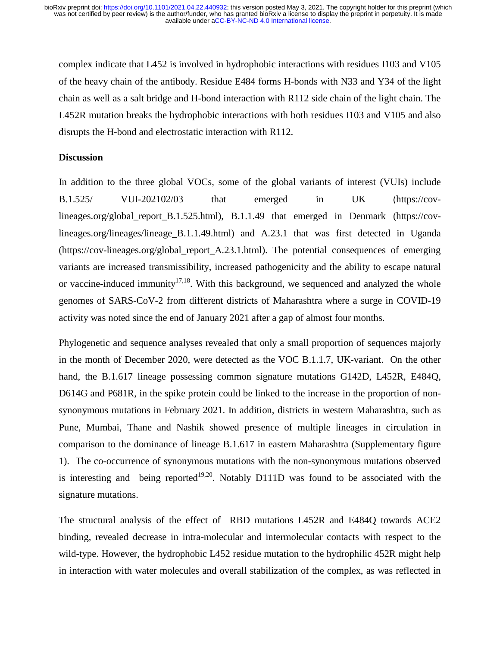complex indicate that L452 is involved in hydrophobic interactions with residues I103 and V105 of the heavy chain of the antibody. Residue E484 forms H-bonds with N33 and Y34 of the light chain as well as a salt bridge and H-bond interaction with R112 side chain of the light chain. The L452R mutation breaks the hydrophobic interactions with both residues I103 and V105 and also disrupts the H-bond and electrostatic interaction with R112.

#### **Discussion**

In addition to the three global VOCs, some of the global variants of interest (VUIs) include B.1.525/ VUI-202102/03 that emerged in UK (https://covlineages.org/global report B.1.525.html), B.1.1.49 that emerged in Denmark (https://covlineages.org/lineages/lineage\_B.1.1.49.html) and A.23.1 that was first detected in Uganda (https://cov-lineages.org/global\_report\_A.23.1.html). The potential consequences of emerging variants are increased transmissibility, increased pathogenicity and the ability to escape natural or vaccine-induced immunity<sup>17,18</sup>. With this background, we sequenced and analyzed the whole genomes of SARS-CoV-2 from different districts of Maharashtra where a surge in COVID-19 activity was noted since the end of January 2021 after a gap of almost four months.

Phylogenetic and sequence analyses revealed that only a small proportion of sequences majorly in the month of December 2020, were detected as the VOC B.1.1.7, UK-variant. On the other hand, the B.1.617 lineage possessing common signature mutations G142D, L452R, E484Q, D614G and P681R, in the spike protein could be linked to the increase in the proportion of nonsynonymous mutations in February 2021. In addition, districts in western Maharashtra, such as Pune, Mumbai, Thane and Nashik showed presence of multiple lineages in circulation in comparison to the dominance of lineage B.1.617 in eastern Maharashtra (Supplementary figure 1). The co-occurrence of synonymous mutations with the non-synonymous mutations observed is interesting and being reported<sup>19,20</sup>. Notably D111D was found to be associated with the signature mutations.

The structural analysis of the effect of RBD mutations L452R and E484Q towards ACE2 binding, revealed decrease in intra-molecular and intermolecular contacts with respect to the wild-type. However, the hydrophobic L452 residue mutation to the hydrophilic 452R might help in interaction with water molecules and overall stabilization of the complex, as was reflected in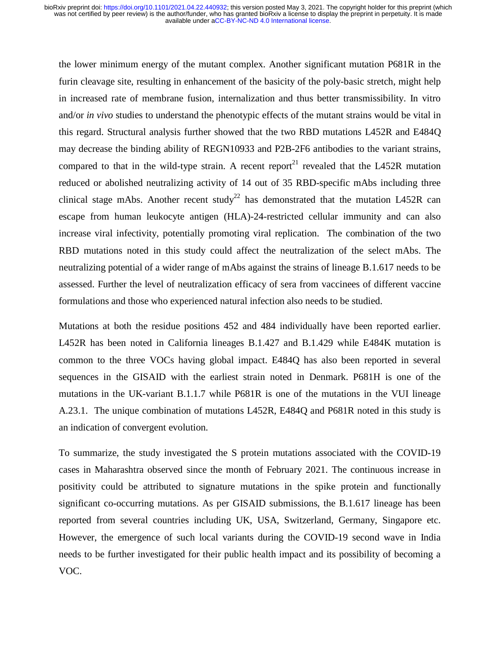the lower minimum energy of the mutant complex. Another significant mutation P681R in the furin cleavage site, resulting in enhancement of the basicity of the poly-basic stretch, might help in increased rate of membrane fusion, internalization and thus better transmissibility. In vitro and/or *in vivo* studies to understand the phenotypic effects of the mutant strains would be vital in this regard. Structural analysis further showed that the two RBD mutations L452R and E484Q may decrease the binding ability of REGN10933 and P2B-2F6 antibodies to the variant strains, compared to that in the wild-type strain. A recent report<sup>21</sup> revealed that the L452R mutation reduced or abolished neutralizing activity of 14 out of 35 RBD-specific mAbs including three clinical stage mAbs. Another recent study<sup>22</sup> has demonstrated that the mutation L452R can escape from human leukocyte antigen (HLA)-24-restricted cellular immunity and can also increase viral infectivity, potentially promoting viral replication. The combination of the two RBD mutations noted in this study could affect the neutralization of the select mAbs. The neutralizing potential of a wider range of mAbs against the strains of lineage B.1.617 needs to be assessed. Further the level of neutralization efficacy of sera from vaccinees of different vaccine formulations and those who experienced natural infection also needs to be studied.

Mutations at both the residue positions 452 and 484 individually have been reported earlier. L452R has been noted in California lineages B.1.427 and B.1.429 while E484K mutation is common to the three VOCs having global impact. E484Q has also been reported in several sequences in the GISAID with the earliest strain noted in Denmark. P681H is one of the mutations in the UK-variant B.1.1.7 while P681R is one of the mutations in the VUI lineage A.23.1. The unique combination of mutations L452R, E484Q and P681R noted in this study is an indication of convergent evolution.

To summarize, the study investigated the S protein mutations associated with the COVID-19 cases in Maharashtra observed since the month of February 2021. The continuous increase in positivity could be attributed to signature mutations in the spike protein and functionally significant co-occurring mutations. As per GISAID submissions, the B.1.617 lineage has been reported from several countries including UK, USA, Switzerland, Germany, Singapore etc. However, the emergence of such local variants during the COVID-19 second wave in India needs to be further investigated for their public health impact and its possibility of becoming a VOC.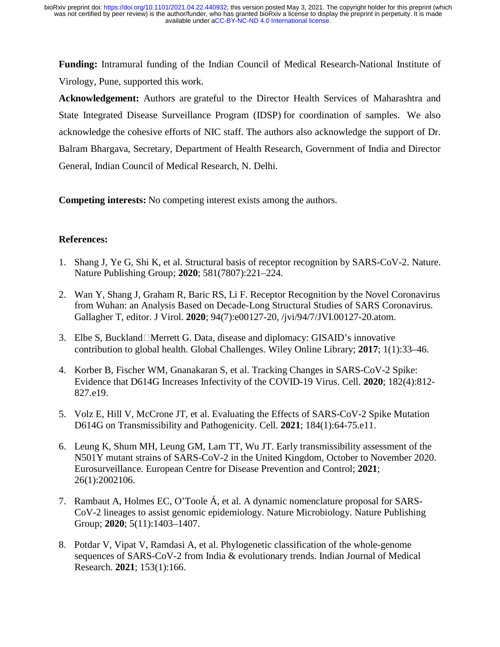**Funding:** Intramural funding of the Indian Council of Medical Research-National Institute of Virology, Pune, supported this work.

**Acknowledgement:** Authors are grateful to the Director Health Services of Maharashtra and State Integrated Disease Surveillance Program (IDSP) for coordination of samples. We also acknowledge the cohesive efforts of NIC staff. The authors also acknowledge the support of Dr. Balram Bhargava, Secretary, Department of Health Research, Government of India and Director General, Indian Council of Medical Research, N. Delhi.

**Competing interests:** No competing interest exists among the authors.

## **References:**

- 1. Shang J, Ye G, Shi K, et al. Structural basis of receptor recognition by SARS-CoV-2. Nature. Nature Publishing Group; **2020**; 581(7807):221–224.
- 2. Wan Y, Shang J, Graham R, Baric RS, Li F. Receptor Recognition by the Novel Coronavirus from Wuhan: an Analysis Based on Decade-Long Structural Studies of SARS Coronavirus. Gallagher T, editor. J Virol. **2020**; 94(7):e00127-20, /jvi/94/7/JVI.00127-20.atom.
- 3. Elbe S, Buckland $\Box$ Merrett G. Data, disease and diplomacy: GISAID's innovative contribution to global health. Global Challenges. Wiley Online Library; **2017**; 1(1):33–46.
- 4. Korber B, Fischer WM, Gnanakaran S, et al. Tracking Changes in SARS-CoV-2 Spike: Evidence that D614G Increases Infectivity of the COVID-19 Virus. Cell. **2020**; 182(4):812- 827.e19.
- 5. Volz E, Hill V, McCrone JT, et al. Evaluating the Effects of SARS-CoV-2 Spike Mutation D614G on Transmissibility and Pathogenicity. Cell. **2021**; 184(1):64-75.e11.
- 6. Leung K, Shum MH, Leung GM, Lam TT, Wu JT. Early transmissibility assessment of the N501Y mutant strains of SARS-CoV-2 in the United Kingdom, October to November 2020. Eurosurveillance. European Centre for Disease Prevention and Control; **2021**; 26(1):2002106.
- 7. Rambaut A, Holmes EC, O'Toole Á, et al. A dynamic nomenclature proposal for SARS-CoV-2 lineages to assist genomic epidemiology. Nature Microbiology. Nature Publishing Group; **2020**; 5(11):1403–1407.
- 8. Potdar V, Vipat V, Ramdasi A, et al. Phylogenetic classification of the whole-genome sequences of SARS-CoV-2 from India & evolutionary trends. Indian Journal of Medical Research. **2021**; 153(1):166.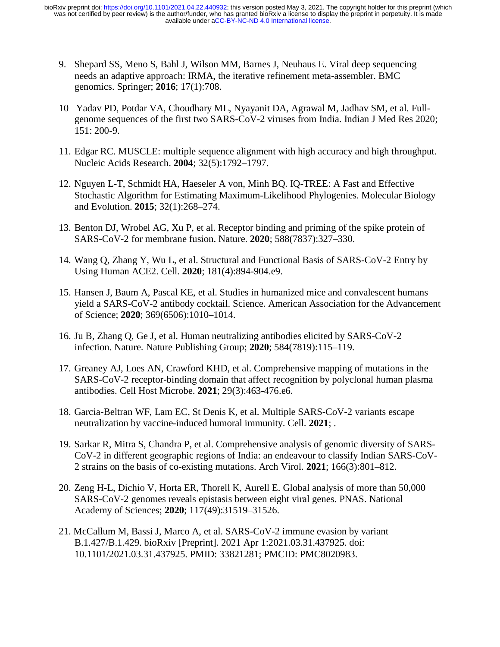- 9. Shepard SS, Meno S, Bahl J, Wilson MM, Barnes J, Neuhaus E. Viral deep sequencing needs an adaptive approach: IRMA, the iterative refinement meta-assembler. BMC genomics. Springer; **2016**; 17(1):708.
- 10 Yadav PD, Potdar VA, Choudhary ML, Nyayanit DA, Agrawal M, Jadhav SM, et al. Fullgenome sequences of the first two SARS-CoV-2 viruses from India. Indian J Med Res 2020; 151: 200-9.
- 11. Edgar RC. MUSCLE: multiple sequence alignment with high accuracy and high throughput. Nucleic Acids Research. **2004**; 32(5):1792–1797.
- 12. Nguyen L-T, Schmidt HA, Haeseler A von, Minh BQ. IQ-TREE: A Fast and Effective Stochastic Algorithm for Estimating Maximum-Likelihood Phylogenies. Molecular Biology and Evolution. **2015**; 32(1):268–274.
- 13. Benton DJ, Wrobel AG, Xu P, et al. Receptor binding and priming of the spike protein of SARS-CoV-2 for membrane fusion. Nature. **2020**; 588(7837):327–330.
- 14. Wang Q, Zhang Y, Wu L, et al. Structural and Functional Basis of SARS-CoV-2 Entry by Using Human ACE2. Cell. **2020**; 181(4):894-904.e9.
- 15. Hansen J, Baum A, Pascal KE, et al. Studies in humanized mice and convalescent humans yield a SARS-CoV-2 antibody cocktail. Science. American Association for the Advancement of Science; **2020**; 369(6506):1010–1014.
- 16. Ju B, Zhang Q, Ge J, et al. Human neutralizing antibodies elicited by SARS-CoV-2 infection. Nature. Nature Publishing Group; **2020**; 584(7819):115–119.
- 17. Greaney AJ, Loes AN, Crawford KHD, et al. Comprehensive mapping of mutations in the SARS-CoV-2 receptor-binding domain that affect recognition by polyclonal human plasma antibodies. Cell Host Microbe. **2021**; 29(3):463-476.e6.
- 18. Garcia-Beltran WF, Lam EC, St Denis K, et al. Multiple SARS-CoV-2 variants escape neutralization by vaccine-induced humoral immunity. Cell. **2021**; .
- 19. Sarkar R, Mitra S, Chandra P, et al. Comprehensive analysis of genomic diversity of SARS-CoV-2 in different geographic regions of India: an endeavour to classify Indian SARS-CoV-2 strains on the basis of co-existing mutations. Arch Virol. **2021**; 166(3):801–812.
- 20. Zeng H-L, Dichio V, Horta ER, Thorell K, Aurell E. Global analysis of more than 50,000 SARS-CoV-2 genomes reveals epistasis between eight viral genes. PNAS. National Academy of Sciences; **2020**; 117(49):31519–31526.
- 21. McCallum M, Bassi J, Marco A, et al. SARS-CoV-2 immune evasion by variant B.1.427/B.1.429. bioRxiv [Preprint]. 2021 Apr 1:2021.03.31.437925. doi: 10.1101/2021.03.31.437925. PMID: 33821281; PMCID: PMC8020983.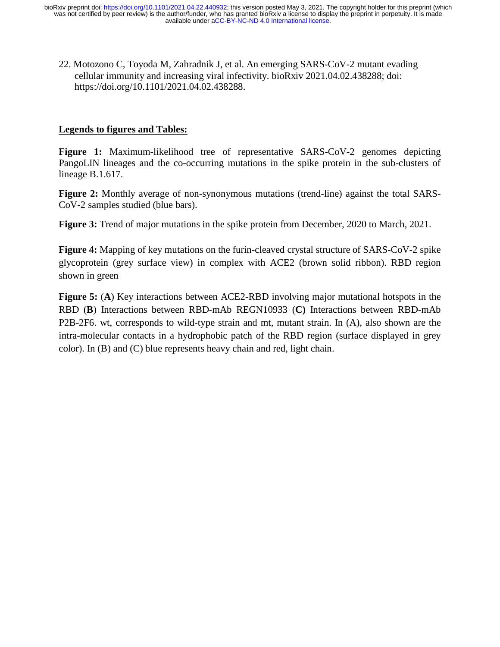22. Motozono C, Toyoda M, Zahradnik J, et al. An emerging SARS-CoV-2 mutant evading cellular immunity and increasing viral infectivity. bioRxiv 2021.04.02.438288; doi: https://doi.org/10.1101/2021.04.02.438288.

### **Legends to figures and Tables:**

**Figure 1:** Maximum-likelihood tree of representative SARS-CoV-2 genomes depicting PangoLIN lineages and the co-occurring mutations in the spike protein in the sub-clusters of lineage B.1.617.

**Figure 2:** Monthly average of non-synonymous mutations (trend-line) against the total SARS-CoV-2 samples studied (blue bars).

**Figure 3:** Trend of major mutations in the spike protein from December, 2020 to March, 2021.

**Figure 4:** Mapping of key mutations on the furin-cleaved crystal structure of SARS-CoV-2 spike glycoprotein (grey surface view) in complex with ACE2 (brown solid ribbon). RBD region shown in green

**Figure 5:** (**A**) Key interactions between ACE2-RBD involving major mutational hotspots in the RBD (**B**) Interactions between RBD-mAb REGN10933 (**C)** Interactions between RBD-mAb P2B-2F6. wt, corresponds to wild-type strain and mt, mutant strain. In (A), also shown are the intra-molecular contacts in a hydrophobic patch of the RBD region (surface displayed in grey color). In (B) and (C) blue represents heavy chain and red, light chain.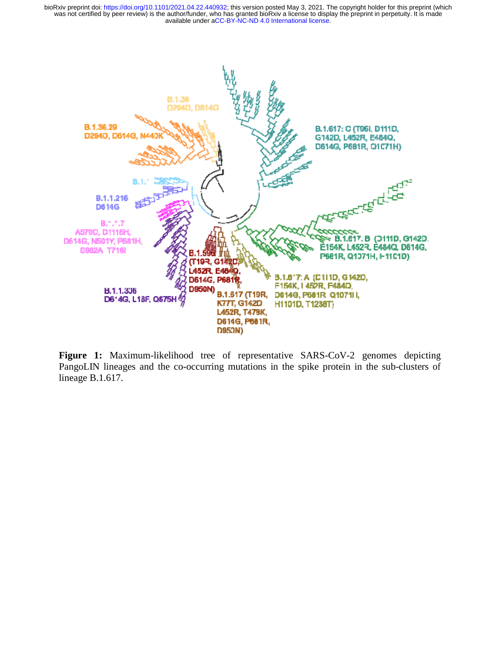

Figure 1: Maximum-likelihood tree of representative SARS-CoV-2 genomes depicting PangoLIN lineages and the co-occurring mutations in the spike protein in the sub-clusters of lineage B.1.617.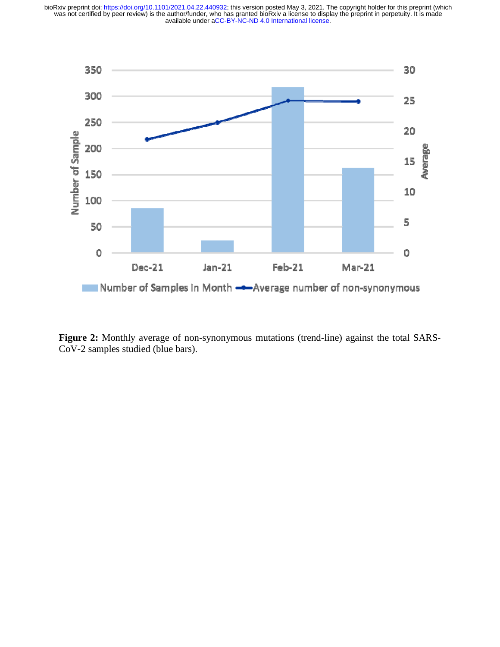

Figure 2: Monthly average of non-synonymous mutations (trend-line) against the total SARS-CoV-2 samples studied (blue bars).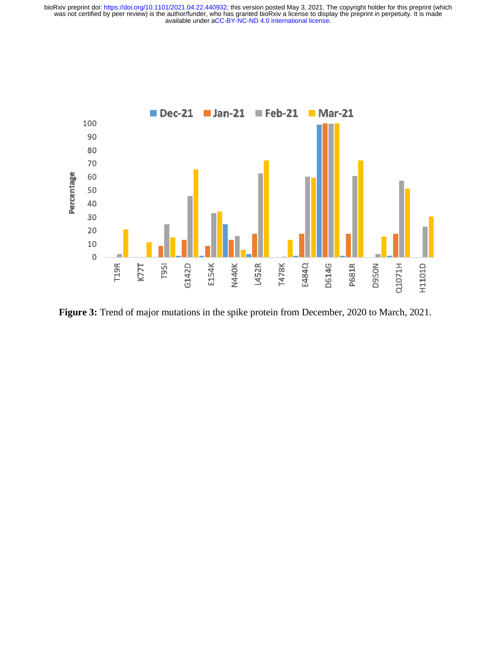

**Figure 3:** Trend of major mutations in the spike protein from December, 2020 to March, 2021.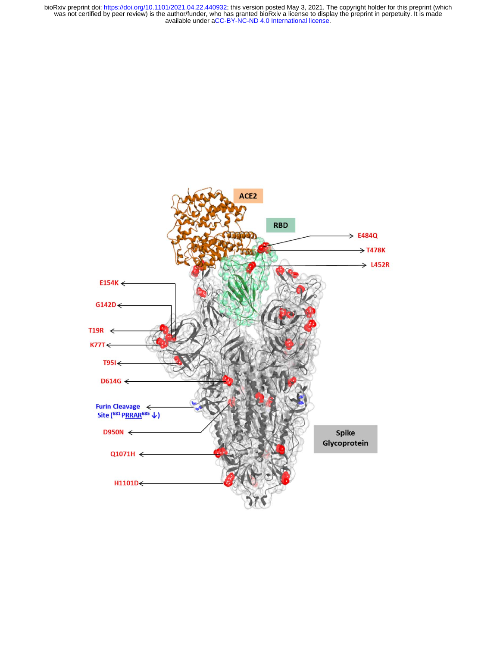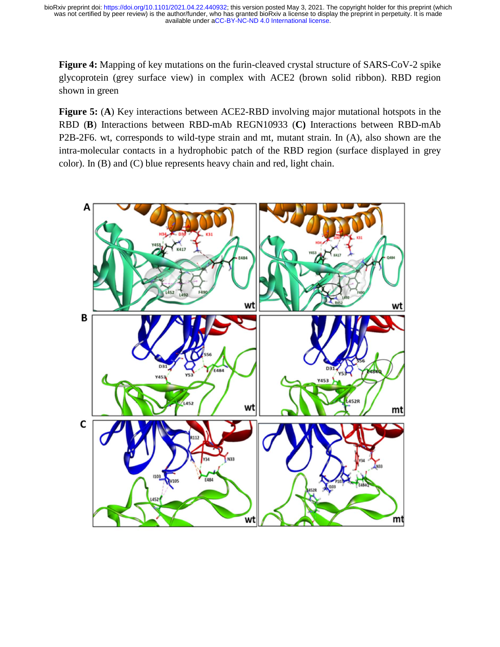Figure 4: Mapping of key mutations on the furin-cleaved crystal structure of SARS-CoV-2 spike glycoprotein (grey surface view) in complex with ACE2 (brown solid ribbon). RBD region shown in green

**Figure 5:** (A) Key interactions between ACE2-RBD involving major mutational hotspots in the RBD (**B**) Interactions between RBD-mAb REGN10933 (**C)** Interactions between RBD-mAb b P2B-2F6. wt, corresponds to wild-type strain and mt, mutant strain. In (A), also shown are the intra-molecular contacts in a hydrophobic patch of the RBD region (surface displayed in grey color). In (B) and (C) blue represents heavy chain and red, light chain.

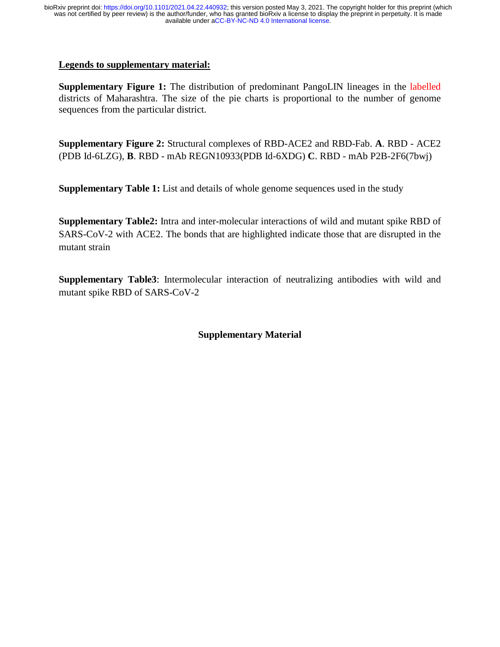### **Legends to supplementary material:**

**Supplementary Figure 1:** The distribution of predominant PangoLIN lineages in the labelled districts of Maharashtra. The size of the pie charts is proportional to the number of genome sequences from the particular district.

**Supplementary Figure 2:** Structural complexes of RBD-ACE2 and RBD-Fab. **A**. RBD - ACE2 (PDB Id-6LZG), **B**. RBD - mAb REGN10933(PDB Id-6XDG) **C**. RBD - mAb P2B-2F6(7bwj)

**Supplementary Table 1:** List and details of whole genome sequences used in the study

**Supplementary Table2:** Intra and inter-molecular interactions of wild and mutant spike RBD of SARS-CoV-2 with ACE2. The bonds that are highlighted indicate those that are disrupted in the mutant strain

**Supplementary Table3**: Intermolecular interaction of neutralizing antibodies with wild and mutant spike RBD of SARS-CoV-2

## **Supplementary Material**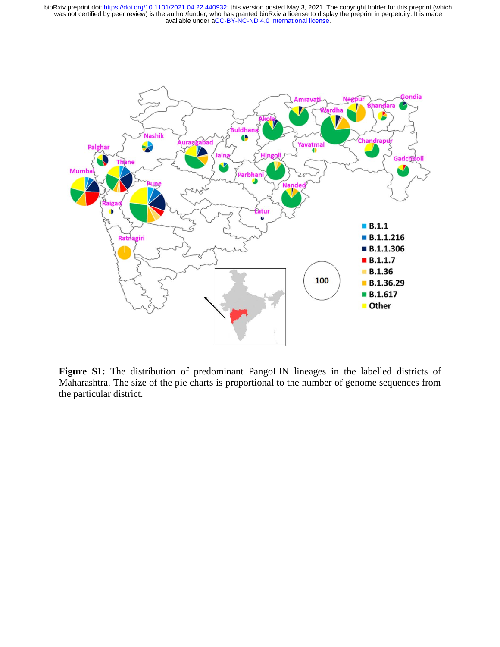

Figure S1: The distribution of predominant PangoLIN lineages in the labelled districts of Maharashtra. The size of the pie charts is proportional to the number of genome sequences from m the particular district.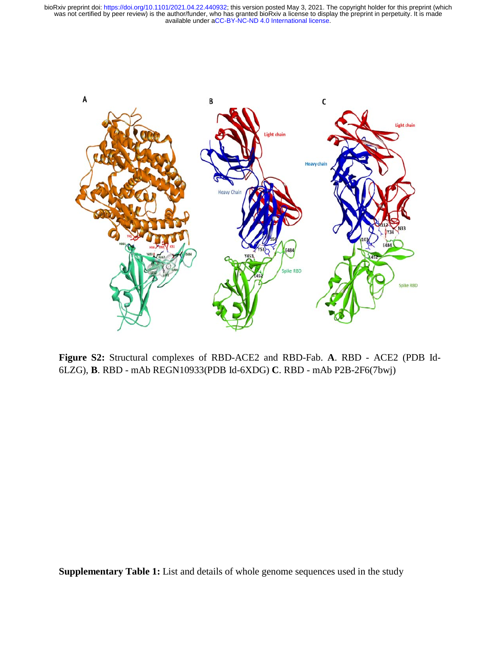

**Figure S2:** Structural complexes of RBD-ACE2 and RBD-Fab. **A**. RBD - ACE2 (PDB Id-- 6LZG), **B**. RBD - mAb REGN10933(PDB Id-6XDG) **C**. RBD - mAb P2B-2F6(7bwj)

**Supplementary Table 1:** List and details of whole genome sequences used in the study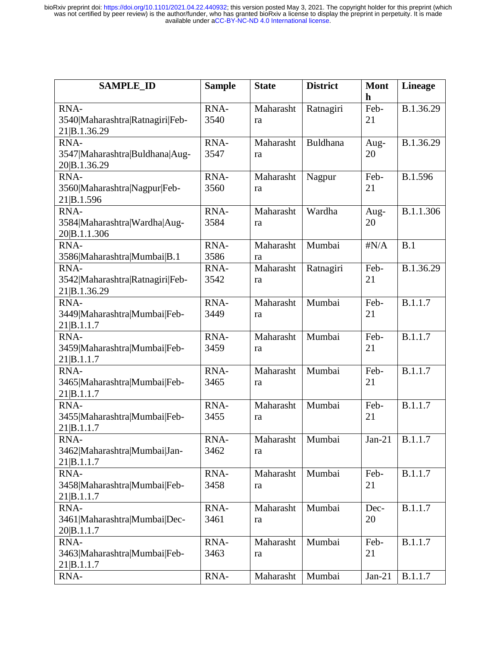| <b>SAMPLE ID</b>                                        | <b>Sample</b> | <b>State</b>    | <b>District</b> | <b>Mont</b><br>$\mathbf h$ | <b>Lineage</b> |
|---------------------------------------------------------|---------------|-----------------|-----------------|----------------------------|----------------|
| RNA-<br>3540 Maharashtra Ratnagiri Feb-<br>21 B.1.36.29 | RNA-<br>3540  | Maharasht<br>ra | Ratnagiri       | Feb-<br>21                 | B.1.36.29      |
| RNA-<br>3547 Maharashtra Buldhana Aug-<br>20 B.1.36.29  | RNA-<br>3547  | Maharasht<br>ra | Buldhana        | Aug-<br>20                 | B.1.36.29      |
| RNA-<br>3560 Maharashtra Nagpur Feb-<br>21 B.1.596      | RNA-<br>3560  | Maharasht<br>ra | Nagpur          | Feb-<br>21                 | B.1.596        |
| RNA-<br>3584 Maharashtra Wardha Aug-<br>20 B.1.1.306    | RNA-<br>3584  | Maharasht<br>ra | Wardha          | Aug-<br>20                 | B.1.1.306      |
| RNA-<br>3586 Maharashtra Mumbai B.1                     | RNA-<br>3586  | Maharasht<br>ra | Mumbai          | $\sharp N/A$               | B.1            |
| RNA-<br>3542 Maharashtra Ratnagiri Feb-<br>21 B.1.36.29 | RNA-<br>3542  | Maharasht<br>ra | Ratnagiri       | Feb-<br>21                 | B.1.36.29      |
| RNA-<br>3449 Maharashtra Mumbai Feb-<br>21 B.1.1.7      | RNA-<br>3449  | Maharasht<br>ra | Mumbai          | Feb-<br>21                 | <b>B.1.1.7</b> |
| RNA-<br>3459 Maharashtra Mumbai Feb-<br>21 B.1.1.7      | RNA-<br>3459  | Maharasht<br>ra | Mumbai          | Feb-<br>21                 | B.1.1.7        |
| RNA-<br>3465 Maharashtra Mumbai Feb-<br>21 B.1.1.7      | RNA-<br>3465  | Maharasht<br>ra | Mumbai          | Feb-<br>21                 | B.1.1.7        |
| RNA-<br>3455 Maharashtra Mumbai Feb-<br>21 B.1.1.7      | RNA-<br>3455  | Maharasht<br>ra | Mumbai          | Feb-<br>21                 | B.1.1.7        |
| RNA-<br>3462 Maharashtra Mumbai Jan-<br>21 B.1.1.7      | RNA-<br>3462  | Maharasht<br>ra | Mumbai          | $Jan-21$                   | B.1.1.7        |
| RNA-<br>3458 Maharashtra Mumbai Feb-<br>21 B.1.1.7      | RNA-<br>3458  | Maharasht<br>ra | Mumbai          | Feb-<br>21                 | B.1.1.7        |
| RNA-<br>3461 Maharashtra Mumbai Dec-<br>20 B.1.1.7      | RNA-<br>3461  | Maharasht<br>ra | Mumbai          | Dec-<br>20                 | B.1.1.7        |
| RNA-<br>3463 Maharashtra Mumbai Feb-<br>21 B.1.1.7      | RNA-<br>3463  | Maharasht<br>ra | Mumbai          | Feb-<br>21                 | B.1.1.7        |
| RNA-                                                    | RNA-          | Maharasht       | Mumbai          | $Jan-21$                   | B.1.1.7        |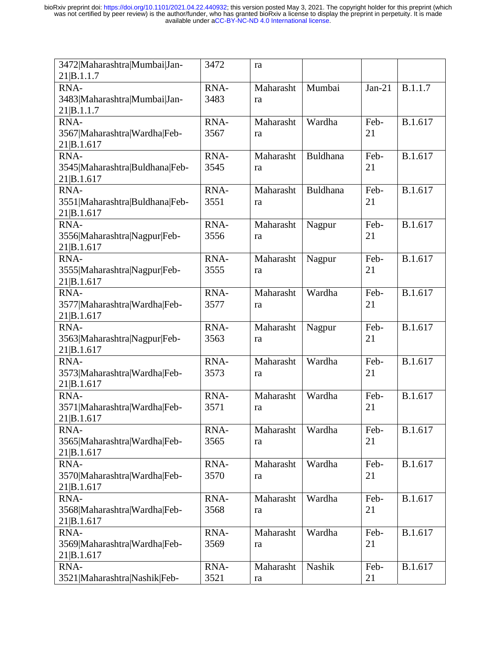| 3472 Maharashtra Mumbai Jan-   | 3472 | ra        |                 |          |         |
|--------------------------------|------|-----------|-----------------|----------|---------|
| 21 B.1.1.7                     |      |           |                 |          |         |
| RNA-                           | RNA- | Maharasht | Mumbai          | $Jan-21$ | B.1.1.7 |
| 3483 Maharashtra Mumbai Jan-   | 3483 | ra        |                 |          |         |
| 21 B.1.1.7                     |      |           |                 |          |         |
| RNA-                           | RNA- | Maharasht | Wardha          | Feb-     | B.1.617 |
| 3567 Maharashtra Wardha Feb-   | 3567 | ra        |                 | 21       |         |
| 21 B.1.617                     |      |           |                 |          |         |
| RNA-                           | RNA- | Maharasht | <b>Buldhana</b> | Feb-     | B.1.617 |
| 3545 Maharashtra Buldhana Feb- | 3545 | ra        |                 | 21       |         |
| 21 B.1.617                     |      |           |                 |          |         |
| RNA-                           | RNA- | Maharasht | <b>Buldhana</b> | Feb-     | B.1.617 |
| 3551 Maharashtra Buldhana Feb- | 3551 | ra        |                 | 21       |         |
| 21 B.1.617                     |      |           |                 |          |         |
| RNA-                           | RNA- | Maharasht | Nagpur          | Feb-     | B.1.617 |
| 3556 Maharashtra Nagpur Feb-   | 3556 | ra        |                 | 21       |         |
| 21 B.1.617                     |      |           |                 |          |         |
| RNA-                           | RNA- | Maharasht | Nagpur          | Feb-     | B.1.617 |
| 3555 Maharashtra Nagpur Feb-   | 3555 | ra        |                 | 21       |         |
| 21 B.1.617                     |      |           |                 |          |         |
| RNA-                           | RNA- | Maharasht | Wardha          | Feb-     | B.1.617 |
| 3577 Maharashtra Wardha Feb-   | 3577 | ra        |                 | 21       |         |
| 21 B.1.617                     |      |           |                 |          |         |
| RNA-                           | RNA- | Maharasht | Nagpur          | Feb-     | B.1.617 |
| 3563 Maharashtra Nagpur Feb-   | 3563 | ra        |                 | 21       |         |
| 21 B.1.617                     |      |           |                 |          |         |
| RNA-                           | RNA- | Maharasht | Wardha          | Feb-     | B.1.617 |
| 3573 Maharashtra Wardha Feb-   | 3573 | ra        |                 | 21       |         |
| 21 B.1.617                     |      |           |                 |          |         |
| RNA-                           | RNA- | Maharasht | Wardha          | Feb-     | B.1.617 |
| 3571 Maharashtra Wardha Feb-   | 3571 | ra        |                 | 21       |         |
| 21 B.1.617                     |      |           |                 |          |         |
| RNA-                           | RNA- | Maharasht | Wardha          | Feb-     | B.1.617 |
| 3565 Maharashtra Wardha Feb-   | 3565 | ra        |                 | 21       |         |
| 21 B.1.617                     |      |           |                 |          |         |
| RNA-                           | RNA- | Maharasht | Wardha          | Feb-     | B.1.617 |
| 3570 Maharashtra Wardha Feb-   | 3570 | ra        |                 | 21       |         |
| 21 B.1.617                     |      |           |                 |          |         |
| RNA-                           | RNA- | Maharasht | Wardha          | Feb-     | B.1.617 |
| 3568 Maharashtra Wardha Feb-   | 3568 | ra        |                 | 21       |         |
| 21 B.1.617                     |      |           |                 |          |         |
| RNA-                           | RNA- | Maharasht | Wardha          | Feb-     | B.1.617 |
| 3569 Maharashtra Wardha Feb-   | 3569 | ra        |                 | 21       |         |
| 21 B.1.617                     |      |           |                 |          |         |
| RNA-                           | RNA- | Maharasht | Nashik          | Feb-     | B.1.617 |
| 3521 Maharashtra Nashik Feb-   | 3521 | ra        |                 | 21       |         |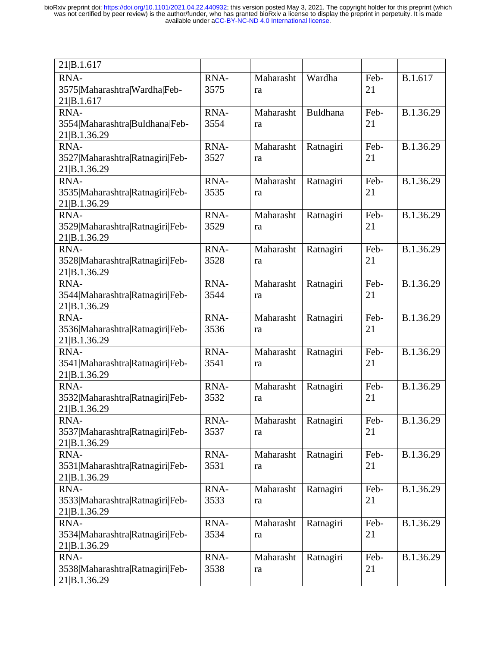| 21 B.1.617                      |      |           |           |      |           |
|---------------------------------|------|-----------|-----------|------|-----------|
| RNA-                            | RNA- | Maharasht | Wardha    | Feb- | B.1.617   |
| 3575 Maharashtra Wardha Feb-    | 3575 | ra        |           | 21   |           |
| 21 B.1.617                      |      |           |           |      |           |
| RNA-                            | RNA- | Maharasht | Buldhana  | Feb- | B.1.36.29 |
|                                 | 3554 |           |           | 21   |           |
| 3554 Maharashtra Buldhana Feb-  |      | ra        |           |      |           |
| 21 B.1.36.29                    |      |           |           |      |           |
| RNA-                            | RNA- | Maharasht | Ratnagiri | Feb- | B.1.36.29 |
| 3527 Maharashtra Ratnagiri Feb- | 3527 | ra        |           | 21   |           |
| 21 B.1.36.29                    |      |           |           |      |           |
| RNA-                            | RNA- | Maharasht | Ratnagiri | Feb- | B.1.36.29 |
| 3535 Maharashtra Ratnagiri Feb- | 3535 | ra        |           | 21   |           |
| 21 B.1.36.29                    |      |           |           |      |           |
| RNA-                            | RNA- | Maharasht | Ratnagiri | Feb- | B.1.36.29 |
| 3529 Maharashtra Ratnagiri Feb- | 3529 | ra        |           | 21   |           |
| 21 B.1.36.29                    |      |           |           |      |           |
| RNA-                            | RNA- | Maharasht | Ratnagiri | Feb- | B.1.36.29 |
| 3528 Maharashtra Ratnagiri Feb- | 3528 | ra        |           | 21   |           |
| 21 B.1.36.29                    |      |           |           |      |           |
| RNA-                            | RNA- | Maharasht | Ratnagiri | Feb- | B.1.36.29 |
| 3544 Maharashtra Ratnagiri Feb- | 3544 | ra        |           | 21   |           |
| 21 B.1.36.29                    |      |           |           |      |           |
| RNA-                            | RNA- | Maharasht | Ratnagiri | Feb- | B.1.36.29 |
| 3536 Maharashtra Ratnagiri Feb- | 3536 | ra        |           | 21   |           |
| 21 B.1.36.29                    |      |           |           |      |           |
| RNA-                            | RNA- | Maharasht | Ratnagiri | Feb- | B.1.36.29 |
| 3541 Maharashtra Ratnagiri Feb- | 3541 | ra        |           | 21   |           |
| 21 B.1.36.29                    |      |           |           |      |           |
| RNA-                            | RNA- | Maharasht | Ratnagiri | Feb- | B.1.36.29 |
| 3532 Maharashtra Ratnagiri Feb- | 3532 | ra        |           | 21   |           |
| 21 B.1.36.29                    |      |           |           |      |           |
| RNA-                            | RNA- | Maharasht | Ratnagiri | Feb- | B.1.36.29 |
| 3537 Maharashtra Ratnagiri Feb- | 3537 | ra        |           | 21   |           |
| 21 B.1.36.29                    |      |           |           |      |           |
| RNA-                            | RNA- | Maharasht | Ratnagiri | Feb- | B.1.36.29 |
| 3531 Maharashtra Ratnagiri Feb- | 3531 | ra        |           | 21   |           |
| 21 B.1.36.29                    |      |           |           |      |           |
| RNA-                            | RNA- | Maharasht | Ratnagiri | Feb- | B.1.36.29 |
| 3533 Maharashtra Ratnagiri Feb- | 3533 |           |           | 21   |           |
|                                 |      | ra        |           |      |           |
| 21 B.1.36.29                    |      |           |           |      |           |
| RNA-                            | RNA- | Maharasht | Ratnagiri | Feb- | B.1.36.29 |
| 3534 Maharashtra Ratnagiri Feb- | 3534 | ra        |           | 21   |           |
| 21 B.1.36.29                    |      |           |           |      |           |
| RNA-                            | RNA- | Maharasht | Ratnagiri | Feb- | B.1.36.29 |
| 3538 Maharashtra Ratnagiri Feb- | 3538 | ra        |           | 21   |           |
| 21 B.1.36.29                    |      |           |           |      |           |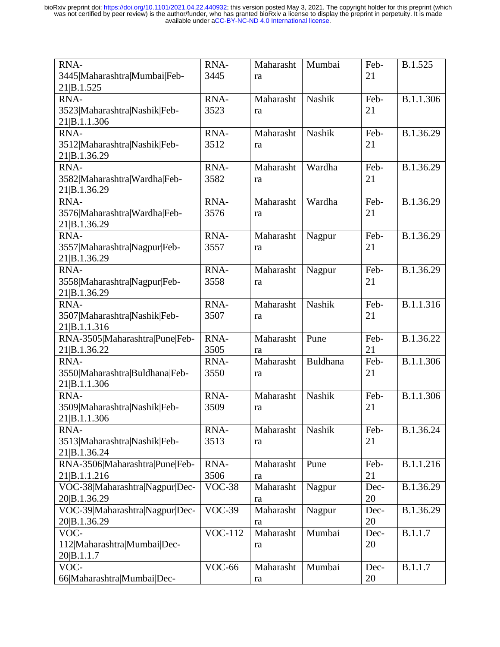| RNA-                           | RNA-           | Maharasht | Mumbai          | Feb- | B.1.525   |
|--------------------------------|----------------|-----------|-----------------|------|-----------|
| 3445 Maharashtra Mumbai Feb-   | 3445           | ra        |                 | 21   |           |
| 21 B.1.525                     |                |           |                 |      |           |
| RNA-                           | RNA-           | Maharasht | <b>Nashik</b>   | Feb- | B.1.1.306 |
| 3523 Maharashtra Nashik Feb-   | 3523           | ra        |                 | 21   |           |
| 21 B.1.1.306                   |                |           |                 |      |           |
| RNA-                           | RNA-           | Maharasht | Nashik          | Feb- | B.1.36.29 |
| 3512 Maharashtra Nashik Feb-   | 3512           | ra        |                 | 21   |           |
| 21 B.1.36.29                   |                |           |                 |      |           |
| RNA-                           | RNA-           | Maharasht | Wardha          | Feb- | B.1.36.29 |
| 3582 Maharashtra Wardha Feb-   | 3582           | ra        |                 | 21   |           |
| 21 B.1.36.29                   |                |           |                 |      |           |
| RNA-                           | RNA-           | Maharasht | Wardha          | Feb- | B.1.36.29 |
| 3576 Maharashtra Wardha Feb-   | 3576           | ra        |                 | 21   |           |
| 21 B.1.36.29                   |                |           |                 |      |           |
| RNA-                           | RNA-           | Maharasht | Nagpur          | Feb- | B.1.36.29 |
| 3557 Maharashtra Nagpur Feb-   | 3557           | ra        |                 | 21   |           |
| 21 B.1.36.29                   |                |           |                 |      |           |
| RNA-                           | RNA-           | Maharasht | Nagpur          | Feb- | B.1.36.29 |
| 3558 Maharashtra Nagpur Feb-   | 3558           | ra        |                 | 21   |           |
| 21 B.1.36.29                   |                |           |                 |      |           |
| RNA-                           | RNA-           | Maharasht | <b>Nashik</b>   | Feb- | B.1.1.316 |
| 3507 Maharashtra Nashik Feb-   | 3507           | ra        |                 | 21   |           |
| 21 B.1.1.316                   |                |           |                 |      |           |
| RNA-3505 Maharashtra Pune Feb- | RNA-           | Maharasht | Pune            | Feb- | B.1.36.22 |
| 21 B.1.36.22                   | 3505           | ra        |                 | 21   |           |
| RNA-                           | RNA-           | Maharasht | <b>Buldhana</b> | Feb- | B.1.1.306 |
| 3550 Maharashtra Buldhana Feb- | 3550           | ra        |                 | 21   |           |
| 21 B.1.1.306                   |                |           |                 |      |           |
| RNA-                           | RNA-           | Maharasht | <b>Nashik</b>   | Feb- | B.1.1.306 |
| 3509 Maharashtra Nashik Feb-   | 3509           | ra        |                 | 21   |           |
| 21 B.1.1.306                   |                |           |                 |      |           |
| RNA-                           | RNA-           | Maharasht | Nashik          | Feb- | B.1.36.24 |
| 3513 Maharashtra Nashik Feb-   | 3513           | ra        |                 | 21   |           |
| 21 B.1.36.24                   |                |           |                 |      |           |
| RNA-3506 Maharashtra Pune Feb- | RNA-           | Maharasht | Pune            | Feb- | B.1.1.216 |
| 21 B.1.1.216                   | 3506           | ra        |                 | 21   |           |
| VOC-38 Maharashtra Nagpur Dec- | <b>VOC-38</b>  | Maharasht | Nagpur          | Dec- | B.1.36.29 |
| 20 B.1.36.29                   |                | ra        |                 | 20   |           |
| VOC-39 Maharashtra Nagpur Dec- | $VOC-39$       | Maharasht | Nagpur          | Dec- | B.1.36.29 |
| 20 B.1.36.29                   |                | ra        |                 | 20   |           |
| VOC-                           | <b>VOC-112</b> | Maharasht | Mumbai          | Dec- | B.1.1.7   |
| 112 Maharashtra Mumbai Dec-    |                | ra        |                 | 20   |           |
| 20 B.1.1.7                     |                |           |                 |      |           |
| VOC-                           | VOC-66         | Maharasht | Mumbai          | Dec- | B.1.1.7   |
| 66 Maharashtra Mumbai Dec-     |                | ra        |                 | 20   |           |
|                                |                |           |                 |      |           |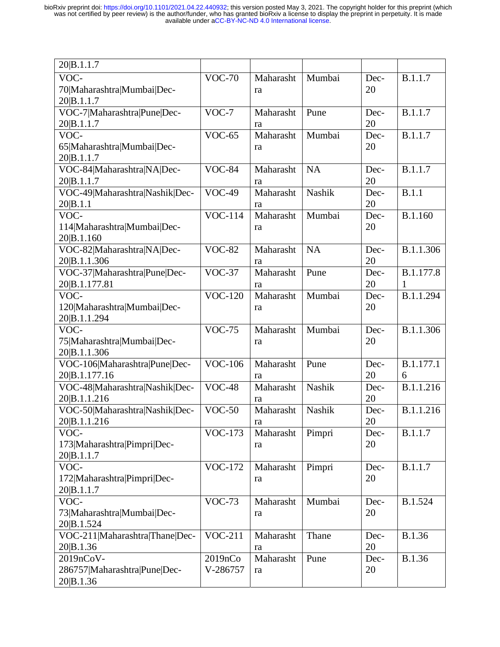| 20 B.1.1.7                                |                |           |           |      |                |
|-------------------------------------------|----------------|-----------|-----------|------|----------------|
| VOC-                                      | <b>VOC-70</b>  | Maharasht | Mumbai    | Dec- | B.1.1.7        |
| 70 Maharashtra Mumbai Dec-                |                | ra        |           | 20   |                |
| 20 B.1.1.7                                |                |           |           |      |                |
| VOC-7 Maharashtra Pune Dec-               | $VOC-7$        | Maharasht | Pune      | Dec- | B.1.1.7        |
| 20 B.1.1.7                                |                | ra        |           | 20   |                |
| VOC-                                      | $VOC-65$       | Maharasht | Mumbai    | Dec- | B.1.1.7        |
| 65 Maharashtra Mumbai Dec-                |                | ra        |           | 20   |                |
| 20 B.1.1.7                                |                |           |           |      |                |
| VOC-84 Maharashtra NA Dec-                | $VOC-84$       | Maharasht | <b>NA</b> | Dec- | B.1.1.7        |
| 20 B.1.1.7                                |                | ra        |           | 20   |                |
| VOC-49 Maharashtra Nashik Dec-            | $VOC-49$       | Maharasht | Nashik    | Dec- | B.1.1          |
| 20 B.1.1                                  |                | ra        |           | 20   |                |
| VOC-                                      | <b>VOC-114</b> | Maharasht | Mumbai    | Dec- | B.1.160        |
| 114 Maharashtra Mumbai Dec-               |                | ra        |           | 20   |                |
| 20 B.1.160                                |                |           |           |      |                |
| VOC-82 Maharashtra NA Dec-                | <b>VOC-82</b>  | Maharasht | <b>NA</b> | Dec- | B.1.1.306      |
| 20 B.1.1.306                              |                | ra        |           | 20   |                |
| VOC-37 Maharashtra Pune Dec-              | $VOC-37$       | Maharasht | Pune      | Dec- | B.1.177.8      |
| 20 B.1.177.81                             |                | ra        |           | 20   | 1              |
| VOC-                                      | <b>VOC-120</b> | Maharasht | Mumbai    | Dec- | B.1.1.294      |
| 120 Maharashtra Mumbai Dec-               |                | ra        |           | 20   |                |
| 20 B.1.1.294                              |                |           |           |      |                |
|                                           |                |           |           |      |                |
| VOC-                                      | $VOC-75$       | Maharasht | Mumbai    | Dec- | B.1.1.306      |
| 75 Maharashtra Mumbai Dec-                |                | ra        |           | 20   |                |
| 20 B.1.1.306                              |                |           |           |      |                |
| VOC-106 Maharashtra Pune Dec-             | <b>VOC-106</b> | Maharasht | Pune      | Dec- | B.1.177.1      |
| 20 B.1.177.16                             |                | ra        |           | 20   | 6              |
| VOC-48 Maharashtra Nashik Dec-            | <b>VOC-48</b>  | Maharasht | Nashik    | Dec- | B.1.1.216      |
| 20 B.1.1.216                              |                | ra        |           | 20   |                |
| VOC-50 Maharashtra Nashik Dec-            | $VOC-50$       | Maharasht | Nashik    | Dec- | B.1.1.216      |
| 20 B.1.1.216                              |                | ra        |           | 20   |                |
| VOC-                                      | <b>VOC-173</b> | Maharasht | Pimpri    | Dec- | B.1.1.7        |
| 173 Maharashtra Pimpri Dec-               |                | ra        |           | 20   |                |
| 20 B.1.1.7                                |                |           |           |      |                |
| VOC-                                      | <b>VOC-172</b> | Maharasht | Pimpri    | Dec- | <b>B.1.1.7</b> |
| 172 Maharashtra Pimpri Dec-               |                | ra        |           | 20   |                |
| 20 B.1.1.7                                |                |           |           |      |                |
| VOC-                                      | <b>VOC-73</b>  | Maharasht | Mumbai    | Dec- | B.1.524        |
| 73 Maharashtra Mumbai Dec-                |                | ra        |           | 20   |                |
| 20 B.1.524                                |                |           |           |      |                |
| VOC-211 Maharashtra Thane Dec-            | $VOC-211$      | Maharasht | Thane     | Dec- | <b>B.1.36</b>  |
| 20 B.1.36                                 |                | ra        |           | 20   |                |
| 2019nCoV-                                 | 2019nCo        | Maharasht | Pune      | Dec- | <b>B.1.36</b>  |
| 286757 Maharashtra Pune Dec-<br>20 B.1.36 | V-286757       | ra        |           | 20   |                |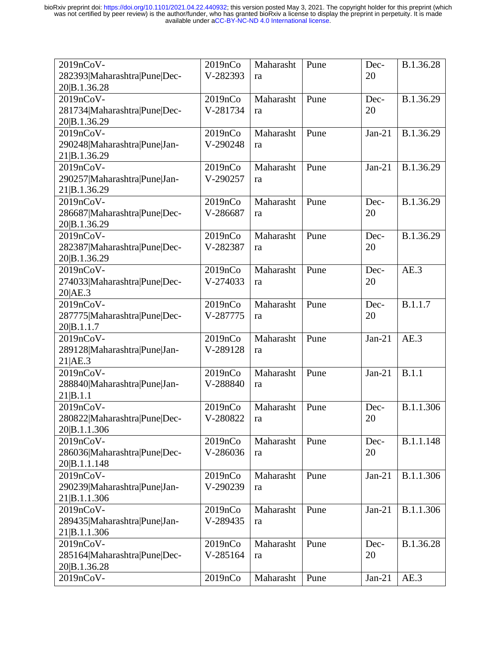| 2019nCoV-                    | 2019nCo  | Maharasht | Pune | Dec-     | B.1.36.28 |
|------------------------------|----------|-----------|------|----------|-----------|
| 282393 Maharashtra Pune Dec- | V-282393 | ra        |      | 20       |           |
| 20 B.1.36.28                 |          |           |      |          |           |
| 2019nCoV-                    | 2019nCo  | Maharasht | Pune | Dec-     | B.1.36.29 |
| 281734 Maharashtra Pune Dec- | V-281734 | ra        |      | 20       |           |
| 20 B.1.36.29                 |          |           |      |          |           |
| 2019nCoV-                    | 2019nCo  | Maharasht | Pune | $Jan-21$ | B.1.36.29 |
| 290248 Maharashtra Pune Jan- | V-290248 | ra        |      |          |           |
| 21 B.1.36.29                 |          |           |      |          |           |
| 2019nCoV-                    | 2019nCo  | Maharasht | Pune | $Jan-21$ | B.1.36.29 |
| 290257 Maharashtra Pune Jan- | V-290257 | ra        |      |          |           |
| 21 B.1.36.29                 |          |           |      |          |           |
| 2019nCoV-                    | 2019nCo  | Maharasht | Pune | Dec-     | B.1.36.29 |
| 286687 Maharashtra Pune Dec- | V-286687 | ra        |      | 20       |           |
| 20 B.1.36.29                 |          |           |      |          |           |
| 2019nCoV-                    | 2019nCo  | Maharasht | Pune | Dec-     | B.1.36.29 |
| 282387 Maharashtra Pune Dec- | V-282387 | ra        |      | 20       |           |
| 20 B.1.36.29                 |          |           |      |          |           |
| 2019nCoV-                    | 2019nCo  | Maharasht | Pune | Dec-     | AE.3      |
| 274033 Maharashtra Pune Dec- | V-274033 | ra        |      | 20       |           |
| 20 AE.3                      |          |           |      |          |           |
| 2019nCoV-                    | 2019nCo  | Maharasht | Pune | Dec-     | B.1.1.7   |
| 287775 Maharashtra Pune Dec- | V-287775 | ra        |      | 20       |           |
| 20 B.1.1.7                   |          |           |      |          |           |
| 2019nCoV-                    | 2019nCo  | Maharasht | Pune | $Jan-21$ | AE.3      |
| 289128 Maharashtra Pune Jan- | V-289128 | ra        |      |          |           |
| 21 AE.3                      |          |           |      |          |           |
| 2019nCoV-                    | 2019nCo  | Maharasht | Pune | $Jan-21$ | B.1.1     |
| 288840 Maharashtra Pune Jan- | V-288840 | ra        |      |          |           |
| 21 B.1.1                     |          |           |      |          |           |
| 2019nCoV-                    | 2019nCo  | Maharasht | Pune | Dec-     | B.1.1.306 |
| 280822 Maharashtra Pune Dec- | V-280822 | ra        |      | 20       |           |
| 20 B.1.1.306                 |          |           |      |          |           |
| 2019nCoV-                    | 2019nCo  | Maharasht | Pune | Dec-     | B.1.1.148 |
| 286036 Maharashtra Pune Dec- | V-286036 | ra        |      | 20       |           |
| 20 B.1.1.148                 |          |           |      |          |           |
| 2019nCoV-                    | 2019nCo  | Maharasht | Pune | $Jan-21$ | B.1.1.306 |
| 290239 Maharashtra Pune Jan- | V-290239 | ra        |      |          |           |
| 21 B.1.1.306                 |          |           |      |          |           |
| 2019nCoV-                    | 2019nCo  | Maharasht | Pune | $Jan-21$ | B.1.1.306 |
| 289435 Maharashtra Pune Jan- | V-289435 | ra        |      |          |           |
| 21 B.1.1.306                 |          |           |      |          |           |
| 2019nCoV-                    | 2019nCo  | Maharasht | Pune | Dec-     | B.1.36.28 |
| 285164 Maharashtra Pune Dec- | V-285164 | ra        |      | 20       |           |
| 20 B.1.36.28                 |          |           |      |          |           |
| 2019nCoV-                    | 2019nCo  | Maharasht | Pune | $Jan-21$ | AE.3      |
|                              |          |           |      |          |           |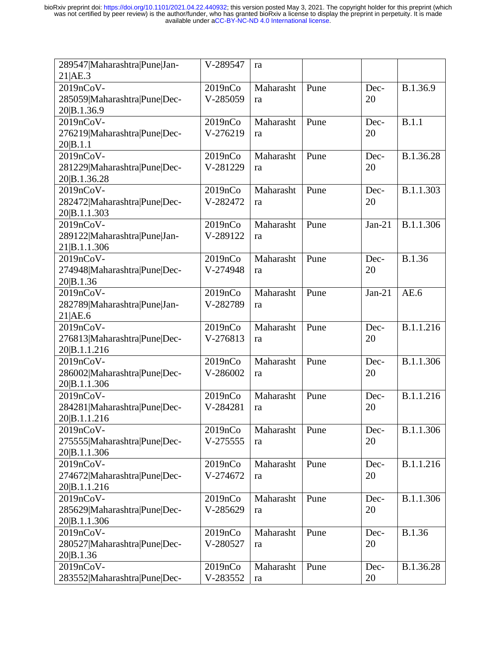| 289547 Maharashtra Pune Jan- | V-289547 | ra        |      |          |               |
|------------------------------|----------|-----------|------|----------|---------------|
| 21 AE.3                      |          |           |      |          |               |
| 2019nCoV-                    | 2019nCo  | Maharasht | Pune | Dec-     | B.1.36.9      |
| 285059 Maharashtra Pune Dec- | V-285059 | ra        |      | 20       |               |
| 20 B.1.36.9                  |          |           |      |          |               |
| 2019nCoV-                    | 2019nCo  | Maharasht | Pune | Dec-     | B.1.1         |
| 276219 Maharashtra Pune Dec- | V-276219 | ra        |      | 20       |               |
| 20 B.1.1                     |          |           |      |          |               |
| 2019nCoV-                    | 2019nCo  | Maharasht | Pune | Dec-     | B.1.36.28     |
| 281229 Maharashtra Pune Dec- | V-281229 | ra        |      | 20       |               |
| 20 B.1.36.28                 |          |           |      |          |               |
| 2019nCoV-                    | 2019nCo  | Maharasht | Pune | Dec-     | B.1.1.303     |
| 282472 Maharashtra Pune Dec- | V-282472 | ra        |      | 20       |               |
| 20 B.1.1.303                 |          |           |      |          |               |
| 2019nCoV-                    | 2019nCo  | Maharasht | Pune | $Jan-21$ | B.1.1.306     |
| 289122 Maharashtra Pune Jan- | V-289122 | ra        |      |          |               |
| 21 B.1.1.306                 |          |           |      |          |               |
| 2019nCoV-                    | 2019nCo  | Maharasht | Pune | Dec-     | <b>B.1.36</b> |
| 274948 Maharashtra Pune Dec- | V-274948 | ra        |      | 20       |               |
| 20 B.1.36                    |          |           |      |          |               |
| 2019nCoV-                    | 2019nCo  | Maharasht | Pune | $Jan-21$ | AE.6          |
| 282789 Maharashtra Pune Jan- | V-282789 | ra        |      |          |               |
| 21 AE.6                      |          |           |      |          |               |
| 2019nCoV-                    | 2019nCo  | Maharasht | Pune | Dec-     | B.1.1.216     |
| 276813 Maharashtra Pune Dec- | V-276813 |           |      | 20       |               |
|                              |          | ra        |      |          |               |
| 20 B.1.1.216                 |          | Maharasht |      |          |               |
| 2019nCoV-                    | 2019nCo  |           | Pune | Dec-     | B.1.1.306     |
| 286002 Maharashtra Pune Dec- | V-286002 | ra        |      | 20       |               |
| 20 B.1.1.306                 |          |           |      |          |               |
| 2019nCoV-                    | 2019nCo  | Maharasht | Pune | Dec-     | B.1.1.216     |
| 284281 Maharashtra Pune Dec- | V-284281 | ra        |      | 20       |               |
| 20 B.1.1.216                 |          |           |      |          |               |
| 2019nCoV-                    | 2019nCo  | Maharasht | Pune | Dec-     | B.1.1.306     |
| 275555 Maharashtra Pune Dec- | V-275555 | ra        |      | 20       |               |
| 20 B.1.1.306                 |          |           |      |          |               |
| 2019nCoV-                    | 2019nCo  | Maharasht | Pune | Dec-     | B.1.1.216     |
| 274672 Maharashtra Pune Dec- | V-274672 | ra        |      | 20       |               |
| 20 B.1.1.216                 |          |           |      |          |               |
| 2019nCoV-                    | 2019nCo  | Maharasht | Pune | Dec-     | B.1.1.306     |
| 285629 Maharashtra Pune Dec- | V-285629 | ra        |      | 20       |               |
| 20 B.1.1.306                 |          |           |      |          |               |
| 2019nCoV-                    | 2019nCo  | Maharasht | Pune | Dec-     | <b>B.1.36</b> |
| 280527 Maharashtra Pune Dec- | V-280527 | ra        |      | 20       |               |
| 20 B.1.36                    |          |           |      |          |               |
| 2019nCoV-                    | 2019nCo  | Maharasht | Pune | Dec-     | B.1.36.28     |
| 283552 Maharashtra Pune Dec- | V-283552 | ra        |      | 20       |               |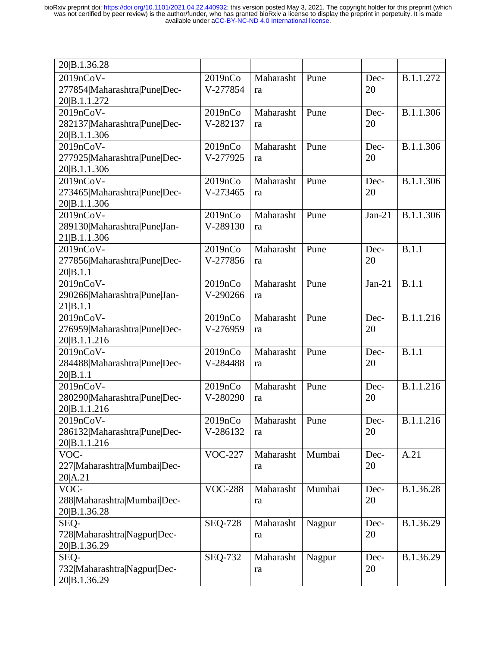| 20 B.1.36.28                              |                     |           |        |          |              |
|-------------------------------------------|---------------------|-----------|--------|----------|--------------|
| 2019nCoV-                                 | 2019nCo             | Maharasht | Pune   | Dec-     | B.1.1.272    |
| 277854 Maharashtra Pune Dec-              | V-277854            | ra        |        | 20       |              |
| 20 B.1.1.272                              |                     |           |        |          |              |
| 2019nCoV-                                 | 2019nCo             | Maharasht | Pune   | Dec-     | B.1.1.306    |
| 282137 Maharashtra Pune Dec-              | V-282137            | ra        |        | 20       |              |
| 20 B.1.1.306                              |                     |           |        |          |              |
| 2019nCoV-                                 | 2019nCo             | Maharasht | Pune   | Dec-     | B.1.1.306    |
| 277925 Maharashtra Pune Dec-              | V-277925            | ra        |        | 20       |              |
| 20 B.1.1.306                              |                     |           |        |          |              |
| 2019nCoV-                                 | 2019nCo             | Maharasht | Pune   | Dec-     | B.1.1.306    |
| 273465 Maharashtra Pune Dec-              | V-273465            | ra        |        | 20       |              |
| 20 B.1.1.306                              |                     |           |        |          |              |
| 2019nCoV-<br>289130 Maharashtra Pune Jan- | 2019nCo<br>V-289130 | Maharasht | Pune   | $Jan-21$ | B.1.1.306    |
| 21 B.1.1.306                              |                     | ra        |        |          |              |
| 2019nCoV-                                 | 2019nCo             | Maharasht | Pune   | Dec-     | B.1.1        |
| 277856 Maharashtra Pune Dec-              | V-277856            | ra        |        | 20       |              |
| 20 <sub>B.1.1</sub>                       |                     |           |        |          |              |
| 2019nCoV-                                 | 2019nCo             | Maharasht | Pune   | $Jan-21$ | B.1.1        |
| 290266 Maharashtra Pune Jan-              | V-290266            | ra        |        |          |              |
| 21 B.1.1                                  |                     |           |        |          |              |
| 2019nCoV-                                 | 2019nCo             | Maharasht | Pune   | Dec-     | B.1.1.216    |
| 276959 Maharashtra Pune Dec-              | V-276959            | ra        |        | 20       |              |
| 20 B.1.1.216                              |                     |           |        |          |              |
| 2019nCoV-                                 | 2019nCo             | Maharasht | Pune   | Dec-     | <b>B.1.1</b> |
| 284488 Maharashtra Pune Dec-              | V-284488            | ra        |        | 20       |              |
| 20 B.1.1                                  |                     |           |        |          |              |
| 2019nCoV-                                 | 2019nCo             | Maharasht | Pune   | Dec-     | B.1.1.216    |
| 280290 Maharashtra Pune Dec-              | V-280290            | ra        |        | 20       |              |
| 20 B.1.1.216<br>$2019nCoV -$              | 2019nCo             | Maharasht | Pune   | Dec-     | B.1.1.216    |
| 286132 Maharashtra Pune Dec-              | V-286132            | ra        |        | 20       |              |
| 20 B.1.1.216                              |                     |           |        |          |              |
| VOC-                                      | <b>VOC-227</b>      | Maharasht | Mumbai | Dec-     | A.21         |
| 227 Maharashtra Mumbai Dec-               |                     | ra        |        | 20       |              |
| 20 A.21                                   |                     |           |        |          |              |
| VOC-                                      | <b>VOC-288</b>      | Maharasht | Mumbai | Dec-     | B.1.36.28    |
| 288 Maharashtra Mumbai Dec-               |                     | ra        |        | 20       |              |
| 20 B.1.36.28                              |                     |           |        |          |              |
| SEQ-                                      | <b>SEQ-728</b>      | Maharasht | Nagpur | Dec-     | B.1.36.29    |
| 728 Maharashtra Nagpur Dec-               |                     | ra        |        | 20       |              |
| 20 B.1.36.29                              |                     |           |        |          |              |
| SEQ-                                      | <b>SEQ-732</b>      | Maharasht | Nagpur | Dec-     | B.1.36.29    |
| 732 Maharashtra Nagpur Dec-               |                     | ra        |        | 20       |              |
| 20 B.1.36.29                              |                     |           |        |          |              |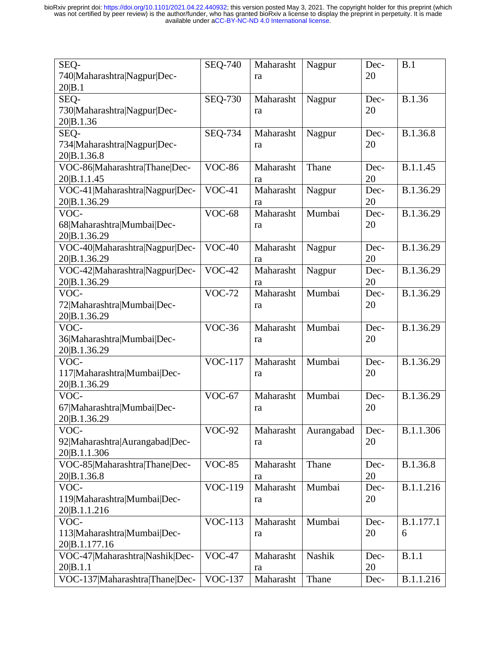| SEQ-                                       | <b>SEO-740</b> | Maharasht       | Nagpur     | Dec-       | B.1       |
|--------------------------------------------|----------------|-----------------|------------|------------|-----------|
| 740 Maharashtra Nagpur Dec-                |                | ra              |            | 20         |           |
| 20 B.1<br>SEQ-                             | <b>SEQ-730</b> | Maharasht       | Nagpur     | Dec-       | B.1.36    |
| 730 Maharashtra Nagpur Dec-                |                |                 |            | 20         |           |
| 20 B.1.36                                  |                | ra              |            |            |           |
| SEQ-                                       | $SEQ-734$      | Maharasht       | Nagpur     | Dec-       | B.1.36.8  |
| 734 Maharashtra Nagpur Dec-                |                | ra              |            | 20         |           |
| 20 B.1.36.8                                |                |                 |            |            |           |
| VOC-86 Maharashtra Thane Dec-              | <b>VOC-86</b>  | Maharasht       | Thane      | Dec-       | B.1.1.45  |
| 20 B.1.1.45                                |                | ra              |            | 20         |           |
| VOC-41 Maharashtra Nagpur Dec-             | $VOC-41$       | Maharasht       | Nagpur     | Dec-       | B.1.36.29 |
| 20 B.1.36.29                               |                | ra              |            | 20         |           |
| VOC-                                       | <b>VOC-68</b>  | Maharasht       | Mumbai     | Dec-       | B.1.36.29 |
| 68 Maharashtra Mumbai Dec-                 |                | ra              |            | 20         |           |
| 20 B.1.36.29                               |                |                 |            |            |           |
| VOC-40 Maharashtra Nagpur Dec-             | $VOC-40$       | Maharasht       | Nagpur     | Dec-       | B.1.36.29 |
| 20 B.1.36.29                               |                | ra              |            | 20         |           |
| VOC-42 Maharashtra Nagpur Dec-             | $VOC-42$       | Maharasht       | Nagpur     | Dec-       | B.1.36.29 |
| 20 B.1.36.29                               |                | ra              |            | 20         |           |
| VOC-                                       | <b>VOC-72</b>  | Maharasht       | Mumbai     | Dec-       | B.1.36.29 |
| 72 Maharashtra Mumbai Dec-                 |                | ra              |            | 20         |           |
| 20 B.1.36.29                               |                |                 |            |            |           |
| VOC-                                       | $VOC-36$       | Maharasht       | Mumbai     | Dec-       | B.1.36.29 |
| 36 Maharashtra Mumbai Dec-                 |                | ra              |            | 20         |           |
| 20 B.1.36.29                               |                |                 |            |            |           |
| VOC-                                       | <b>VOC-117</b> | Maharasht       | Mumbai     | Dec-       | B.1.36.29 |
| 117 Maharashtra Mumbai Dec-                |                | ra              |            | 20         |           |
| 20 B.1.36.29                               |                |                 |            |            |           |
| VOC-                                       | $VOC-67$       | Maharasht       | Mumbai     | Dec-       | B.1.36.29 |
| 67 Maharashtra Mumbai Dec-                 |                | ra              |            | 20         |           |
| 20 B.1.36.29                               |                |                 |            |            |           |
| VOC-                                       | <b>VOC-92</b>  | Maharasht       | Aurangabad | Dec-       | B.1.1.306 |
| 92 Maharashtra Aurangabad Dec-             |                | ra              |            | 20         |           |
| 20 B.1.1.306                               |                |                 |            |            |           |
| VOC-85 Maharashtra Thane Dec-              | <b>VOC-85</b>  | Maharasht       | Thane      | Dec-       | B.1.36.8  |
| 20 B.1.36.8                                |                | ra              |            | 20         |           |
| VOC-                                       | <b>VOC-119</b> | Maharasht       | Mumbai     | Dec-       | B.1.1.216 |
| 119 Maharashtra Mumbai Dec-                |                | ra              |            | 20         |           |
| 20 B.1.1.216                               |                |                 |            |            |           |
| VOC-                                       | <b>VOC-113</b> | Maharasht       | Mumbai     | Dec-       | B.1.177.1 |
| 113 Maharashtra Mumbai Dec-                |                | ra              |            | 20         | 6         |
| 20 B.1.177.16                              |                |                 |            |            |           |
| VOC-47 Maharashtra Nashik Dec-             | $VOC-47$       | Maharasht       | Nashik     | Dec-       | B.1.1     |
|                                            |                |                 |            |            |           |
| 20 B.1.1<br>VOC-137 Maharashtra Thane Dec- | <b>VOC-137</b> | ra<br>Maharasht | Thane      | 20<br>Dec- | B.1.1.216 |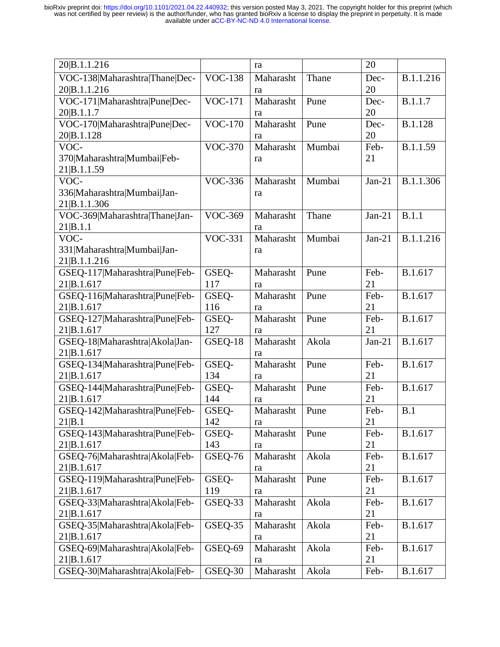| 20 B.1.1.216                   |                | ra        |        | 20       |                |
|--------------------------------|----------------|-----------|--------|----------|----------------|
| VOC-138 Maharashtra Thane Dec- | <b>VOC-138</b> | Maharasht | Thane  | Dec-     | B.1.1.216      |
| 20 B.1.1.216                   |                | ra        |        | 20       |                |
| VOC-171 Maharashtra Pune Dec-  | <b>VOC-171</b> | Maharasht | Pune   | Dec-     | B.1.1.7        |
| 20 B.1.1.7                     |                | ra        |        | 20       |                |
| VOC-170 Maharashtra Pune Dec-  | <b>VOC-170</b> | Maharasht | Pune   | Dec-     | <b>B.1.128</b> |
| 20 B.1.128                     |                | ra        |        | 20       |                |
| VOC-                           | <b>VOC-370</b> | Maharasht | Mumbai | Feb-     | B.1.1.59       |
| 370 Maharashtra Mumbai Feb-    |                | ra        |        | 21       |                |
| 21 B.1.1.59                    |                |           |        |          |                |
| VOC-                           | <b>VOC-336</b> | Maharasht | Mumbai | $Jan-21$ | B.1.1.306      |
| 336 Maharashtra Mumbai Jan-    |                | ra        |        |          |                |
| 21 B.1.1.306                   |                |           |        |          |                |
| VOC-369 Maharashtra Thane Jan- | <b>VOC-369</b> | Maharasht | Thane  | $Jan-21$ | B.1.1          |
| 21 B.1.1                       |                | ra        |        |          |                |
| VOC-                           | <b>VOC-331</b> | Maharasht | Mumbai | $Jan-21$ | B.1.1.216      |
| 331 Maharashtra Mumbai Jan-    |                | ra        |        |          |                |
| 21 B.1.1.216                   |                |           |        |          |                |
| GSEQ-117 Maharashtra Pune Feb- | GSEQ-          | Maharasht | Pune   | Feb-     | B.1.617        |
| 21 B.1.617                     | 117            | ra        |        | 21       |                |
| GSEQ-116 Maharashtra Pune Feb- | GSEQ-          | Maharasht | Pune   | Feb-     | B.1.617        |
| 21 B.1.617                     | 116            | ra        |        | 21       |                |
| GSEQ-127 Maharashtra Pune Feb- | GSEQ-          | Maharasht | Pune   | Feb-     | B.1.617        |
| 21 B.1.617                     | 127            | ra        |        | 21       |                |
| GSEQ-18 Maharashtra Akola Jan- | GSEQ-18        | Maharasht | Akola  | $Jan-21$ | B.1.617        |
| 21 B.1.617                     |                | ra        |        |          |                |
| GSEQ-134 Maharashtra Pune Feb- | GSEQ-          | Maharasht | Pune   | Feb-     | B.1.617        |
| 21 B.1.617                     | 134            | ra        |        | 21       |                |
| GSEQ-144 Maharashtra Pune Feb- | GSEQ-          | Maharasht | Pune   | Feb-     | B.1.617        |
| 21 B.1.617                     | 144            | ra        |        | 21       |                |
| GSEQ-142 Maharashtra Pune Feb- | GSEQ-          | Maharasht | Pune   | Feb-     | B.1            |
| 21 B.1                         | 142            | ra        |        | 21       |                |
| GSEQ-143 Maharashtra Pune Feb- | GSEQ-          | Maharasht | Pune   | Feb-     | B.1.617        |
| 21 B.1.617                     | 143            | ra        |        | 21       |                |
| GSEQ-76 Maharashtra Akola Feb- | GSEQ-76        | Maharasht | Akola  | Feb-     | B.1.617        |
| 21 B.1.617                     |                | ra        |        | 21       |                |
| GSEQ-119 Maharashtra Pune Feb- | GSEQ-          | Maharasht | Pune   | Feb-     | B.1.617        |
| 21 B.1.617                     | 119            | ra        |        | 21       |                |
| GSEQ-33 Maharashtra Akola Feb- | GSEQ-33        | Maharasht | Akola  | Feb-     | B.1.617        |
| 21 B.1.617                     |                | ra        |        | 21       |                |
| GSEQ-35 Maharashtra Akola Feb- | GSEQ-35        | Maharasht | Akola  | Feb-     | B.1.617        |
| 21 B.1.617                     |                | ra        |        | 21       |                |
| GSEQ-69 Maharashtra Akola Feb- | GSEQ-69        | Maharasht | Akola  | Feb-     | B.1.617        |
| 21 B.1.617                     |                | ra        |        | 21       |                |
| GSEQ-30 Maharashtra Akola Feb- | GSEQ-30        | Maharasht | Akola  | Feb-     | B.1.617        |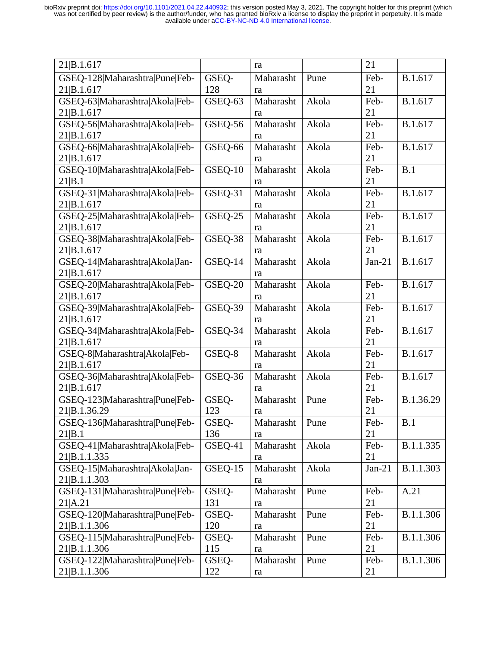| 21 B.1.617<br>21<br>ra                                                         |           |
|--------------------------------------------------------------------------------|-----------|
| GSEQ-128 Maharashtra Pune Feb-<br>GSEQ-<br>Feb-<br>Maharasht<br>Pune           | B.1.617   |
| 21 B.1.617<br>128<br>21<br>ra                                                  |           |
| GSEQ-63 Maharashtra Akola Feb-<br>GSEQ-63<br>Maharasht<br>Akola<br>Feb-        | B.1.617   |
| 21<br>21 B.1.617<br>ra                                                         |           |
| GSEQ-56 Maharashtra Akola Feb-<br>GSEQ-56<br>Maharasht<br>Akola<br>Feb-        | B.1.617   |
| 21 B.1.617<br>21<br>ra                                                         |           |
| GSEQ-66 Maharashtra Akola Feb-<br>GSEQ-66<br>Maharasht<br>Akola<br>Feb-        | B.1.617   |
| 21 B.1.617<br>21<br>ra                                                         |           |
| GSEQ-10 Maharashtra Akola Feb-<br>GSEQ-10<br>Maharasht<br>B.1<br>Akola<br>Feb- |           |
| 21<br>21 B.1<br>ra                                                             |           |
| GSEQ-31 Maharashtra Akola Feb-<br>GSEQ-31<br>Maharasht<br>Akola<br>Feb-        | B.1.617   |
| 21 B.1.617<br>21<br>ra                                                         |           |
| GSEQ-25<br>Maharasht<br>GSEQ-25 Maharashtra Akola Feb-<br>Akola<br>Feb-        | B.1.617   |
| 21 B.1.617<br>21<br>ra                                                         |           |
| GSEQ-38 Maharashtra Akola Feb-<br>GSEQ-38<br>Maharasht<br>Akola<br>Feb-        | B.1.617   |
| 21<br>21 B.1.617<br>ra                                                         |           |
| GSEQ-14 Maharashtra Akola Jan-<br>GSEQ-14<br>Maharasht<br>Akola<br>$Jan-21$    | B.1.617   |
| 21 B.1.617<br>ra                                                               |           |
| <b>GSEO-20</b><br>Maharasht<br>GSEQ-20 Maharashtra Akola Feb-<br>Akola<br>Feb- | B.1.617   |
| 21 B.1.617<br>21<br>ra                                                         |           |
| GSEQ-39 Maharashtra Akola Feb-<br>GSEQ-39<br>Maharasht<br>Akola<br>Feb-        | B.1.617   |
| 21 B.1.617<br>21<br>ra                                                         |           |
| GSEQ-34 Maharashtra Akola Feb-<br>GSEQ-34<br>Maharasht<br>Akola<br>Feb-        | B.1.617   |
| 21 B.1.617<br>21<br>ra                                                         |           |
| GSEQ-8<br>GSEQ-8 Maharashtra Akola Feb-<br>Maharasht<br>Akola<br>Feb-          | B.1.617   |
| 21 B.1.617<br>21<br>ra                                                         |           |
| GSEQ-36 Maharashtra Akola Feb-<br>GSEQ-36<br>Maharasht<br>Akola<br>Feb-        | B.1.617   |
| 21 B.1.617<br>21<br>ra                                                         |           |
| GSEQ-123 Maharashtra Pune Feb-<br>GSEQ-<br>Maharasht<br>Pune<br>Feb-           | B.1.36.29 |
| 21 B.1.36.29<br>21<br>123<br>ra                                                |           |
| Feb-<br>GSEQ-136 Maharashtra Pune Feb-<br>GSEQ-<br>Maharasht<br>Pune<br>B.1    |           |
| 21 B.1<br>136<br>21<br>ra                                                      |           |
| GSEQ-41 Maharashtra Akola Feb-<br>GSEQ-41<br>Maharasht<br>Akola<br>Feb-        | B.1.1.335 |
| 21 B.1.1.335<br>21<br>ra                                                       |           |
| GSEQ-15 Maharashtra Akola Jan-<br>GSEQ-15<br>Maharasht<br>Akola<br>$Jan-21$    | B.1.1.303 |
| 21 B.1.1.303<br>ra                                                             |           |
| GSEQ-131 Maharashtra Pune Feb-<br>GSEQ-<br>Maharasht<br>Pune<br>Feb-<br>A.21   |           |
| 21   A.21<br>131<br>21<br>ra                                                   |           |
| GSEQ-120 Maharashtra Pune Feb-<br>GSEQ-<br>Maharasht<br>Pune<br>Feb-           | B.1.1.306 |
| 21 B.1.1.306<br>120<br>21<br>ra                                                |           |
| GSEQ-115 Maharashtra Pune Feb-<br>Maharasht<br>GSEQ-<br>Pune<br>Feb-           | B.1.1.306 |
| 21<br>21 B.1.1.306<br>115<br>ra                                                |           |
| GSEQ-122 Maharashtra Pune Feb-<br>GSEQ-<br>Maharasht<br>Pune<br>Feb-           | B.1.1.306 |
|                                                                                |           |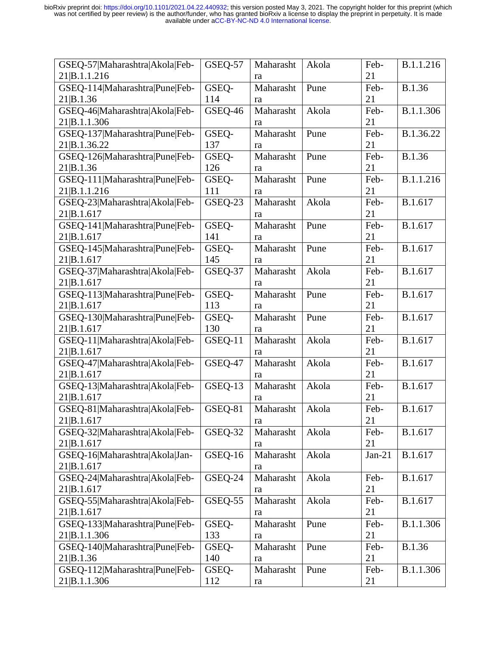| GSEQ-57 Maharashtra Akola Feb- | GSEQ-57 | Maharasht | Akola | Feb-     | B.1.1.216     |
|--------------------------------|---------|-----------|-------|----------|---------------|
| 21 B.1.1.216                   |         | ra        |       | 21       |               |
| GSEQ-114 Maharashtra Pune Feb- | GSEQ-   | Maharasht | Pune  | Feb-     | <b>B.1.36</b> |
| 21 B.1.36                      | 114     | ra        |       | 21       |               |
| GSEQ-46 Maharashtra Akola Feb- | GSEQ-46 | Maharasht | Akola | Feb-     | B.1.1.306     |
| 21 B.1.1.306                   |         | ra        |       | 21       |               |
| GSEQ-137 Maharashtra Pune Feb- | GSEQ-   | Maharasht | Pune  | Feb-     | B.1.36.22     |
| 21 B.1.36.22                   | 137     | ra        |       | 21       |               |
| GSEQ-126 Maharashtra Pune Feb- | GSEQ-   | Maharasht | Pune  | Feb-     | B.1.36        |
| 21 B.1.36                      | 126     | ra        |       | 21       |               |
| GSEQ-111 Maharashtra Pune Feb- | GSEQ-   | Maharasht | Pune  | Feb-     | B.1.1.216     |
| 21 B.1.1.216                   | 111     | ra        |       | 21       |               |
| GSEQ-23 Maharashtra Akola Feb- | GSEQ-23 | Maharasht | Akola | Feb-     | B.1.617       |
| 21 B.1.617                     |         | ra        |       | 21       |               |
| GSEQ-141 Maharashtra Pune Feb- | GSEQ-   | Maharasht | Pune  | Feb-     | B.1.617       |
| 21 B.1.617                     | 141     | ra        |       | 21       |               |
| GSEQ-145 Maharashtra Pune Feb- | GSEQ-   | Maharasht | Pune  | Feb-     | B.1.617       |
| 21 B.1.617                     | 145     | ra        |       | 21       |               |
| GSEQ-37 Maharashtra Akola Feb- | GSEQ-37 | Maharasht | Akola | Feb-     | B.1.617       |
| 21 B.1.617                     |         | ra        |       | 21       |               |
| GSEQ-113 Maharashtra Pune Feb- | GSEQ-   | Maharasht | Pune  | Feb-     | B.1.617       |
| 21 B.1.617                     | 113     | ra        |       | 21       |               |
| GSEQ-130 Maharashtra Pune Feb- | GSEQ-   | Maharasht | Pune  | Feb-     | B.1.617       |
| 21 B.1.617                     | 130     | ra        |       | 21       |               |
| GSEQ-11 Maharashtra Akola Feb- | GSEQ-11 | Maharasht | Akola | Feb-     | B.1.617       |
| 21 B.1.617                     |         | ra        |       | 21       |               |
| GSEQ-47 Maharashtra Akola Feb- | GSEQ-47 | Maharasht | Akola | Feb-     | B.1.617       |
| 21 B.1.617                     |         | ra        |       | 21       |               |
| GSEQ-13 Maharashtra Akola Feb- | GSEQ-13 | Maharasht | Akola | Feb-     | B.1.617       |
| 21 B.1.617                     |         | ra        |       | 21       |               |
| GSEQ-81 Maharashtra Akola Feb- | GSEQ-81 | Maharasht | Akola | Feb-     | B.1.617       |
| 21 B.1.617                     |         | ra        |       | 21       |               |
| GSEQ-32 Maharashtra Akola Feb- | GSEQ-32 | Maharasht | Akola | Feb-     | B.1.617       |
| 21 B.1.617                     |         | ra        |       | 21       |               |
| GSEQ-16 Maharashtra Akola Jan- | GSEQ-16 | Maharasht | Akola | $Jan-21$ | B.1.617       |
| 21 B.1.617                     |         | ra        |       |          |               |
| GSEQ-24 Maharashtra Akola Feb- | GSEQ-24 | Maharasht | Akola | Feb-     | B.1.617       |
| 21 B.1.617                     |         | ra        |       | 21       |               |
| GSEQ-55 Maharashtra Akola Feb- | GSEQ-55 | Maharasht | Akola | Feb-     | B.1.617       |
| 21 B.1.617                     |         | ra        |       | 21       |               |
| GSEQ-133 Maharashtra Pune Feb- | GSEQ-   | Maharasht | Pune  | Feb-     | B.1.1.306     |
| 21 B.1.1.306                   | 133     | ra        |       | 21       |               |
| GSEQ-140 Maharashtra Pune Feb- | GSEQ-   | Maharasht | Pune  | Feb-     | <b>B.1.36</b> |
| 21 B.1.36                      | 140     | ra        |       | 21       |               |
| GSEQ-112 Maharashtra Pune Feb- | GSEQ-   | Maharasht | Pune  | Feb-     | B.1.1.306     |
| 21 B.1.1.306                   | 112     | ra        |       | 21       |               |
|                                |         |           |       |          |               |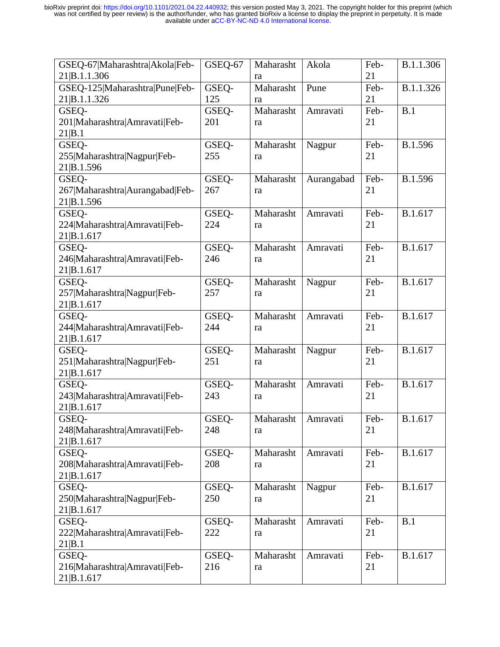| GSEQ-67 Maharashtra Akola Feb-<br>21 B.1.1.306 | GSEQ-67 | Maharasht<br>ra | Akola      | Feb-<br>21 | B.1.1.306 |
|------------------------------------------------|---------|-----------------|------------|------------|-----------|
| GSEQ-125 Maharashtra Pune Feb-                 | GSEQ-   | Maharasht       | Pune       | Feb-       | B.1.1.326 |
| 21 B.1.1.326                                   | 125     | ra              |            | 21         |           |
| GSEQ-                                          | GSEQ-   | Maharasht       | Amravati   | Feb-       | B.1       |
| 201 Maharashtra Amravati Feb-                  | 201     | ra              |            | 21         |           |
| 21 B.1                                         |         |                 |            |            |           |
| GSEQ-                                          | GSEQ-   | Maharasht       | Nagpur     | Feb-       | B.1.596   |
| 255 Maharashtra Nagpur Feb-                    | 255     | ra              |            | 21         |           |
| 21 B.1.596                                     |         |                 |            |            |           |
| GSEQ-                                          | GSEQ-   | Maharasht       | Aurangabad | Feb-       | B.1.596   |
| 267 Maharashtra Aurangabad Feb-                | 267     | ra              |            | 21         |           |
| 21 B.1.596                                     |         |                 |            |            |           |
| GSEQ-                                          | GSEQ-   | Maharasht       | Amravati   | Feb-       | B.1.617   |
| 224 Maharashtra Amravati Feb-                  | 224     | ra              |            | 21         |           |
| 21 B.1.617                                     |         |                 |            |            |           |
| GSEQ-                                          | GSEQ-   | Maharasht       | Amravati   | Feb-       | B.1.617   |
| 246 Maharashtra Amravati Feb-                  | 246     | ra              |            | 21         |           |
| 21 B.1.617                                     |         |                 |            |            |           |
| GSEQ-                                          | GSEO-   | Maharasht       | Nagpur     | Feb-       | B.1.617   |
| 257 Maharashtra Nagpur Feb-                    | 257     | ra              |            | 21         |           |
| 21 B.1.617                                     |         |                 |            |            |           |
| GSEQ-                                          | GSEQ-   | Maharasht       | Amravati   | Feb-       | B.1.617   |
| 244 Maharashtra Amravati Feb-                  | 244     | ra              |            | 21         |           |
| 21 B.1.617                                     |         |                 |            |            |           |
| GSEQ-                                          | GSEQ-   | Maharasht       | Nagpur     | Feb-       | B.1.617   |
| 251 Maharashtra Nagpur Feb-                    | 251     | ra              |            | 21         |           |
| 21 B.1.617                                     |         |                 |            |            |           |
| GSEQ-                                          | GSEQ-   | Maharasht       | Amravati   | Feb-       | B.1.617   |
| 243 Maharashtra Amravati Feb-                  | 243     |                 |            | 21         |           |
| 21 B.1.617                                     |         | ra              |            |            |           |
| GSEQ-                                          | GSEQ-   | Maharasht       | Amravati   | Feb-       | B.1.617   |
| 248 Maharashtra Amravati Feb-                  | 248     | ra              |            | 21         |           |
| 21 B.1.617                                     |         |                 |            |            |           |
| GSEQ-                                          | GSEQ-   | Maharasht       | Amravati   | Feb-       | B.1.617   |
| 208 Maharashtra Amravati Feb-                  | 208     |                 |            | 21         |           |
| 21 B.1.617                                     |         | ra              |            |            |           |
| GSEQ-                                          | GSEQ-   | Maharasht       |            | Feb-       | B.1.617   |
|                                                |         |                 | Nagpur     |            |           |
| 250 Maharashtra Nagpur Feb-                    | 250     | ra              |            | 21         |           |
| 21 B.1.617                                     |         |                 |            |            |           |
| GSEQ-                                          | GSEQ-   | Maharasht       | Amravati   | Feb-       | B.1       |
| 222 Maharashtra Amravati Feb-                  | 222     | ra              |            | 21         |           |
| 21 B.1                                         |         |                 |            |            |           |
| GSEQ-                                          | GSEQ-   | Maharasht       | Amravati   | Feb-       | B.1.617   |
| 216 Maharashtra Amravati Feb-                  | 216     | ra              |            | 21         |           |
| 21 B.1.617                                     |         |                 |            |            |           |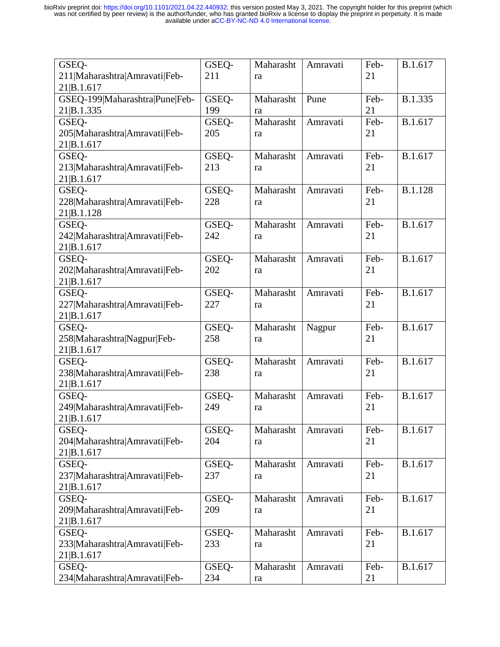| GSEQ-                          | GSEQ- | Maharasht | Amravati | Feb- | B.1.617 |
|--------------------------------|-------|-----------|----------|------|---------|
| 211 Maharashtra Amravati Feb-  | 211   | ra        |          | 21   |         |
| 21 B.1.617                     |       |           |          |      |         |
| GSEQ-199 Maharashtra Pune Feb- | GSEQ- | Maharasht | Pune     | Feb- | B.1.335 |
| 21 B.1.335                     | 199   | ra        |          | 21   |         |
| GSEQ-                          | GSEQ- | Maharasht | Amravati | Feb- | B.1.617 |
| 205 Maharashtra Amravati Feb-  | 205   | ra        |          | 21   |         |
| 21 B.1.617                     |       |           |          |      |         |
| GSEQ-                          | GSEO- | Maharasht | Amravati | Feb- | B.1.617 |
| 213 Maharashtra Amravati Feb-  | 213   | ra        |          | 21   |         |
| 21 B.1.617                     |       |           |          |      |         |
| GSEQ-                          | GSEQ- | Maharasht | Amravati | Feb- | B.1.128 |
| 228 Maharashtra Amravati Feb-  | 228   | ra        |          | 21   |         |
| 21 B.1.128                     |       |           |          |      |         |
| GSEQ-                          | GSEQ- | Maharasht | Amravati | Feb- | B.1.617 |
| 242 Maharashtra Amravati Feb-  | 242   | ra        |          | 21   |         |
| 21 B.1.617                     |       |           |          |      |         |
| GSEQ-                          | GSEQ- | Maharasht | Amravati | Feb- | B.1.617 |
| 202 Maharashtra Amravati Feb-  | 202   | ra        |          | 21   |         |
| 21 B.1.617                     |       |           |          |      |         |
| GSEQ-                          | GSEO- | Maharasht | Amravati | Feb- | B.1.617 |
| 227 Maharashtra Amravati Feb-  | 227   | ra        |          | 21   |         |
| 21 B.1.617                     |       |           |          |      |         |
| GSEQ-                          | GSEQ- | Maharasht | Nagpur   | Feb- | B.1.617 |
| 258 Maharashtra Nagpur Feb-    | 258   | ra        |          | 21   |         |
| 21 B.1.617                     |       |           |          |      |         |
| GSEQ-                          | GSEQ- | Maharasht | Amravati | Feb- | B.1.617 |
| 238 Maharashtra Amravati Feb-  | 238   | ra        |          | 21   |         |
| 21 B.1.617                     |       |           |          |      |         |
| GSEQ-                          | GSEQ- | Maharasht | Amravati | Feb- | B.1.617 |
| 249 Maharashtra Amravati Feb-  | 249   | ra        |          | 21   |         |
| 21 B.1.617                     |       |           |          |      |         |
| GSEQ-                          | GSEQ- | Maharasht | Amravati | Feb- | B.1.617 |
| 204 Maharashtra Amravati Feb-  | 204   | ra        |          | 21   |         |
| 21 B.1.617                     |       |           |          |      |         |
| GSEQ-                          | GSEQ- | Maharasht | Amravati | Feb- | B.1.617 |
| 237 Maharashtra Amravati Feb-  | 237   | ra        |          | 21   |         |
| 21 B.1.617                     |       |           |          |      |         |
| GSEQ-                          | GSEQ- | Maharasht | Amravati | Feb- | B.1.617 |
| 209 Maharashtra Amravati Feb-  | 209   | ra        |          | 21   |         |
| 21 B.1.617                     |       |           |          |      |         |
| GSEQ-                          | GSEQ- | Maharasht | Amravati | Feb- | B.1.617 |
| 233 Maharashtra Amravati Feb-  | 233   | ra        |          | 21   |         |
| 21 B.1.617                     |       |           |          |      |         |
| GSEQ-                          | GSEQ- | Maharasht | Amravati | Feb- | B.1.617 |
| 234 Maharashtra Amravati Feb-  | 234   | ra        |          | 21   |         |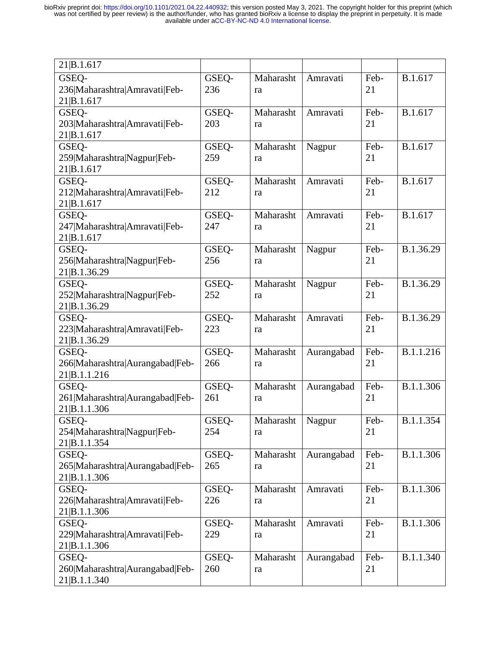| 21 B.1.617                                      |              |                 |            |            |           |
|-------------------------------------------------|--------------|-----------------|------------|------------|-----------|
| GSEQ-<br>236 Maharashtra Amravati Feb-          | GSEQ-<br>236 | Maharasht<br>ra | Amravati   | Feb-<br>21 | B.1.617   |
| 21 B.1.617                                      |              |                 |            |            |           |
| GSEQ-                                           | GSEQ-        | Maharasht       | Amravati   | Feb-       | B.1.617   |
| 203 Maharashtra Amravati Feb-<br>21 B.1.617     | 203          | ra              |            | 21         |           |
| GSEQ-                                           | GSEQ-        | Maharasht       | Nagpur     | Feb-       | B.1.617   |
| 259 Maharashtra Nagpur Feb-                     | 259          | ra              |            | 21         |           |
| 21 B.1.617                                      |              |                 |            |            |           |
| GSEQ-<br>212 Maharashtra Amravati Feb-          | GSEQ-<br>212 | Maharasht       | Amravati   | Feb-<br>21 | B.1.617   |
| 21 B.1.617                                      |              | ra              |            |            |           |
| GSEQ-                                           | GSEQ-        | Maharasht       | Amravati   | Feb-       | B.1.617   |
| 247 Maharashtra Amravati Feb-                   | 247          | ra              |            | 21         |           |
| 21 B.1.617<br>GSEQ-                             | GSEQ-        | Maharasht       | Nagpur     | Feb-       | B.1.36.29 |
| 256 Maharashtra Nagpur Feb-                     | 256          | ra              |            | 21         |           |
| 21 B.1.36.29                                    |              |                 |            |            |           |
| GSEQ-                                           | GSEQ-        | Maharasht       | Nagpur     | Feb-       | B.1.36.29 |
| 252 Maharashtra Nagpur Feb-<br>21 B.1.36.29     | 252          | ra              |            | 21         |           |
| GSEQ-                                           | GSEQ-        | Maharasht       | Amravati   | Feb-       | B.1.36.29 |
| 223 Maharashtra Amravati Feb-                   | 223          | ra              |            | 21         |           |
| 21 B.1.36.29                                    |              |                 |            |            |           |
| GSEQ-                                           | GSEQ-<br>266 | Maharasht       | Aurangabad | Feb-<br>21 | B.1.1.216 |
| 266 Maharashtra Aurangabad Feb-<br>21 B.1.1.216 |              | ra              |            |            |           |
| GSEQ-                                           | GSEQ-        | Maharasht       | Aurangabad | Feb-       | B.1.1.306 |
| 261 Maharashtra Aurangabad Feb-                 | 261          | ra              |            | 21         |           |
| 21 B.1.1.306                                    |              |                 |            | Feb-       | B.1.1.354 |
| GSEO-<br>254 Maharashtra Nagpur Feb-            | GSEQ-<br>254 | Maharasht<br>ra | Nagpur     | 21         |           |
| 21 B.1.1.354                                    |              |                 |            |            |           |
| GSEQ-                                           | GSEQ-        | Maharasht       | Aurangabad | Feb-       | B.1.1.306 |
| 265 Maharashtra Aurangabad Feb-                 | 265          | ra              |            | 21         |           |
| 21 B.1.1.306<br>GSEQ-                           | GSEQ-        | Maharasht       | Amravati   | Feb-       | B.1.1.306 |
| 226 Maharashtra Amravati Feb-                   | 226          | ra              |            | 21         |           |
| 21 B.1.1.306                                    |              |                 |            |            |           |
| GSEQ-                                           | GSEQ-        | Maharasht       | Amravati   | Feb-       | B.1.1.306 |
| 229 Maharashtra Amravati Feb-<br>21 B.1.1.306   | 229          | ra              |            | 21         |           |
| GSEQ-                                           | GSEQ-        | Maharasht       | Aurangabad | Feb-       | B.1.1.340 |
| 260 Maharashtra Aurangabad Feb-                 | 260          | ra              |            | 21         |           |
| 21 B.1.1.340                                    |              |                 |            |            |           |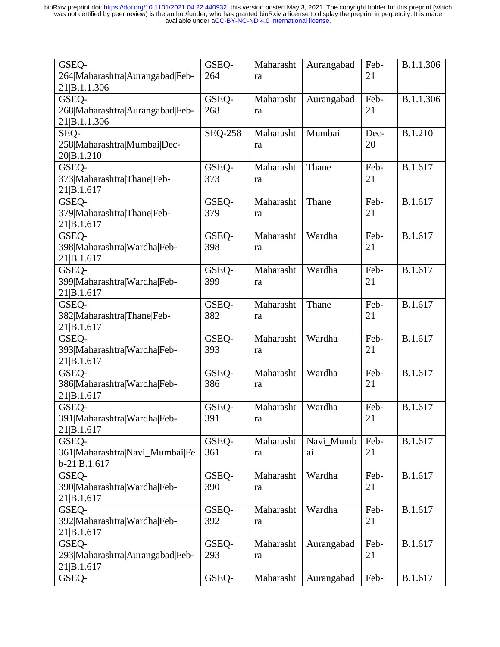| GSEQ-<br>264 Maharashtra Aurangabad Feb-                  | GSEQ-<br>264   | Maharasht<br>ra | Aurangabad      | Feb-<br>21 | B.1.1.306 |
|-----------------------------------------------------------|----------------|-----------------|-----------------|------------|-----------|
| 21 B.1.1.306                                              |                |                 |                 |            |           |
| GSEQ-<br>268 Maharashtra Aurangabad Feb-<br>21 B.1.1.306  | GSEQ-<br>268   | Maharasht<br>ra | Aurangabad      | Feb-<br>21 | B.1.1.306 |
| SEQ-<br>258 Maharashtra Mumbai Dec-<br>20 B.1.210         | <b>SEQ-258</b> | Maharasht<br>ra | Mumbai          | Dec-<br>20 | B.1.210   |
| GSEQ-<br>373 Maharashtra Thane Feb-<br>21 B.1.617         | GSEQ-<br>373   | Maharasht<br>ra | Thane           | Feb-<br>21 | B.1.617   |
| GSEQ-<br>379 Maharashtra Thane Feb-<br>21 B.1.617         | GSEQ-<br>379   | Maharasht<br>ra | Thane           | Feb-<br>21 | B.1.617   |
| GSEQ-<br>398 Maharashtra Wardha Feb-<br>21 B.1.617        | GSEQ-<br>398   | Maharasht<br>ra | Wardha          | Feb-<br>21 | B.1.617   |
| GSEQ-<br>399 Maharashtra Wardha Feb-<br>21 B.1.617        | GSEO-<br>399   | Maharasht<br>ra | Wardha          | Feb-<br>21 | B.1.617   |
| GSEQ-<br>382 Maharashtra Thane Feb-<br>21 B.1.617         | GSEQ-<br>382   | Maharasht<br>ra | Thane           | Feb-<br>21 | B.1.617   |
| GSEQ-<br>393 Maharashtra Wardha Feb-<br>21 B.1.617        | GSEQ-<br>393   | Maharasht<br>ra | Wardha          | Feb-<br>21 | B.1.617   |
| GSEQ-<br>386 Maharashtra Wardha Feb-<br>21 B.1.617        | GSEQ-<br>386   | Maharasht<br>ra | Wardha          | Feb-<br>21 | B.1.617   |
| GSEQ-<br>391 Maharashtra Wardha Feb-<br>21 B.1.617        | GSEQ-<br>391   | Maharasht<br>ra | Wardha          | Feb-<br>21 | B.1.617   |
| GSEQ-<br>361 Maharashtra Navi Mumbai Fe<br>$b-21 B.1.617$ | GSEQ-<br>361   | Maharasht<br>ra | Navi_Mumb<br>ai | Feb-<br>21 | B.1.617   |
| GSEQ-<br>390 Maharashtra Wardha Feb-<br>21 B.1.617        | GSEQ-<br>390   | Maharasht<br>ra | Wardha          | Feb-<br>21 | B.1.617   |
| GSEQ-<br>392 Maharashtra Wardha Feb-<br>21 B.1.617        | GSEQ-<br>392   | Maharasht<br>ra | Wardha          | Feb-<br>21 | B.1.617   |
| GSEQ-<br>293 Maharashtra Aurangabad Feb-<br>21 B.1.617    | GSEQ-<br>293   | Maharasht<br>ra | Aurangabad      | Feb-<br>21 | B.1.617   |
| GSEQ-                                                     | GSEQ-          | Maharasht       | Aurangabad      | Feb-       | B.1.617   |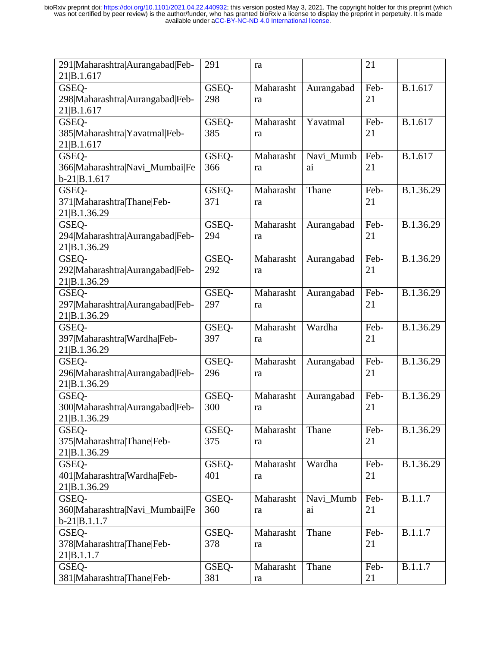| 291 Maharashtra Aurangabad Feb-     | 291          | ra              |            | 21         |           |
|-------------------------------------|--------------|-----------------|------------|------------|-----------|
| 21 B.1.617                          |              |                 |            |            |           |
| GSEO-                               | GSEQ-        | Maharasht       | Aurangabad | Feb-       | B.1.617   |
| 298 Maharashtra Aurangabad Feb-     | 298          | ra              |            | 21         |           |
| 21 B.1.617                          |              |                 |            |            |           |
| GSEQ-                               | GSEQ-        | Maharasht       | Yavatmal   | Feb-       | B.1.617   |
| 385 Maharashtra Yavatmal Feb-       | 385          | ra              |            | 21         |           |
| 21 B.1.617                          |              |                 |            |            |           |
| GSEQ-                               | GSEQ-        | Maharasht       | Navi_Mumb  | Feb-       | B.1.617   |
| 366 Maharashtra Navi_Mumbai Fe      | 366          | ra              | ai         | 21         |           |
| $b-21 B.1.617$                      |              |                 |            |            |           |
| GSEQ-                               | GSEQ-        | Maharasht       | Thane      | Feb-       | B.1.36.29 |
| 371 Maharashtra Thane Feb-          | 371          | ra              |            | 21         |           |
| 21 B.1.36.29                        |              |                 |            |            |           |
| GSEQ-                               | GSEO-        | Maharasht       | Aurangabad | Feb-       | B.1.36.29 |
| 294 Maharashtra Aurangabad Feb-     | 294          | ra              |            | 21         |           |
| 21 B.1.36.29                        |              |                 |            |            |           |
| GSEQ-                               | GSEO-        | Maharasht       | Aurangabad | Feb-       | B.1.36.29 |
| 292 Maharashtra Aurangabad Feb-     | 292          | ra              |            | 21         |           |
| 21 B.1.36.29                        |              |                 |            |            |           |
| GSEQ-                               | GSEO-        | Maharasht       | Aurangabad | Feb-       | B.1.36.29 |
| 297 Maharashtra Aurangabad Feb-     | 297          | ra              |            | 21         |           |
| 21 B.1.36.29                        |              |                 |            |            |           |
| GSEQ-                               | GSEQ-        | Maharasht       | Wardha     | Feb-       | B.1.36.29 |
| 397 Maharashtra Wardha Feb-         | 397          | ra              |            | 21         |           |
|                                     |              |                 |            |            |           |
|                                     |              |                 |            |            |           |
| 21 B.1.36.29                        |              |                 |            |            |           |
| GSEQ-                               | GSEQ-        | Maharasht       | Aurangabad | Feb-       | B.1.36.29 |
| 296 Maharashtra Aurangabad Feb-     | 296          | ra              |            | 21         |           |
| 21 B.1.36.29                        |              |                 |            |            |           |
| GSEQ-                               | GSEQ-        | Maharasht       | Aurangabad | Feb-       | B.1.36.29 |
| 300 Maharashtra Aurangabad Feb-     | 300          | ra              |            | 21         |           |
| 21 B.1.36.29                        |              |                 |            |            |           |
| GSEQ-                               | GSEO-        | Maharasht       | Thane      | Feb-       | B.1.36.29 |
| 375 Maharashtra Thane Feb-          | 375          | ra              |            | 21         |           |
| 21 B.1.36.29                        |              |                 |            |            |           |
| GSEQ-                               | GSEO-        | Maharasht       | Wardha     | Feb-       | B.1.36.29 |
| 401 Maharashtra Wardha Feb-         | 401          | ra              |            | 21         |           |
| 21 B.1.36.29                        |              |                 |            |            |           |
| GSEQ-                               | GSEQ-        | Maharasht       | Navi_Mumb  | Feb-       | B.1.1.7   |
| 360 Maharashtra Navi_Mumbai Fe      | 360          | ra              | ai         | 21         |           |
| $b-21 B.1.1.7$                      |              |                 |            |            |           |
| GSEQ-                               | GSEQ-        | Maharasht       | Thane      | Feb-       | B.1.1.7   |
| 378 Maharashtra Thane Feb-          | 378          | ra              |            | 21         |           |
| 21 B.1.1.7                          |              |                 |            |            |           |
| GSEQ-<br>381 Maharashtra Thane Feb- | GSEQ-<br>381 | Maharasht<br>ra | Thane      | Feb-<br>21 | B.1.1.7   |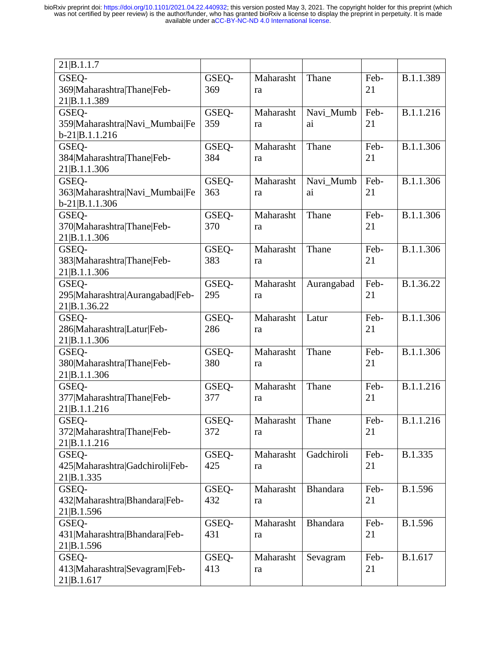| 21 B.1.1.7                      |              |           |                 |            |           |
|---------------------------------|--------------|-----------|-----------------|------------|-----------|
| GSEQ-                           | GSEQ-        | Maharasht | Thane           | Feb-       | B.1.1.389 |
| 369 Maharashtra Thane Feb-      | 369          | ra        |                 | 21         |           |
| 21 B.1.1.389                    |              |           |                 |            |           |
| GSEQ-                           | GSEQ-        | Maharasht | Navi_Mumb       | Feb-       | B.1.1.216 |
| 359 Maharashtra Navi_Mumbai Fe  | 359          | ra        | ai              | 21         |           |
| $b-21 B.1.1.216$                |              |           |                 |            |           |
| GSEQ-                           | GSEQ-        | Maharasht | Thane           | Feb-       | B.1.1.306 |
| 384 Maharashtra Thane Feb-      | 384          | ra        |                 | 21         |           |
| 21 B.1.1.306                    |              |           |                 |            |           |
| GSEQ-                           | GSEQ-        | Maharasht | Navi_Mumb       | Feb-       | B.1.1.306 |
| 363 Maharashtra Navi_Mumbai Fe  | 363          | ra        | ai              | 21         |           |
| $b-21 B.1.1.306$                |              |           |                 |            |           |
| GSEQ-                           | GSEQ-        | Maharasht | Thane           | Feb-       | B.1.1.306 |
| 370 Maharashtra Thane Feb-      | 370          | ra        |                 | 21         |           |
| 21 B.1.1.306                    |              |           |                 |            |           |
| GSEQ-                           | GSEQ-        | Maharasht | Thane           | Feb-       | B.1.1.306 |
| 383 Maharashtra Thane Feb-      | 383          | ra        |                 | 21         |           |
| 21 B.1.1.306                    |              |           |                 |            |           |
| GSEQ-                           | GSEQ-        | Maharasht | Aurangabad      | Feb-       | B.1.36.22 |
| 295 Maharashtra Aurangabad Feb- | 295          | ra        |                 | 21         |           |
| 21 B.1.36.22                    |              |           |                 |            |           |
| GSEQ-                           | GSEQ-        | Maharasht | Latur           | Feb-       | B.1.1.306 |
| 286 Maharashtra Latur Feb-      | 286          | ra        |                 | 21         |           |
| 21 B.1.1.306                    |              |           |                 |            |           |
| GSEQ-                           | GSEQ-        | Maharasht | Thane           | Feb-       | B.1.1.306 |
| 380 Maharashtra Thane Feb-      | 380          | ra        |                 | 21         |           |
| 21 B.1.1.306<br>GSEQ-           |              | Maharasht | Thane           |            | B.1.1.216 |
| 377 Maharashtra Thane Feb-      | GSEQ-<br>377 | ra        |                 | Feb-<br>21 |           |
| 21 B.1.1.216                    |              |           |                 |            |           |
| GSEO-                           | GSEQ-        | Maharasht | Thane           | Feb-       | B.1.1.216 |
| 372 Maharashtra Thane Feb-      | 372          | ra        |                 | 21         |           |
| 21 B.1.1.216                    |              |           |                 |            |           |
| GSEQ-                           | GSEQ-        | Maharasht | Gadchiroli      | Feb-       | B.1.335   |
| 425 Maharashtra Gadchiroli Feb- | 425          | ra        |                 | 21         |           |
| 21 B.1.335                      |              |           |                 |            |           |
| GSEQ-                           | GSEQ-        | Maharasht | <b>Bhandara</b> | Feb-       | B.1.596   |
| 432 Maharashtra Bhandara Feb-   | 432          | ra        |                 | 21         |           |
| 21 B.1.596                      |              |           |                 |            |           |
| GSEQ-                           | GSEQ-        | Maharasht | <b>Bhandara</b> | Feb-       | B.1.596   |
| 431 Maharashtra Bhandara Feb-   | 431          | ra        |                 | 21         |           |
| 21 B.1.596                      |              |           |                 |            |           |
| GSEQ-                           | GSEQ-        | Maharasht | Sevagram        | Feb-       | B.1.617   |
| 413 Maharashtra Sevagram Feb-   | 413          | ra        |                 | 21         |           |
| 21 B.1.617                      |              |           |                 |            |           |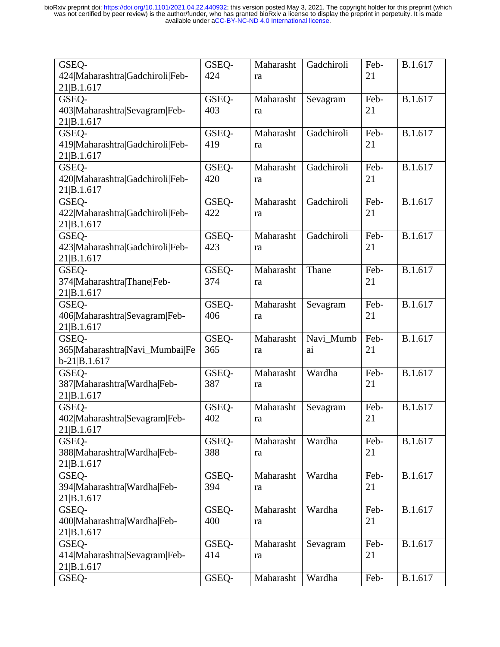| GSEQ-                                         | GSEQ-        | Maharasht       | Gadchiroli | Feb-       | B.1.617 |
|-----------------------------------------------|--------------|-----------------|------------|------------|---------|
| 424 Maharashtra Gadchiroli Feb-<br>21 B.1.617 | 424          | ra              |            | 21         |         |
| GSEQ-                                         | GSEQ-        | Maharasht       | Sevagram   | Feb-       | B.1.617 |
| 403 Maharashtra Sevagram Feb-                 | 403          | ra              |            | 21         |         |
| 21 B.1.617                                    |              |                 |            |            |         |
| GSEQ-                                         | GSEQ-        | Maharasht       | Gadchiroli | Feb-       | B.1.617 |
| 419 Maharashtra Gadchiroli Feb-               | 419          | ra              |            | 21         |         |
| 21 B.1.617<br>GSEQ-                           | GSEQ-        | Maharasht       | Gadchiroli | Feb-       | B.1.617 |
| 420 Maharashtra Gadchiroli Feb-               | 420          | ra              |            | 21         |         |
| 21 B.1.617                                    |              |                 |            |            |         |
| GSEQ-                                         | GSEQ-        | Maharasht       | Gadchiroli | Feb-       | B.1.617 |
| 422 Maharashtra Gadchiroli Feb-               | 422          | ra              |            | 21         |         |
| 21 B.1.617                                    |              |                 |            |            |         |
| GSEQ-                                         | GSEO-        | Maharasht       | Gadchiroli | Feb-       | B.1.617 |
| 423 Maharashtra Gadchiroli Feb-               | 423          | ra              |            | 21         |         |
| 21 B.1.617<br>GSEQ-                           | GSEQ-        | Maharasht       | Thane      | Feb-       | B.1.617 |
| 374 Maharashtra Thane Feb-                    | 374          | ra              |            | 21         |         |
| 21 B.1.617                                    |              |                 |            |            |         |
| GSEQ-                                         | GSEQ-        | Maharasht       | Sevagram   | Feb-       | B.1.617 |
| 406 Maharashtra Sevagram Feb-                 | 406          | ra              |            | 21         |         |
| 21 B.1.617                                    |              |                 |            |            |         |
| GSEQ-                                         | GSEQ-        | Maharasht       | Navi_Mumb  | Feb-       | B.1.617 |
| 365 Maharashtra Navi_Mumbai Fe                | 365          | ra              | ai         | 21         |         |
| $b-21 B.1.617$                                |              |                 |            |            |         |
| GSEQ-<br>387 Maharashtra Wardha Feb-          | GSEQ-<br>387 | Maharasht<br>ra | Wardha     | Feb-<br>21 | B.1.617 |
| 21 B.1.617                                    |              |                 |            |            |         |
| GSEQ-                                         | GSEQ-        | Maharasht       | Sevagram   | Feb-       | B.1.617 |
| 402 Maharashtra Sevagram Feb-                 | 402          | ra              |            | 21         |         |
| 21 B.1.617                                    |              |                 |            |            |         |
| GSEO-                                         | GSEQ-        | Maharasht       | Wardha     | Feb-       | B.1.617 |
| 388 Maharashtra Wardha Feb-                   | 388          | ra              |            | 21         |         |
| 21 B.1.617                                    |              |                 |            |            |         |
| GSEQ-                                         | GSEQ-        | Maharasht       | Wardha     | Feb-       | B.1.617 |
| 394 Maharashtra Wardha Feb-<br>21 B.1.617     | 394          | ra              |            | 21         |         |
| GSEQ-                                         | GSEQ-        | Maharasht       | Wardha     | Feb-       | B.1.617 |
| 400 Maharashtra Wardha Feb-                   | 400          | ra              |            | 21         |         |
| 21 B.1.617                                    |              |                 |            |            |         |
| GSEQ-                                         | GSEQ-        | Maharasht       | Sevagram   | Feb-       | B.1.617 |
| 414 Maharashtra Sevagram Feb-                 | 414          | ra              |            | 21         |         |
| 21 B.1.617                                    |              |                 |            |            |         |
| GSEQ-                                         | GSEQ-        | Maharasht       | Wardha     | Feb-       | B.1.617 |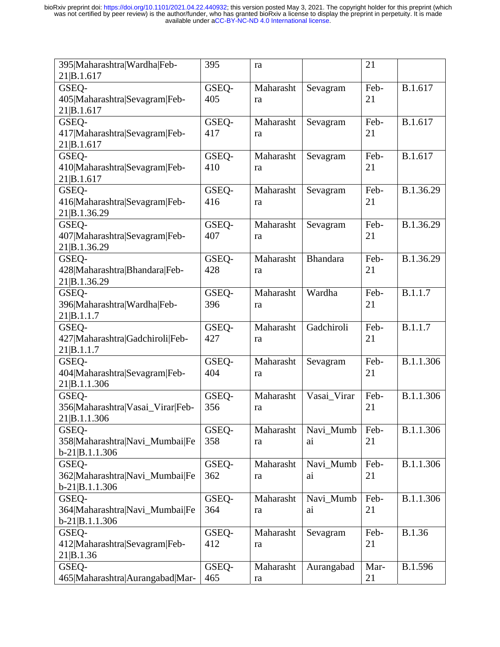| Maharasht<br>Feb-<br>B.1.617<br>GSEQ-<br>GSEQ-<br>Sevagram<br>405 Maharashtra Sevagram Feb-<br>405<br>21<br>ra<br>21 B.1.617<br>Feb-<br>B.1.617<br>GSEQ-<br>GSEQ-<br>Maharasht<br>Sevagram<br>417 Maharashtra Sevagram Feb-<br>417<br>21<br>ra<br>21 B.1.617<br>Maharasht<br>Feb-<br>B.1.617<br>GSEQ-<br>GSEQ-<br>Sevagram<br>410 Maharashtra Sevagram Feb-<br>410<br>21<br>ra<br>21 B.1.617<br>B.1.36.29<br>Maharasht<br>Feb-<br>GSEQ-<br>GSEQ-<br>Sevagram<br>416 Maharashtra Sevagram Feb-<br>416<br>21<br>ra<br>21 B.1.36.29<br>B.1.36.29<br>Maharasht<br>Feb-<br>GSEQ-<br>GSEQ-<br>Sevagram<br>407 Maharashtra Sevagram Feb-<br>407<br>21<br>ra<br>21 B.1.36.29<br><b>Bhandara</b><br>B.1.36.29<br>Maharasht<br>Feb-<br>GSEO-<br>GSEQ-<br>428 Maharashtra Bhandara Feb-<br>428<br>21<br>ra<br>21 B.1.36.29<br>Wardha<br>B.1.1.7<br>Maharasht<br>Feb-<br>GSEQ-<br>GSEQ-<br>396 Maharashtra Wardha Feb-<br>21<br>396<br>ra<br>21 B.1.1.7<br>Gadchiroli<br>B.1.1.7<br>Maharasht<br>Feb-<br>GSEQ-<br>GSEQ-<br>427 Maharashtra Gadchiroli Feb-<br>427<br>21<br>ra<br>21 B.1.1.7<br>B.1.1.306<br>Maharasht<br>GSEQ-<br>GSEQ-<br>Feb-<br>Sevagram<br>404 Maharashtra Sevagram Feb-<br>404<br>21<br>ra<br>21 B.1.1.306<br>B.1.1.306<br>GSEO-<br>Maharasht<br>Vasai Virar<br>Feb-<br>GSEQ-<br>356 Maharashtra Vasai_Virar Feb-<br>356<br>21<br>ra<br>21 B.1.1.306<br>GSEQ-<br>GSEQ-<br>Maharasht<br>Navi_Mumb<br>B.1.1.306<br>Feb-<br>358 Maharashtra Navi_Mumbai Fe<br>358<br>21<br>ai<br>ra<br>$b-21 B.1.1.306$<br>B.1.1.306<br>GSEQ-<br>Maharasht<br>Navi Mumb<br>Feb-<br>GSEQ-<br>362 Maharashtra Navi_Mumbai Fe<br>21<br>362<br>ai<br>ra<br>$b-21 B.1.1.306$<br>B.1.1.306<br>GSEQ-<br>GSEO-<br>Maharasht<br>Navi_Mumb<br>Feb-<br>364 Maharashtra Navi_Mumbai Fe<br>364<br>21<br>ai<br>ra<br>$b-21 B.1.1.306$<br><b>B.1.36</b><br>GSEQ-<br>GSEQ-<br>Maharasht<br>Feb-<br>Sevagram<br>412 Maharashtra Sevagram Feb-<br>412<br>21<br>ra<br>21 B.1.36<br>B.1.596<br>GSEQ-<br>Maharasht<br>Aurangabad<br>Mar-<br>GSEQ- | 395 Maharashtra Wardha Feb-     | 395 | ra | 21 |  |
|--------------------------------------------------------------------------------------------------------------------------------------------------------------------------------------------------------------------------------------------------------------------------------------------------------------------------------------------------------------------------------------------------------------------------------------------------------------------------------------------------------------------------------------------------------------------------------------------------------------------------------------------------------------------------------------------------------------------------------------------------------------------------------------------------------------------------------------------------------------------------------------------------------------------------------------------------------------------------------------------------------------------------------------------------------------------------------------------------------------------------------------------------------------------------------------------------------------------------------------------------------------------------------------------------------------------------------------------------------------------------------------------------------------------------------------------------------------------------------------------------------------------------------------------------------------------------------------------------------------------------------------------------------------------------------------------------------------------------------------------------------------------------------------------------------------------------------------------------------------------------------------------------------------------------------------------------------------------------------------------------------------------|---------------------------------|-----|----|----|--|
|                                                                                                                                                                                                                                                                                                                                                                                                                                                                                                                                                                                                                                                                                                                                                                                                                                                                                                                                                                                                                                                                                                                                                                                                                                                                                                                                                                                                                                                                                                                                                                                                                                                                                                                                                                                                                                                                                                                                                                                                                    | 21 B.1.617                      |     |    |    |  |
|                                                                                                                                                                                                                                                                                                                                                                                                                                                                                                                                                                                                                                                                                                                                                                                                                                                                                                                                                                                                                                                                                                                                                                                                                                                                                                                                                                                                                                                                                                                                                                                                                                                                                                                                                                                                                                                                                                                                                                                                                    |                                 |     |    |    |  |
|                                                                                                                                                                                                                                                                                                                                                                                                                                                                                                                                                                                                                                                                                                                                                                                                                                                                                                                                                                                                                                                                                                                                                                                                                                                                                                                                                                                                                                                                                                                                                                                                                                                                                                                                                                                                                                                                                                                                                                                                                    |                                 |     |    |    |  |
|                                                                                                                                                                                                                                                                                                                                                                                                                                                                                                                                                                                                                                                                                                                                                                                                                                                                                                                                                                                                                                                                                                                                                                                                                                                                                                                                                                                                                                                                                                                                                                                                                                                                                                                                                                                                                                                                                                                                                                                                                    |                                 |     |    |    |  |
|                                                                                                                                                                                                                                                                                                                                                                                                                                                                                                                                                                                                                                                                                                                                                                                                                                                                                                                                                                                                                                                                                                                                                                                                                                                                                                                                                                                                                                                                                                                                                                                                                                                                                                                                                                                                                                                                                                                                                                                                                    |                                 |     |    |    |  |
|                                                                                                                                                                                                                                                                                                                                                                                                                                                                                                                                                                                                                                                                                                                                                                                                                                                                                                                                                                                                                                                                                                                                                                                                                                                                                                                                                                                                                                                                                                                                                                                                                                                                                                                                                                                                                                                                                                                                                                                                                    |                                 |     |    |    |  |
|                                                                                                                                                                                                                                                                                                                                                                                                                                                                                                                                                                                                                                                                                                                                                                                                                                                                                                                                                                                                                                                                                                                                                                                                                                                                                                                                                                                                                                                                                                                                                                                                                                                                                                                                                                                                                                                                                                                                                                                                                    |                                 |     |    |    |  |
|                                                                                                                                                                                                                                                                                                                                                                                                                                                                                                                                                                                                                                                                                                                                                                                                                                                                                                                                                                                                                                                                                                                                                                                                                                                                                                                                                                                                                                                                                                                                                                                                                                                                                                                                                                                                                                                                                                                                                                                                                    |                                 |     |    |    |  |
|                                                                                                                                                                                                                                                                                                                                                                                                                                                                                                                                                                                                                                                                                                                                                                                                                                                                                                                                                                                                                                                                                                                                                                                                                                                                                                                                                                                                                                                                                                                                                                                                                                                                                                                                                                                                                                                                                                                                                                                                                    |                                 |     |    |    |  |
|                                                                                                                                                                                                                                                                                                                                                                                                                                                                                                                                                                                                                                                                                                                                                                                                                                                                                                                                                                                                                                                                                                                                                                                                                                                                                                                                                                                                                                                                                                                                                                                                                                                                                                                                                                                                                                                                                                                                                                                                                    |                                 |     |    |    |  |
|                                                                                                                                                                                                                                                                                                                                                                                                                                                                                                                                                                                                                                                                                                                                                                                                                                                                                                                                                                                                                                                                                                                                                                                                                                                                                                                                                                                                                                                                                                                                                                                                                                                                                                                                                                                                                                                                                                                                                                                                                    |                                 |     |    |    |  |
|                                                                                                                                                                                                                                                                                                                                                                                                                                                                                                                                                                                                                                                                                                                                                                                                                                                                                                                                                                                                                                                                                                                                                                                                                                                                                                                                                                                                                                                                                                                                                                                                                                                                                                                                                                                                                                                                                                                                                                                                                    |                                 |     |    |    |  |
|                                                                                                                                                                                                                                                                                                                                                                                                                                                                                                                                                                                                                                                                                                                                                                                                                                                                                                                                                                                                                                                                                                                                                                                                                                                                                                                                                                                                                                                                                                                                                                                                                                                                                                                                                                                                                                                                                                                                                                                                                    |                                 |     |    |    |  |
|                                                                                                                                                                                                                                                                                                                                                                                                                                                                                                                                                                                                                                                                                                                                                                                                                                                                                                                                                                                                                                                                                                                                                                                                                                                                                                                                                                                                                                                                                                                                                                                                                                                                                                                                                                                                                                                                                                                                                                                                                    |                                 |     |    |    |  |
|                                                                                                                                                                                                                                                                                                                                                                                                                                                                                                                                                                                                                                                                                                                                                                                                                                                                                                                                                                                                                                                                                                                                                                                                                                                                                                                                                                                                                                                                                                                                                                                                                                                                                                                                                                                                                                                                                                                                                                                                                    |                                 |     |    |    |  |
|                                                                                                                                                                                                                                                                                                                                                                                                                                                                                                                                                                                                                                                                                                                                                                                                                                                                                                                                                                                                                                                                                                                                                                                                                                                                                                                                                                                                                                                                                                                                                                                                                                                                                                                                                                                                                                                                                                                                                                                                                    |                                 |     |    |    |  |
|                                                                                                                                                                                                                                                                                                                                                                                                                                                                                                                                                                                                                                                                                                                                                                                                                                                                                                                                                                                                                                                                                                                                                                                                                                                                                                                                                                                                                                                                                                                                                                                                                                                                                                                                                                                                                                                                                                                                                                                                                    |                                 |     |    |    |  |
|                                                                                                                                                                                                                                                                                                                                                                                                                                                                                                                                                                                                                                                                                                                                                                                                                                                                                                                                                                                                                                                                                                                                                                                                                                                                                                                                                                                                                                                                                                                                                                                                                                                                                                                                                                                                                                                                                                                                                                                                                    |                                 |     |    |    |  |
|                                                                                                                                                                                                                                                                                                                                                                                                                                                                                                                                                                                                                                                                                                                                                                                                                                                                                                                                                                                                                                                                                                                                                                                                                                                                                                                                                                                                                                                                                                                                                                                                                                                                                                                                                                                                                                                                                                                                                                                                                    |                                 |     |    |    |  |
|                                                                                                                                                                                                                                                                                                                                                                                                                                                                                                                                                                                                                                                                                                                                                                                                                                                                                                                                                                                                                                                                                                                                                                                                                                                                                                                                                                                                                                                                                                                                                                                                                                                                                                                                                                                                                                                                                                                                                                                                                    |                                 |     |    |    |  |
|                                                                                                                                                                                                                                                                                                                                                                                                                                                                                                                                                                                                                                                                                                                                                                                                                                                                                                                                                                                                                                                                                                                                                                                                                                                                                                                                                                                                                                                                                                                                                                                                                                                                                                                                                                                                                                                                                                                                                                                                                    |                                 |     |    |    |  |
|                                                                                                                                                                                                                                                                                                                                                                                                                                                                                                                                                                                                                                                                                                                                                                                                                                                                                                                                                                                                                                                                                                                                                                                                                                                                                                                                                                                                                                                                                                                                                                                                                                                                                                                                                                                                                                                                                                                                                                                                                    |                                 |     |    |    |  |
|                                                                                                                                                                                                                                                                                                                                                                                                                                                                                                                                                                                                                                                                                                                                                                                                                                                                                                                                                                                                                                                                                                                                                                                                                                                                                                                                                                                                                                                                                                                                                                                                                                                                                                                                                                                                                                                                                                                                                                                                                    |                                 |     |    |    |  |
|                                                                                                                                                                                                                                                                                                                                                                                                                                                                                                                                                                                                                                                                                                                                                                                                                                                                                                                                                                                                                                                                                                                                                                                                                                                                                                                                                                                                                                                                                                                                                                                                                                                                                                                                                                                                                                                                                                                                                                                                                    |                                 |     |    |    |  |
|                                                                                                                                                                                                                                                                                                                                                                                                                                                                                                                                                                                                                                                                                                                                                                                                                                                                                                                                                                                                                                                                                                                                                                                                                                                                                                                                                                                                                                                                                                                                                                                                                                                                                                                                                                                                                                                                                                                                                                                                                    |                                 |     |    |    |  |
|                                                                                                                                                                                                                                                                                                                                                                                                                                                                                                                                                                                                                                                                                                                                                                                                                                                                                                                                                                                                                                                                                                                                                                                                                                                                                                                                                                                                                                                                                                                                                                                                                                                                                                                                                                                                                                                                                                                                                                                                                    |                                 |     |    |    |  |
|                                                                                                                                                                                                                                                                                                                                                                                                                                                                                                                                                                                                                                                                                                                                                                                                                                                                                                                                                                                                                                                                                                                                                                                                                                                                                                                                                                                                                                                                                                                                                                                                                                                                                                                                                                                                                                                                                                                                                                                                                    |                                 |     |    |    |  |
|                                                                                                                                                                                                                                                                                                                                                                                                                                                                                                                                                                                                                                                                                                                                                                                                                                                                                                                                                                                                                                                                                                                                                                                                                                                                                                                                                                                                                                                                                                                                                                                                                                                                                                                                                                                                                                                                                                                                                                                                                    |                                 |     |    |    |  |
|                                                                                                                                                                                                                                                                                                                                                                                                                                                                                                                                                                                                                                                                                                                                                                                                                                                                                                                                                                                                                                                                                                                                                                                                                                                                                                                                                                                                                                                                                                                                                                                                                                                                                                                                                                                                                                                                                                                                                                                                                    |                                 |     |    |    |  |
|                                                                                                                                                                                                                                                                                                                                                                                                                                                                                                                                                                                                                                                                                                                                                                                                                                                                                                                                                                                                                                                                                                                                                                                                                                                                                                                                                                                                                                                                                                                                                                                                                                                                                                                                                                                                                                                                                                                                                                                                                    |                                 |     |    |    |  |
|                                                                                                                                                                                                                                                                                                                                                                                                                                                                                                                                                                                                                                                                                                                                                                                                                                                                                                                                                                                                                                                                                                                                                                                                                                                                                                                                                                                                                                                                                                                                                                                                                                                                                                                                                                                                                                                                                                                                                                                                                    |                                 |     |    |    |  |
|                                                                                                                                                                                                                                                                                                                                                                                                                                                                                                                                                                                                                                                                                                                                                                                                                                                                                                                                                                                                                                                                                                                                                                                                                                                                                                                                                                                                                                                                                                                                                                                                                                                                                                                                                                                                                                                                                                                                                                                                                    |                                 |     |    |    |  |
|                                                                                                                                                                                                                                                                                                                                                                                                                                                                                                                                                                                                                                                                                                                                                                                                                                                                                                                                                                                                                                                                                                                                                                                                                                                                                                                                                                                                                                                                                                                                                                                                                                                                                                                                                                                                                                                                                                                                                                                                                    |                                 |     |    |    |  |
|                                                                                                                                                                                                                                                                                                                                                                                                                                                                                                                                                                                                                                                                                                                                                                                                                                                                                                                                                                                                                                                                                                                                                                                                                                                                                                                                                                                                                                                                                                                                                                                                                                                                                                                                                                                                                                                                                                                                                                                                                    |                                 |     |    |    |  |
|                                                                                                                                                                                                                                                                                                                                                                                                                                                                                                                                                                                                                                                                                                                                                                                                                                                                                                                                                                                                                                                                                                                                                                                                                                                                                                                                                                                                                                                                                                                                                                                                                                                                                                                                                                                                                                                                                                                                                                                                                    |                                 |     |    |    |  |
|                                                                                                                                                                                                                                                                                                                                                                                                                                                                                                                                                                                                                                                                                                                                                                                                                                                                                                                                                                                                                                                                                                                                                                                                                                                                                                                                                                                                                                                                                                                                                                                                                                                                                                                                                                                                                                                                                                                                                                                                                    |                                 |     |    |    |  |
|                                                                                                                                                                                                                                                                                                                                                                                                                                                                                                                                                                                                                                                                                                                                                                                                                                                                                                                                                                                                                                                                                                                                                                                                                                                                                                                                                                                                                                                                                                                                                                                                                                                                                                                                                                                                                                                                                                                                                                                                                    |                                 |     |    |    |  |
|                                                                                                                                                                                                                                                                                                                                                                                                                                                                                                                                                                                                                                                                                                                                                                                                                                                                                                                                                                                                                                                                                                                                                                                                                                                                                                                                                                                                                                                                                                                                                                                                                                                                                                                                                                                                                                                                                                                                                                                                                    |                                 |     |    |    |  |
|                                                                                                                                                                                                                                                                                                                                                                                                                                                                                                                                                                                                                                                                                                                                                                                                                                                                                                                                                                                                                                                                                                                                                                                                                                                                                                                                                                                                                                                                                                                                                                                                                                                                                                                                                                                                                                                                                                                                                                                                                    |                                 |     |    |    |  |
|                                                                                                                                                                                                                                                                                                                                                                                                                                                                                                                                                                                                                                                                                                                                                                                                                                                                                                                                                                                                                                                                                                                                                                                                                                                                                                                                                                                                                                                                                                                                                                                                                                                                                                                                                                                                                                                                                                                                                                                                                    |                                 |     |    |    |  |
|                                                                                                                                                                                                                                                                                                                                                                                                                                                                                                                                                                                                                                                                                                                                                                                                                                                                                                                                                                                                                                                                                                                                                                                                                                                                                                                                                                                                                                                                                                                                                                                                                                                                                                                                                                                                                                                                                                                                                                                                                    |                                 |     |    |    |  |
|                                                                                                                                                                                                                                                                                                                                                                                                                                                                                                                                                                                                                                                                                                                                                                                                                                                                                                                                                                                                                                                                                                                                                                                                                                                                                                                                                                                                                                                                                                                                                                                                                                                                                                                                                                                                                                                                                                                                                                                                                    |                                 |     |    |    |  |
|                                                                                                                                                                                                                                                                                                                                                                                                                                                                                                                                                                                                                                                                                                                                                                                                                                                                                                                                                                                                                                                                                                                                                                                                                                                                                                                                                                                                                                                                                                                                                                                                                                                                                                                                                                                                                                                                                                                                                                                                                    |                                 |     |    |    |  |
|                                                                                                                                                                                                                                                                                                                                                                                                                                                                                                                                                                                                                                                                                                                                                                                                                                                                                                                                                                                                                                                                                                                                                                                                                                                                                                                                                                                                                                                                                                                                                                                                                                                                                                                                                                                                                                                                                                                                                                                                                    |                                 |     |    |    |  |
|                                                                                                                                                                                                                                                                                                                                                                                                                                                                                                                                                                                                                                                                                                                                                                                                                                                                                                                                                                                                                                                                                                                                                                                                                                                                                                                                                                                                                                                                                                                                                                                                                                                                                                                                                                                                                                                                                                                                                                                                                    |                                 |     |    |    |  |
|                                                                                                                                                                                                                                                                                                                                                                                                                                                                                                                                                                                                                                                                                                                                                                                                                                                                                                                                                                                                                                                                                                                                                                                                                                                                                                                                                                                                                                                                                                                                                                                                                                                                                                                                                                                                                                                                                                                                                                                                                    |                                 |     |    |    |  |
|                                                                                                                                                                                                                                                                                                                                                                                                                                                                                                                                                                                                                                                                                                                                                                                                                                                                                                                                                                                                                                                                                                                                                                                                                                                                                                                                                                                                                                                                                                                                                                                                                                                                                                                                                                                                                                                                                                                                                                                                                    | 465 Maharashtra Aurangabad Mar- | 465 | ra | 21 |  |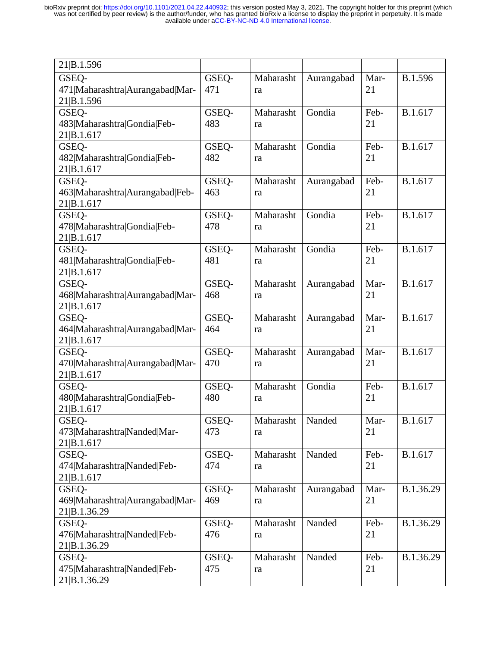| 21 B.1.596                      |       |           |            |      |           |
|---------------------------------|-------|-----------|------------|------|-----------|
| GSEQ-                           | GSEQ- | Maharasht | Aurangabad | Mar- | B.1.596   |
| 471 Maharashtra Aurangabad Mar- | 471   | ra        |            | 21   |           |
| 21 B.1.596                      |       |           |            |      |           |
| GSEQ-                           | GSEQ- | Maharasht | Gondia     | Feb- | B.1.617   |
|                                 |       |           |            | 21   |           |
| 483 Maharashtra Gondia Feb-     | 483   | ra        |            |      |           |
| 21 B.1.617                      |       |           |            |      |           |
| GSEQ-                           | GSEQ- | Maharasht | Gondia     | Feb- | B.1.617   |
| 482 Maharashtra Gondia Feb-     | 482   | ra        |            | 21   |           |
| 21 B.1.617                      |       |           |            |      |           |
| GSEQ-                           | GSEQ- | Maharasht | Aurangabad | Feb- | B.1.617   |
| 463 Maharashtra Aurangabad Feb- | 463   | ra        |            | 21   |           |
| 21 B.1.617                      |       |           |            |      |           |
| GSEQ-                           | GSEQ- | Maharasht | Gondia     | Feb- | B.1.617   |
| 478 Maharashtra Gondia Feb-     | 478   | ra        |            | 21   |           |
| 21 B.1.617                      |       |           |            |      |           |
| GSEQ-                           | GSEQ- | Maharasht | Gondia     | Feb- | B.1.617   |
| 481 Maharashtra Gondia Feb-     | 481   | ra        |            | 21   |           |
| 21 B.1.617                      |       |           |            |      |           |
| GSEQ-                           | GSEQ- | Maharasht | Aurangabad | Mar- | B.1.617   |
| 468 Maharashtra Aurangabad Mar- | 468   | ra        |            | 21   |           |
| 21 B.1.617                      |       |           |            |      |           |
| GSEQ-                           | GSEQ- | Maharasht | Aurangabad | Mar- | B.1.617   |
| 464 Maharashtra Aurangabad Mar- | 464   | ra        |            | 21   |           |
| 21 B.1.617                      |       |           |            |      |           |
| GSEQ-                           | GSEQ- | Maharasht | Aurangabad | Mar- | B.1.617   |
| 470 Maharashtra Aurangabad Mar- | 470   | ra        |            | 21   |           |
| 21 B.1.617                      |       |           |            |      |           |
| GSEQ-                           | GSEQ- | Maharasht | Gondia     | Feb- | B.1.617   |
| 480 Maharashtra Gondia Feb-     | 480   | ra        |            | 21   |           |
| 21 B.1.617                      |       |           |            |      |           |
| GSEO-                           | GSEQ- | Maharasht | Nanded     | Mar- | B.1.617   |
| 473 Maharashtra Nanded Mar-     | 473   |           |            | 21   |           |
|                                 |       | ra        |            |      |           |
| 21 B.1.617                      |       |           | Nanded     |      | B.1.617   |
| GSEQ-                           | GSEQ- | Maharasht |            | Feb- |           |
| 474 Maharashtra Nanded Feb-     | 474   | ra        |            | 21   |           |
| 21 B.1.617                      |       |           |            |      |           |
| GSEQ-                           | GSEQ- | Maharasht | Aurangabad | Mar- | B.1.36.29 |
| 469 Maharashtra Aurangabad Mar- | 469   | ra        |            | 21   |           |
| 21 B.1.36.29                    |       |           |            |      |           |
| GSEQ-                           | GSEQ- | Maharasht | Nanded     | Feb- | B.1.36.29 |
| 476 Maharashtra Nanded Feb-     | 476   | ra        |            | 21   |           |
| 21 B.1.36.29                    |       |           |            |      |           |
| GSEQ-                           | GSEQ- | Maharasht | Nanded     | Feb- | B.1.36.29 |
| 475 Maharashtra Nanded Feb-     | 475   | ra        |            | 21   |           |
| 21 B.1.36.29                    |       |           |            |      |           |
|                                 |       |           |            |      |           |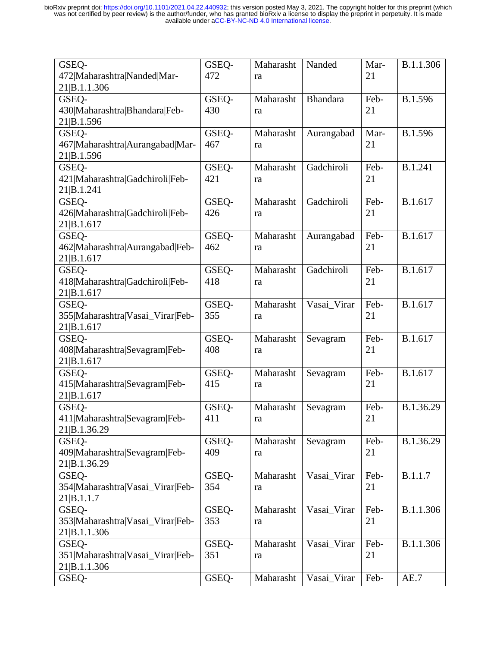| GSEQ-                            | GSEQ- | Maharasht | Nanded          | Mar- | B.1.1.306 |
|----------------------------------|-------|-----------|-----------------|------|-----------|
| 472 Maharashtra Nanded Mar-      | 472   | ra        |                 | 21   |           |
| 21 B.1.1.306                     |       |           |                 |      |           |
| GSEQ-                            | GSEQ- | Maharasht | <b>Bhandara</b> | Feb- | B.1.596   |
| 430 Maharashtra Bhandara Feb-    | 430   | ra        |                 | 21   |           |
| 21 B.1.596                       |       |           |                 |      |           |
| GSEQ-                            | GSEQ- | Maharasht | Aurangabad      | Mar- | B.1.596   |
| 467 Maharashtra Aurangabad Mar-  | 467   | ra        |                 | 21   |           |
| 21 B.1.596                       |       |           |                 |      |           |
| GSEQ-                            | GSEQ- | Maharasht | Gadchiroli      | Feb- | B.1.241   |
| 421 Maharashtra Gadchiroli Feb-  | 421   | ra        |                 | 21   |           |
| 21 B.1.241                       |       |           |                 |      |           |
| GSEQ-                            | GSEQ- | Maharasht | Gadchiroli      | Feb- | B.1.617   |
| 426 Maharashtra Gadchiroli Feb-  | 426   | ra        |                 | 21   |           |
| 21 B.1.617                       |       |           |                 |      |           |
| GSEQ-                            | GSEQ- | Maharasht | Aurangabad      | Feb- | B.1.617   |
| 462 Maharashtra Aurangabad Feb-  | 462   | ra        |                 | 21   |           |
| 21 B.1.617                       |       |           |                 |      |           |
| GSEQ-                            | GSEQ- | Maharasht | Gadchiroli      | Feb- | B.1.617   |
| 418 Maharashtra Gadchiroli Feb-  | 418   | ra        |                 | 21   |           |
| 21 B.1.617                       |       |           |                 |      |           |
| GSEQ-                            | GSEQ- | Maharasht | Vasai_Virar     | Feb- | B.1.617   |
| 355 Maharashtra Vasai_Virar Feb- | 355   | ra        |                 | 21   |           |
| 21 B.1.617                       |       |           |                 |      |           |
| GSEQ-                            | GSEQ- | Maharasht | Sevagram        | Feb- | B.1.617   |
| 408 Maharashtra Sevagram Feb-    | 408   | ra        |                 | 21   |           |
| 21 B.1.617                       |       |           |                 |      |           |
| GSEQ-                            | GSEQ- | Maharasht | Sevagram        | Feb- | B.1.617   |
| 415 Maharashtra Sevagram Feb-    | 415   | ra        |                 | 21   |           |
| 21 B.1.617                       |       |           |                 |      |           |
| GSEQ-                            | GSEQ- | Maharasht | Sevagram        | Feb- | B.1.36.29 |
| 411 Maharashtra Sevagram Feb-    | 411   | ra        |                 | 21   |           |
| 21 B.1.36.29                     |       |           |                 |      |           |
| GSEQ-                            | GSEQ- | Maharasht | Sevagram        | Feb- | B.1.36.29 |
| 409 Maharashtra Sevagram Feb-    | 409   | ra        |                 | 21   |           |
| 21 B.1.36.29                     |       |           |                 |      |           |
| GSEQ-                            | GSEQ- | Maharasht | Vasai_Virar     | Feb- | B.1.1.7   |
| 354 Maharashtra Vasai_Virar Feb- | 354   | ra        |                 | 21   |           |
| 21 B.1.1.7                       |       |           |                 |      |           |
| GSEQ-                            | GSEQ- | Maharasht | Vasai_Virar     | Feb- | B.1.1.306 |
| 353 Maharashtra Vasai Virar Feb- | 353   | ra        |                 | 21   |           |
| 21 B.1.1.306                     |       |           |                 |      |           |
| GSEQ-                            | GSEQ- | Maharasht | Vasai_Virar     | Feb- | B.1.1.306 |
| 351 Maharashtra Vasai_Virar Feb- | 351   | ra        |                 | 21   |           |
| 21 B.1.1.306                     |       |           |                 |      |           |
| GSEQ-                            | GSEQ- | Maharasht | Vasai_Virar     | Feb- | AE.7      |
|                                  |       |           |                 |      |           |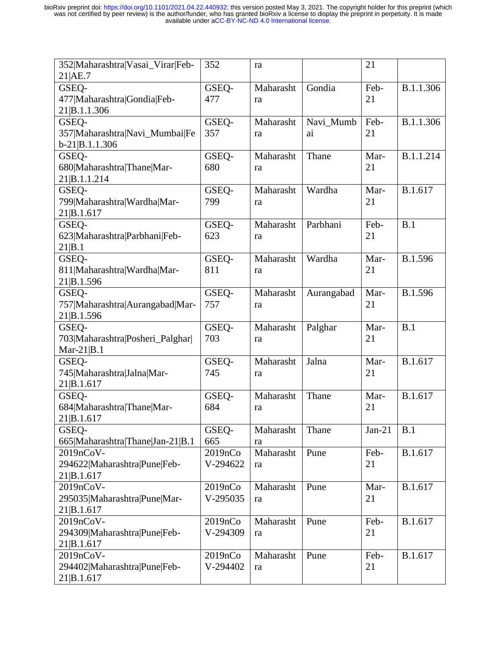| 352 Maharashtra Vasai_Virar Feb- | 352      | ra        |            | 21       |           |
|----------------------------------|----------|-----------|------------|----------|-----------|
| 21 AE.7                          |          |           |            |          |           |
| GSEQ-                            | GSEQ-    | Maharasht | Gondia     | Feb-     | B.1.1.306 |
| 477 Maharashtra Gondia Feb-      | 477      | ra        |            | 21       |           |
| 21 B.1.1.306                     |          |           |            |          |           |
| GSEQ-                            | GSEQ-    | Maharasht | Navi_Mumb  | Feb-     | B.1.1.306 |
| 357 Maharashtra Navi_Mumbai Fe   | 357      | ra        | ai         | 21       |           |
| $b-21 B.1.1.306$                 |          |           |            |          |           |
| GSEQ-                            | GSEQ-    | Maharasht | Thane      | Mar-     | B.1.1.214 |
| 680 Maharashtra Thane Mar-       | 680      | ra        |            | 21       |           |
| 21 B.1.1.214                     |          |           |            |          |           |
| GSEQ-                            | GSEQ-    | Maharasht | Wardha     | Mar-     | B.1.617   |
| 799 Maharashtra Wardha Mar-      | 799      | ra        |            | 21       |           |
| 21 B.1.617                       |          |           |            |          |           |
| GSEQ-                            | GSEQ-    | Maharasht | Parbhani   | Feb-     | B.1       |
| 623 Maharashtra Parbhani Feb-    | 623      | ra        |            | 21       |           |
| 21 B.1                           |          |           |            |          |           |
| GSEQ-                            | GSEO-    | Maharasht | Wardha     | Mar-     | B.1.596   |
| 811 Maharashtra Wardha Mar-      | 811      | ra        |            | 21       |           |
| 21 B.1.596                       |          |           |            |          |           |
| GSEQ-                            | GSEQ-    | Maharasht | Aurangabad | Mar-     | B.1.596   |
| 757 Maharashtra Aurangabad Mar-  | 757      | ra        |            | 21       |           |
| 21 B.1.596                       |          |           |            |          |           |
| GSEQ-                            | GSEQ-    | Maharasht | Palghar    | Mar-     | B.1       |
| 703 Maharashtra Posheri_Palghar  | 703      | ra        |            | 21       |           |
| Mar- $21 B.1$                    |          |           |            |          |           |
| GSEQ-                            | GSEQ-    | Maharasht | Jalna      | Mar-     | B.1.617   |
| 745 Maharashtra Jalna Mar-       | 745      | ra        |            | 21       |           |
| 21 B.1.617                       |          |           |            |          |           |
| GSEQ-                            | GSEQ-    | Maharasht | Thane      | Mar-     | B.1.617   |
| 684 Maharashtra Thane Mar-       | 684      | ra        |            | 21       |           |
| 21 B.1.617                       |          |           |            |          |           |
| GSEQ-                            | GSEO-    | Maharasht | Thane      | $Jan-21$ | B.1       |
| 665 Maharashtra Thane Jan-21 B.1 | 665      | ra        |            |          |           |
| 2019nCoV-                        | 2019nCo  | Maharasht | Pune       | Feb-     | B.1.617   |
| 294622 Maharashtra Pune Feb-     | V-294622 | ra        |            | 21       |           |
| 21 B.1.617                       |          |           |            |          |           |
| 2019nCoV-                        | 2019nCo  | Maharasht | Pune       | Mar-     | B.1.617   |
| 295035 Maharashtra Pune Mar-     | V-295035 | ra        |            | 21       |           |
| 21 B.1.617                       |          |           |            |          |           |
| 2019nCoV-                        | 2019nCo  | Maharasht | Pune       | Feb-     | B.1.617   |
| 294309 Maharashtra Pune Feb-     | V-294309 | ra        |            | 21       |           |
| 21 B.1.617                       |          |           |            |          |           |
| 2019nCoV-                        | 2019nCo  | Maharasht | Pune       | Feb-     | B.1.617   |
| 294402 Maharashtra Pune Feb-     | V-294402 | ra        |            | 21       |           |
| 21 B.1.617                       |          |           |            |          |           |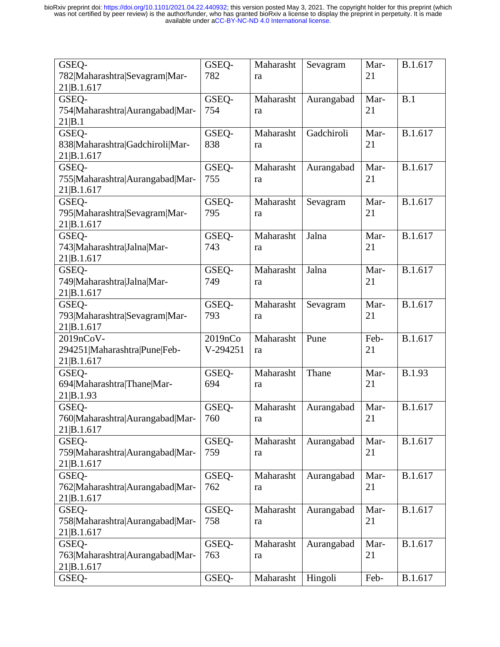| GSEQ-<br>782 Maharashtra Sevagram Mar-                  | GSEQ-<br>782        | Maharasht<br>ra | Sevagram   | Mar-<br>21 | B.1.617       |
|---------------------------------------------------------|---------------------|-----------------|------------|------------|---------------|
| 21 B.1.617<br>GSEQ-                                     | GSEQ-               | Maharasht       | Aurangabad | Mar-       | B.1           |
| 754 Maharashtra Aurangabad Mar-<br>21 B.1               | 754                 | ra              |            | 21         |               |
| GSEQ-<br>838 Maharashtra Gadchiroli Mar-<br>21 B.1.617  | GSEQ-<br>838        | Maharasht<br>ra | Gadchiroli | Mar-<br>21 | B.1.617       |
| GSEQ-<br>755 Maharashtra Aurangabad Mar-<br>21 B.1.617  | GSEQ-<br>755        | Maharasht<br>ra | Aurangabad | Mar-<br>21 | B.1.617       |
| GSEQ-<br>795 Maharashtra Sevagram Mar-<br>21 B.1.617    | GSEQ-<br>795        | Maharasht<br>ra | Sevagram   | Mar-<br>21 | B.1.617       |
| GSEQ-<br>743 Maharashtra Jalna Mar-<br>21 B.1.617       | GSEQ-<br>743        | Maharasht<br>ra | Jalna      | Mar-<br>21 | B.1.617       |
| GSEQ-<br>749 Maharashtra Jalna Mar-<br>21 B.1.617       | GSEQ-<br>749        | Maharasht<br>ra | Jalna      | Mar-<br>21 | B.1.617       |
| GSEQ-<br>793 Maharashtra Sevagram Mar-<br>21 B.1.617    | GSEQ-<br>793        | Maharasht<br>ra | Sevagram   | Mar-<br>21 | B.1.617       |
| 2019nCoV-<br>294251 Maharashtra Pune Feb-<br>21 B.1.617 | 2019nCo<br>V-294251 | Maharasht<br>ra | Pune       | Feb-<br>21 | B.1.617       |
| GSEQ-<br>694 Maharashtra Thane Mar-<br>21 B.1.93        | GSEQ-<br>694        | Maharasht<br>ra | Thane      | Mar-<br>21 | <b>B.1.93</b> |
| GSEQ-<br>760 Maharashtra Aurangabad Mar-<br>21 B.1.617  | GSEQ-<br>760        | Maharasht<br>ra | Aurangabad | Mar-<br>21 | B.1.617       |
| GSEQ-<br>759 Maharashtra Aurangabad Mar-<br>21 B.1.617  | GSEQ-<br>759        | Maharasht<br>ra | Aurangabad | Mar-<br>21 | B.1.617       |
| GSEQ-<br>762 Maharashtra Aurangabad Mar-<br>21 B.1.617  | GSEQ-<br>762        | Maharasht<br>ra | Aurangabad | Mar-<br>21 | B.1.617       |
| GSEQ-<br>758 Maharashtra Aurangabad Mar-<br>21 B.1.617  | GSEQ-<br>758        | Maharasht<br>ra | Aurangabad | Mar-<br>21 | B.1.617       |
| GSEQ-<br>763 Maharashtra Aurangabad Mar-<br>21 B.1.617  | GSEQ-<br>763        | Maharasht<br>ra | Aurangabad | Mar-<br>21 | B.1.617       |
| GSEQ-                                                   | GSEQ-               | Maharasht       | Hingoli    | Feb-       | B.1.617       |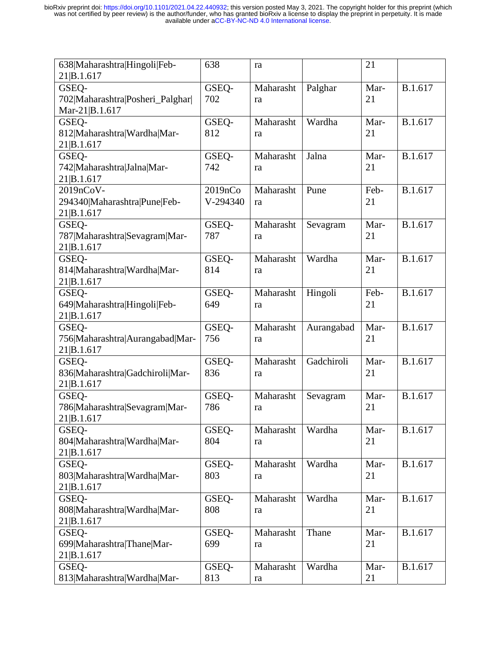| 638 Maharashtra Hingoli Feb-<br>21 B.1.617 | 638      | ra        |            | 21   |         |
|--------------------------------------------|----------|-----------|------------|------|---------|
| GSEQ-                                      | GSEQ-    | Maharasht | Palghar    | Mar- | B.1.617 |
| 702 Maharashtra Posheri_Palghar            | 702      | ra        |            | 21   |         |
| Mar-21 B.1.617                             |          |           |            |      |         |
| GSEQ-                                      | GSEQ-    | Maharasht | Wardha     | Mar- | B.1.617 |
| 812 Maharashtra Wardha Mar-                | 812      | ra        |            | 21   |         |
| 21 B.1.617                                 |          |           |            |      |         |
| GSEQ-                                      | GSEQ-    | Maharasht | Jalna      | Mar- | B.1.617 |
| 742 Maharashtra Jalna Mar-                 | 742      | ra        |            | 21   |         |
| 21 B.1.617                                 |          |           |            |      |         |
| 2019nCoV-                                  | 2019nCo  | Maharasht | Pune       | Feb- | B.1.617 |
| 294340 Maharashtra Pune Feb-               | V-294340 | ra        |            | 21   |         |
| 21 B.1.617                                 |          |           |            |      |         |
| GSEQ-                                      | GSEO-    | Maharasht | Sevagram   | Mar- | B.1.617 |
| 787 Maharashtra Sevagram Mar-              | 787      | ra        |            | 21   |         |
| 21 B.1.617                                 |          |           |            |      |         |
| GSEQ-                                      | GSEQ-    | Maharasht | Wardha     | Mar- | B.1.617 |
| 814 Maharashtra Wardha Mar-                | 814      | ra        |            | 21   |         |
| 21 B.1.617                                 |          |           |            |      |         |
| GSEQ-                                      | GSEO-    | Maharasht | Hingoli    | Feb- | B.1.617 |
| 649 Maharashtra Hingoli Feb-               | 649      | ra        |            | 21   |         |
| 21 B.1.617                                 |          |           |            |      |         |
| GSEQ-                                      | GSEQ-    | Maharasht | Aurangabad | Mar- | B.1.617 |
| 756 Maharashtra Aurangabad Mar-            | 756      | ra        |            | 21   |         |
| 21 B.1.617                                 |          |           |            |      |         |
| GSEQ-                                      | GSEQ-    | Maharasht | Gadchiroli | Mar- | B.1.617 |
| 836 Maharashtra Gadchiroli Mar-            | 836      | ra        |            | 21   |         |
| 21 B.1.617                                 |          |           |            |      |         |
| GSEQ-                                      | GSEO-    | Maharasht | Sevagram   | Mar- | B.1.617 |
| 786 Maharashtra Sevagram Mar-              | 786      | ra        |            | 21   |         |
| 21 B.1.617                                 |          |           |            |      |         |
| GSEQ-                                      | GSEQ-    | Maharasht | Wardha     | Mar- | B.1.617 |
| 804 Maharashtra Wardha Mar-                | 804      | ra        |            | 21   |         |
| 21 B.1.617                                 |          |           |            |      |         |
| GSEQ-                                      | GSEQ-    | Maharasht | Wardha     | Mar- | B.1.617 |
| 803 Maharashtra Wardha Mar-                | 803      | ra        |            | 21   |         |
| 21 B.1.617                                 |          |           |            |      |         |
| GSEQ-                                      | GSEQ-    | Maharasht | Wardha     | Mar- | B.1.617 |
| 808 Maharashtra Wardha Mar-                | 808      | ra        |            | 21   |         |
| 21 B.1.617                                 |          |           |            |      |         |
| GSEQ-                                      | GSEQ-    | Maharasht | Thane      | Mar- | B.1.617 |
| 699 Maharashtra Thane Mar-                 | 699      | ra        |            | 21   |         |
| 21 B.1.617                                 |          |           |            |      |         |
| GSEQ-                                      | GSEQ-    | Maharasht | Wardha     | Mar- | B.1.617 |
| 813 Maharashtra Wardha Mar-                | 813      | ra        |            | 21   |         |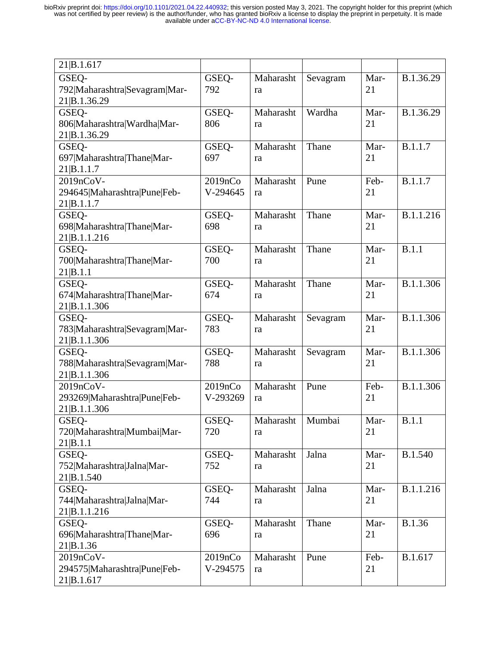| 21 B.1.617                                 |                     |           |          |      |           |
|--------------------------------------------|---------------------|-----------|----------|------|-----------|
| GSEQ-                                      | GSEQ-               | Maharasht | Sevagram | Mar- | B.1.36.29 |
| 792 Maharashtra Sevagram Mar-              | 792                 | ra        |          | 21   |           |
| 21 B.1.36.29                               |                     |           |          |      |           |
| GSEQ-                                      | GSEQ-               | Maharasht | Wardha   | Mar- | B.1.36.29 |
| 806 Maharashtra Wardha Mar-                | 806                 | ra        |          | 21   |           |
| 21 B.1.36.29                               |                     |           |          |      |           |
| GSEQ-                                      | GSEQ-               | Maharasht | Thane    | Mar- | B.1.1.7   |
| 697 Maharashtra Thane Mar-                 | 697                 | ra        |          | 21   |           |
| 21 B.1.1.7                                 |                     |           |          |      |           |
| 2019nCoV-                                  | 2019nCo<br>V-294645 | Maharasht | Pune     | Feb- | B.1.1.7   |
| 294645 Maharashtra Pune Feb-<br>21 B.1.1.7 |                     | ra        |          | 21   |           |
| GSEQ-                                      | GSEQ-               | Maharasht | Thane    | Mar- | B.1.1.216 |
| 698 Maharashtra Thane Mar-                 | 698                 | ra        |          | 21   |           |
| 21 B.1.1.216                               |                     |           |          |      |           |
| GSEQ-                                      | GSEQ-               | Maharasht | Thane    | Mar- | B.1.1     |
| 700 Maharashtra Thane Mar-                 | 700                 | ra        |          | 21   |           |
| 21 B.1.1                                   |                     |           |          |      |           |
| GSEQ-                                      | GSEQ-               | Maharasht | Thane    | Mar- | B.1.1.306 |
| 674 Maharashtra Thane Mar-                 | 674                 | ra        |          | 21   |           |
| 21 B.1.1.306                               |                     |           |          |      |           |
| GSEQ-                                      | GSEQ-               | Maharasht | Sevagram | Mar- | B.1.1.306 |
| 783 Maharashtra Sevagram Mar-              | 783                 | ra        |          | 21   |           |
| 21 B.1.1.306                               |                     |           |          |      |           |
| GSEQ-                                      | GSEQ-               | Maharasht | Sevagram | Mar- | B.1.1.306 |
| 788 Maharashtra Sevagram Mar-              | 788                 | ra        |          | 21   |           |
| 21 B.1.1.306<br>2019nCoV-                  | 2019nCo             | Maharasht | Pune     | Feb- | B.1.1.306 |
| 293269 Maharashtra Pune Feb-               | V-293269            | ra        |          | 21   |           |
| 21 B.1.1.306                               |                     |           |          |      |           |
| GSEO-                                      | GSEQ-               | Maharasht | Mumbai   | Mar- | B.1.1     |
| 720 Maharashtra Mumbai Mar-                | 720                 | ra        |          | 21   |           |
| 21 B.1.1                                   |                     |           |          |      |           |
| GSEQ-                                      | GSEQ-               | Maharasht | Jalna    | Mar- | B.1.540   |
| 752 Maharashtra Jalna Mar-                 | 752                 | ra        |          | 21   |           |
| 21 B.1.540                                 |                     |           |          |      |           |
| GSEQ-                                      | GSEQ-               | Maharasht | Jalna    | Mar- | B.1.1.216 |
| 744 Maharashtra Jalna Mar-                 | 744                 | ra        |          | 21   |           |
| 21 B.1.1.216                               |                     |           |          |      |           |
| GSEQ-                                      | GSEQ-               | Maharasht | Thane    | Mar- | B.1.36    |
| 696 Maharashtra Thane Mar-                 | 696                 | ra        |          | 21   |           |
| 21 B.1.36                                  |                     |           |          |      |           |
| 2019nCoV-                                  | 2019nCo             | Maharasht | Pune     | Feb- | B.1.617   |
| 294575 Maharashtra Pune Feb-<br>21 B.1.617 | V-294575            | ra        |          | 21   |           |
|                                            |                     |           |          |      |           |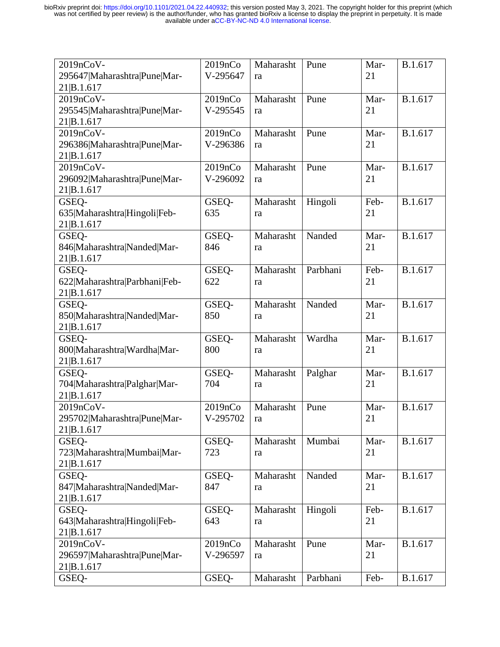| 2019nCoV-                     | 2019nCo  | Maharasht | Pune     | Mar- | B.1.617 |
|-------------------------------|----------|-----------|----------|------|---------|
| 295647 Maharashtra Pune Mar-  | V-295647 | ra        |          | 21   |         |
| 21 B.1.617                    |          |           |          |      |         |
| 2019nCoV-                     | 2019nCo  | Maharasht | Pune     | Mar- | B.1.617 |
| 295545 Maharashtra Pune Mar-  | V-295545 | ra        |          | 21   |         |
| 21 B.1.617                    |          |           |          |      |         |
| 2019nCoV-                     | 2019nCo  | Maharasht | Pune     | Mar- | B.1.617 |
| 296386 Maharashtra Pune Mar-  | V-296386 | ra        |          | 21   |         |
| 21 B.1.617                    |          |           |          |      |         |
| 2019nCoV-                     | 2019nCo  | Maharasht | Pune     | Mar- | B.1.617 |
| 296092 Maharashtra Pune Mar-  | V-296092 | ra        |          | 21   |         |
| 21 B.1.617                    |          |           |          |      |         |
| GSEQ-                         | GSEQ-    | Maharasht | Hingoli  | Feb- | B.1.617 |
| 635 Maharashtra Hingoli Feb-  | 635      | ra        |          | 21   |         |
| 21 B.1.617                    |          |           |          |      |         |
| GSEQ-                         | GSEO-    | Maharasht | Nanded   | Mar- | B.1.617 |
| 846 Maharashtra Nanded Mar-   | 846      |           |          | 21   |         |
|                               |          | ra        |          |      |         |
| 21 B.1.617                    |          | Maharasht | Parbhani | Feb- | B.1.617 |
| GSEQ-                         | GSEQ-    |           |          |      |         |
| 622 Maharashtra Parbhani Feb- | 622      | ra        |          | 21   |         |
| 21 B.1.617                    |          |           |          |      |         |
| GSEQ-                         | GSEQ-    | Maharasht | Nanded   | Mar- | B.1.617 |
| 850 Maharashtra Nanded Mar-   | 850      | ra        |          | 21   |         |
| 21 B.1.617                    |          |           |          |      |         |
| GSEQ-                         | GSEQ-    | Maharasht | Wardha   | Mar- | B.1.617 |
| 800 Maharashtra Wardha Mar-   | 800      | ra        |          | 21   |         |
| 21 B.1.617                    |          |           |          |      |         |
| GSEQ-                         | GSEQ-    | Maharasht | Palghar  | Mar- | B.1.617 |
| 704 Maharashtra Palghar Mar-  | 704      | ra        |          | 21   |         |
| 21 B.1.617                    |          |           |          |      |         |
| 2019nCoV-                     | 2019nCo  | Maharasht | Pune     | Mar- | B.1.617 |
| 295702 Maharashtra Pune Mar-  | V-295702 | ra        |          | 21   |         |
| 21 B.1.617                    |          |           |          |      |         |
| GSEQ-                         | GSEQ-    | Maharasht | Mumbai   | Mar- | B.1.617 |
| 723 Maharashtra Mumbai Mar-   | 723      | ra        |          | 21   |         |
| 21 B.1.617                    |          |           |          |      |         |
| GSEQ-                         | GSEQ-    | Maharasht | Nanded   | Mar- | B.1.617 |
| 847 Maharashtra Nanded Mar-   | 847      | ra        |          | 21   |         |
| 21 B.1.617                    |          |           |          |      |         |
| GSEQ-                         | GSEQ-    | Maharasht | Hingoli  | Feb- | B.1.617 |
| 643 Maharashtra Hingoli Feb-  | 643      | ra        |          | 21   |         |
| 21 B.1.617                    |          |           |          |      |         |
| 2019nCoV-                     | 2019nCo  | Maharasht | Pune     | Mar- | B.1.617 |
| 296597 Maharashtra Pune Mar-  | V-296597 | ra        |          | 21   |         |
| 21 B.1.617                    |          |           |          |      |         |
| GSEQ-                         | GSEQ-    | Maharasht | Parbhani | Feb- | B.1.617 |
|                               |          |           |          |      |         |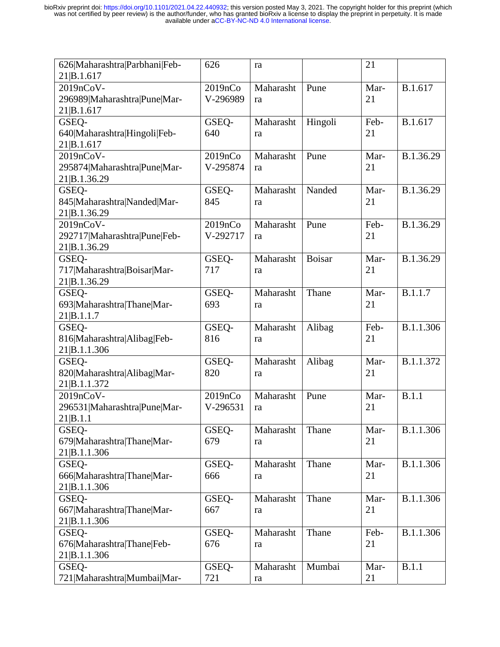| 626 Maharashtra Parbhani Feb- | 626          | ra        |               | 21   |           |
|-------------------------------|--------------|-----------|---------------|------|-----------|
| 21 B.1.617                    |              |           |               |      |           |
| 2019nCoV-                     | 2019nCo      | Maharasht | Pune          | Mar- | B.1.617   |
| 296989 Maharashtra Pune Mar-  | V-296989     | ra        |               | 21   |           |
| 21 B.1.617                    |              |           |               |      |           |
| GSEQ-                         | GSEQ-        | Maharasht | Hingoli       | Feb- | B.1.617   |
| 640 Maharashtra Hingoli Feb-  | 640          | ra        |               | 21   |           |
| 21 B.1.617                    |              |           |               |      |           |
| 2019nCoV-                     | 2019nCo      | Maharasht | Pune          | Mar- | B.1.36.29 |
| 295874 Maharashtra Pune Mar-  | V-295874     | ra        |               | 21   |           |
| 21 B.1.36.29                  |              |           |               |      |           |
| GSEQ-                         | GSEQ-        | Maharasht | Nanded        | Mar- | B.1.36.29 |
| 845 Maharashtra Nanded Mar-   | 845          | ra        |               | 21   |           |
| 21 B.1.36.29                  |              |           |               |      |           |
| 2019nCoV-                     | 2019nCo      | Maharasht | Pune          | Feb- | B.1.36.29 |
| 292717 Maharashtra Pune Feb-  | V-292717     | ra        |               | 21   |           |
| 21 B.1.36.29                  |              |           |               |      |           |
| GSEQ-                         | GSEQ-        | Maharasht | <b>Boisar</b> | Mar- | B.1.36.29 |
| 717 Maharashtra Boisar Mar-   | 717          | ra        |               | 21   |           |
| 21 B.1.36.29                  |              |           |               |      |           |
| GSEQ-                         | GSEQ-        | Maharasht | Thane         | Mar- | B.1.1.7   |
| 693 Maharashtra Thane Mar-    | 693          | ra        |               | 21   |           |
| 21 B.1.1.7                    |              |           |               |      |           |
| GSEQ-                         | GSEQ-        | Maharasht | Alibag        | Feb- | B.1.1.306 |
| 816 Maharashtra Alibag Feb-   | 816          | ra        |               | 21   |           |
| 21 B.1.1.306                  |              |           |               |      |           |
| GSEQ-                         | GSEQ-        | Maharasht | Alibag        | Mar- | B.1.1.372 |
| 820 Maharashtra Alibag Mar-   | 820          | ra        |               | 21   |           |
| 21 B.1.1.372                  |              |           |               |      |           |
| 2019nCoV-                     | 2019nCo      | Maharasht | Pune          | Mar- | B.1.1     |
| 296531 Maharashtra Pune Mar-  | V-296531     | ra        |               | 21   |           |
| 21 B.1.1                      |              |           |               |      |           |
| GSEQ-                         | GSEQ-        | Maharasht | Thane         | Mar- | B.1.1.306 |
| 679 Maharashtra Thane Mar-    | 679          | ra        |               | 21   |           |
| 21 B.1.1.306                  |              |           |               |      |           |
| GSEQ-                         | GSEQ-        | Maharasht | Thane         | Mar- | B.1.1.306 |
| 666 Maharashtra Thane Mar-    | 666          | ra        |               | 21   |           |
| 21 B.1.1.306                  |              |           |               |      |           |
| GSEQ-                         | GSEQ-        | Maharasht | Thane         | Mar- | B.1.1.306 |
| 667 Maharashtra Thane Mar-    | 667          |           |               | 21   |           |
| 21 B.1.1.306                  |              | ra        |               |      |           |
|                               | GSEQ-        | Maharasht | Thane         | Feb- | B.1.1.306 |
| GSEQ-                         |              |           |               |      |           |
| 676 Maharashtra Thane Feb-    | 676          | ra        |               | 21   |           |
| 21 B.1.1.306                  |              | Maharasht | Mumbai        | Mar- | B.1.1     |
| GSEQ-                         |              |           |               |      |           |
| 721 Maharashtra Mumbai Mar-   | GSEQ-<br>721 | ra        |               | 21   |           |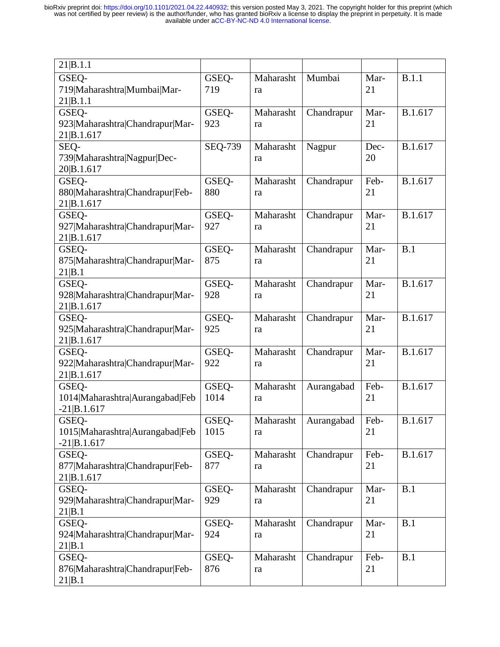| 21 B.1.1                        |                |           |            |      |         |
|---------------------------------|----------------|-----------|------------|------|---------|
| GSEQ-                           | GSEQ-          | Maharasht | Mumbai     | Mar- | B.1.1   |
| 719 Maharashtra Mumbai Mar-     | 719            | ra        |            | 21   |         |
| 21 B.1.1                        |                |           |            |      |         |
| GSEQ-                           | GSEQ-          | Maharasht | Chandrapur | Mar- | B.1.617 |
| 923 Maharashtra Chandrapur Mar- | 923            | ra        |            | 21   |         |
| 21 B.1.617                      |                |           |            |      |         |
| SEQ-                            | <b>SEQ-739</b> | Maharasht | Nagpur     | Dec- | B.1.617 |
| 739 Maharashtra Nagpur Dec-     |                | ra        |            | 20   |         |
| 20 B.1.617                      |                |           |            |      |         |
| GSEQ-                           | GSEQ-          | Maharasht | Chandrapur | Feb- | B.1.617 |
| 880 Maharashtra Chandrapur Feb- | 880            | ra        |            | 21   |         |
| 21 B.1.617                      |                |           |            |      |         |
| GSEQ-                           | GSEQ-          | Maharasht | Chandrapur | Mar- | B.1.617 |
| 927 Maharashtra Chandrapur Mar- | 927            | ra        |            | 21   |         |
| 21 B.1.617                      |                |           |            |      |         |
| GSEQ-                           | GSEQ-          | Maharasht | Chandrapur | Mar- | B.1     |
| 875 Maharashtra Chandrapur Mar- | 875            | ra        |            | 21   |         |
| 21 B.1                          |                |           |            |      |         |
| GSEQ-                           | GSEQ-          | Maharasht | Chandrapur | Mar- | B.1.617 |
| 928 Maharashtra Chandrapur Mar- | 928            | ra        |            | 21   |         |
| 21 B.1.617                      |                |           |            |      |         |
| GSEQ-                           | GSEQ-          | Maharasht | Chandrapur | Mar- | B.1.617 |
| 925 Maharashtra Chandrapur Mar- | 925            | ra        |            | 21   |         |
| 21 B.1.617                      |                |           |            |      |         |
| GSEQ-                           | GSEQ-          | Maharasht | Chandrapur | Mar- | B.1.617 |
| 922 Maharashtra Chandrapur Mar- | 922            | ra        |            | 21   |         |
| 21 B.1.617                      |                |           |            |      |         |
| GSEO-                           | GSEQ-          | Maharasht | Aurangabad | Feb- | B.1.617 |
| 1014 Maharashtra Aurangabad Feb | 1014           | ra        |            | 21   |         |
| $-21 B.1.617$                   |                |           |            |      |         |
| GSEO-                           | GSEQ-          | Maharasht | Aurangabad | Feb- | B.1.617 |
| 1015 Maharashtra Aurangabad Feb | 1015           | ra        |            | 21   |         |
| $-21 B.1.617$                   |                |           |            |      |         |
| GSEQ-                           | GSEQ-          | Maharasht | Chandrapur | Feb- | B.1.617 |
| 877 Maharashtra Chandrapur Feb- | 877            | ra        |            | 21   |         |
| 21 B.1.617                      |                |           |            |      |         |
| GSEQ-                           | GSEQ-          | Maharasht | Chandrapur | Mar- | B.1     |
| 929 Maharashtra Chandrapur Mar- | 929            | ra        |            | 21   |         |
| 21 B.1                          |                |           |            |      |         |
| GSEQ-                           | GSEQ-          | Maharasht | Chandrapur | Mar- | B.1     |
| 924 Maharashtra Chandrapur Mar- | 924            | ra        |            | 21   |         |
| 21 B.1                          |                |           |            |      |         |
| GSEQ-                           | GSEQ-          | Maharasht | Chandrapur | Feb- | B.1     |
| 876 Maharashtra Chandrapur Feb- | 876            | ra        |            | 21   |         |
| 21 B.1                          |                |           |            |      |         |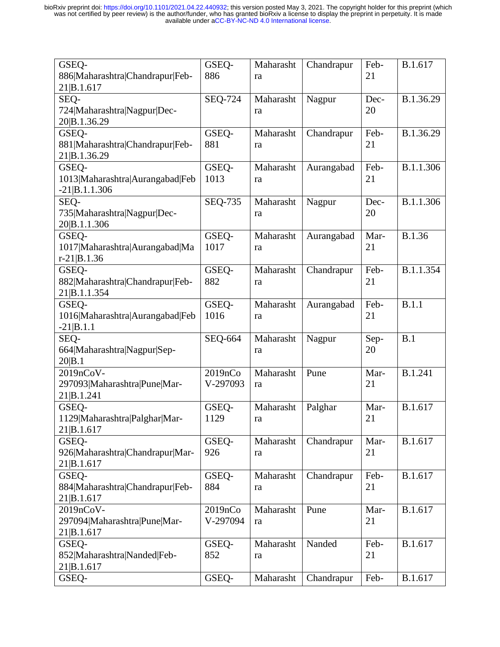| GSEQ-<br>886 Maharashtra Chandrapur Feb-                    | GSEQ-<br>886        | Maharasht<br>ra | Chandrapur | Feb-<br>21 | B.1.617   |
|-------------------------------------------------------------|---------------------|-----------------|------------|------------|-----------|
| 21 B.1.617                                                  |                     |                 |            |            |           |
| SEQ-<br>724 Maharashtra Nagpur Dec-<br>20 B.1.36.29         | <b>SEQ-724</b>      | Maharasht<br>ra | Nagpur     | Dec-<br>20 | B.1.36.29 |
| GSEQ-<br>881 Maharashtra Chandrapur Feb-<br>21 B.1.36.29    | GSEQ-<br>881        | Maharasht<br>ra | Chandrapur | Feb-<br>21 | B.1.36.29 |
| GSEO-<br>1013 Maharashtra Aurangabad Feb<br>$-21 B.1.1.306$ | GSEQ-<br>1013       | Maharasht<br>ra | Aurangabad | Feb-<br>21 | B.1.1.306 |
| SEQ-<br>735 Maharashtra Nagpur Dec-<br>20 B.1.1.306         | SEQ-735             | Maharasht<br>ra | Nagpur     | Dec-<br>20 | B.1.1.306 |
| GSEQ-<br>1017 Maharashtra Aurangabad Ma<br>$r-21 B.1.36$    | GSEQ-<br>1017       | Maharasht<br>ra | Aurangabad | Mar-<br>21 | B.1.36    |
| GSEQ-<br>882 Maharashtra Chandrapur Feb-<br>21 B.1.1.354    | GSEQ-<br>882        | Maharasht<br>ra | Chandrapur | Feb-<br>21 | B.1.1.354 |
| GSEQ-<br>1016 Maharashtra Aurangabad Feb<br>$-21 B.1.1$     | GSEQ-<br>1016       | Maharasht<br>ra | Aurangabad | Feb-<br>21 | B.1.1     |
| SEQ-<br>664 Maharashtra Nagpur Sep-<br>20 B.1               | <b>SEQ-664</b>      | Maharasht<br>ra | Nagpur     | Sep-<br>20 | B.1       |
| 2019nCoV-<br>297093 Maharashtra Pune Mar-<br>21 B.1.241     | 2019nCo<br>V-297093 | Maharasht<br>ra | Pune       | Mar-<br>21 | B.1.241   |
| GSEQ-<br>1129 Maharashtra Palghar Mar-<br>21 B.1.617        | GSEQ-<br>1129       | Maharasht<br>ra | Palghar    | Mar-<br>21 | B.1.617   |
| GSEO-<br>926 Maharashtra Chandrapur Mar-<br>21 B.1.617      | GSEQ-<br>926        | Maharasht<br>ra | Chandrapur | Mar-<br>21 | B.1.617   |
| GSEQ-<br>884 Maharashtra Chandrapur Feb-<br>21 B.1.617      | GSEQ-<br>884        | Maharasht<br>ra | Chandrapur | Feb-<br>21 | B.1.617   |
| 2019nCoV-<br>297094 Maharashtra Pune Mar-<br>21 B.1.617     | 2019nCo<br>V-297094 | Maharasht<br>ra | Pune       | Mar-<br>21 | B.1.617   |
| GSEQ-<br>852 Maharashtra Nanded Feb-<br>21 B.1.617          | GSEQ-<br>852        | Maharasht<br>ra | Nanded     | Feb-<br>21 | B.1.617   |
| GSEQ-                                                       | GSEQ-               | Maharasht       | Chandrapur | Feb-       | B.1.617   |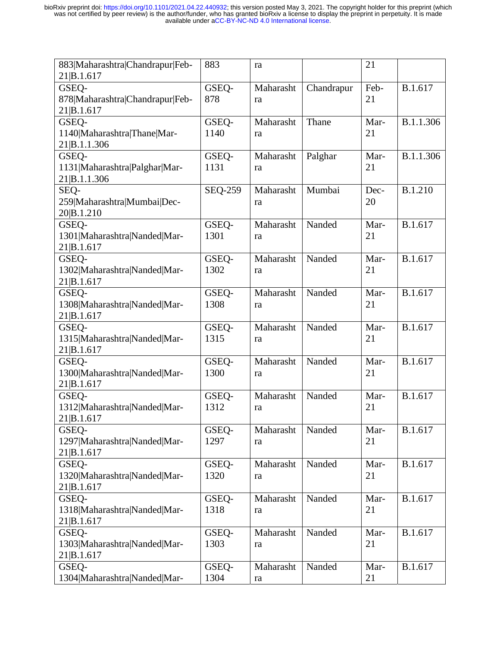| 883 Maharashtra Chandrapur Feb- | 883            | ra         |            | 21   |                |
|---------------------------------|----------------|------------|------------|------|----------------|
| 21 B.1.617                      |                |            |            |      |                |
| GSEQ-                           | GSEQ-          | Maharasht  | Chandrapur | Feb- | B.1.617        |
| 878 Maharashtra Chandrapur Feb- | 878            | ra         |            | 21   |                |
| 21 B.1.617                      |                |            |            |      |                |
| GSEQ-                           | GSEQ-          | Maharasht  | Thane      | Mar- | B.1.1.306      |
| 1140 Maharashtra Thane Mar-     | 1140           | ra         |            | 21   |                |
| 21 B.1.1.306                    |                |            |            |      |                |
| GSEQ-                           | GSEQ-          | Maharasht  | Palghar    | Mar- | B.1.1.306      |
| 1131 Maharashtra Palghar Mar-   | 1131           | ra         |            | 21   |                |
| 21 B.1.1.306                    |                |            |            |      |                |
| SEQ-                            | <b>SEQ-259</b> | Maharasht  | Mumbai     | Dec- | <b>B.1.210</b> |
| 259 Maharashtra Mumbai Dec-     |                | ra         |            | 20   |                |
| 20 B.1.210                      |                |            |            |      |                |
| GSEQ-                           | GSEO-          | Maharasht  | Nanded     | Mar- | B.1.617        |
| 1301 Maharashtra Nanded Mar-    | 1301           | ra         |            | 21   |                |
| 21 B.1.617                      |                |            |            |      |                |
| GSEQ-                           | GSEQ-          | Maharasht  | Nanded     | Mar- | B.1.617        |
| 1302 Maharashtra Nanded Mar-    | 1302           | ra         |            | 21   |                |
| 21 B.1.617                      |                |            |            |      |                |
| GSEQ-                           | GSEQ-          | Maharasht  | Nanded     | Mar- | B.1.617        |
| 1308 Maharashtra Nanded Mar-    | 1308           | ra         |            | 21   |                |
| 21 B.1.617                      |                |            |            |      |                |
| GSEQ-                           | GSEQ-          | Maharasht  | Nanded     | Mar- | B.1.617        |
| 1315 Maharashtra Nanded Mar-    | 1315           | ra         |            | 21   |                |
| 21 B.1.617                      |                |            |            |      |                |
| GSEQ-                           | GSEQ-          | Maharasht  | Nanded     | Mar- | B.1.617        |
| 1300 Maharashtra Nanded Mar-    | 1300           |            |            | 21   |                |
| 21 B.1.617                      |                | ra         |            |      |                |
|                                 | GSEQ-          | Maharasht  | Nanded     | Mar- | B.1.617        |
| GSEQ-                           | 1312           |            |            | 21   |                |
| 1312 Maharashtra Nanded Mar-    |                | ra         |            |      |                |
| 21 B.1.617                      |                |            |            |      |                |
| GSEQ-                           | GSEQ-          | Maharasht  | Nanded     | Mar- | B.1.617        |
| 1297 Maharashtra Nanded Mar-    | 1297           | ra         |            | 21   |                |
| 21 B.1.617                      |                |            |            |      |                |
| GSEQ-                           | GSEQ-          | Maharasht  | Nanded     | Mar- | B.1.617        |
| 1320 Maharashtra Nanded Mar-    | 1320           | ra         |            | 21   |                |
| 21 B.1.617                      |                |            |            |      |                |
| GSEQ-                           | GSEQ-          | Maharasht  | Nanded     | Mar- | B.1.617        |
| 1318 Maharashtra Nanded Mar-    | 1318           | ra         |            | 21   |                |
| 21 B.1.617                      |                |            |            |      |                |
| GSEQ-                           | GSEQ-          | Maharasht  | Nanded     | Mar- | B.1.617        |
| 1303 Maharashtra Nanded Mar-    | 1303           | ra         |            | 21   |                |
| 21 B.1.617                      |                |            |            |      |                |
| GSEQ-                           | GSEQ-          | Maharasht  | Nanded     | Mar- | B.1.617        |
| 1304 Maharashtra Nanded Mar-    | 1304           | ${\rm ra}$ |            | 21   |                |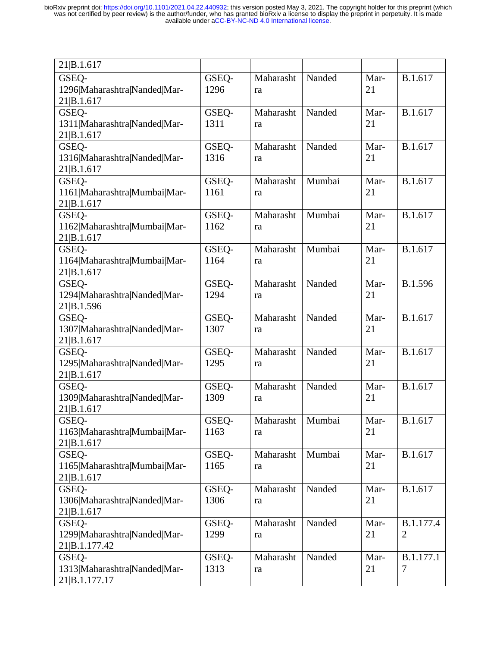| 21 B.1.617                                    |       |           |        |      |                |
|-----------------------------------------------|-------|-----------|--------|------|----------------|
| GSEQ-                                         | GSEQ- | Maharasht | Nanded | Mar- | B.1.617        |
| 1296 Maharashtra Nanded Mar-                  | 1296  | ra        |        | 21   |                |
| 21 B.1.617                                    |       |           |        |      |                |
| GSEQ-                                         | GSEQ- | Maharasht | Nanded | Mar- | B.1.617        |
| 1311 Maharashtra Nanded Mar-                  | 1311  | ra        |        | 21   |                |
| 21 B.1.617                                    |       |           |        |      |                |
| GSEQ-                                         | GSEQ- | Maharasht | Nanded | Mar- | B.1.617        |
| 1316 Maharashtra Nanded Mar-                  | 1316  | ra        |        | 21   |                |
| 21 B.1.617                                    |       |           |        |      |                |
| GSEQ-                                         | GSEQ- | Maharasht | Mumbai | Mar- | B.1.617        |
| 1161 Maharashtra Mumbai Mar-                  | 1161  | ra        |        | 21   |                |
| 21 B.1.617<br>GSEQ-                           | GSEQ- | Maharasht | Mumbai | Mar- | B.1.617        |
| 1162 Maharashtra Mumbai Mar-                  | 1162  | ra        |        | 21   |                |
| 21 B.1.617                                    |       |           |        |      |                |
| GSEQ-                                         | GSEQ- | Maharasht | Mumbai | Mar- | B.1.617        |
| 1164 Maharashtra Mumbai Mar-                  | 1164  | ra        |        | 21   |                |
| 21 B.1.617                                    |       |           |        |      |                |
| GSEQ-                                         | GSEQ- | Maharasht | Nanded | Mar- | B.1.596        |
| 1294 Maharashtra Nanded Mar-                  | 1294  | ra        |        | 21   |                |
| 21 B.1.596                                    |       |           |        |      |                |
| GSEQ-                                         | GSEQ- | Maharasht | Nanded | Mar- | B.1.617        |
| 1307 Maharashtra Nanded Mar-                  | 1307  | ra        |        | 21   |                |
| 21 B.1.617                                    |       |           |        |      |                |
| GSEQ-                                         | GSEQ- | Maharasht | Nanded | Mar- | B.1.617        |
| 1295 Maharashtra Nanded Mar-                  | 1295  | ra        |        | 21   |                |
| 21 B.1.617<br>GSEQ-                           | GSEQ- | Maharasht | Nanded | Mar- | B.1.617        |
| 1309 Maharashtra Nanded Mar-                  | 1309  | ra        |        | 21   |                |
| 21 B.1.617                                    |       |           |        |      |                |
| GSEO-                                         | GSEQ- | Maharasht | Mumbai | Mar- | B.1.617        |
| 1163 Maharashtra Mumbai Mar-                  | 1163  | ra        |        | 21   |                |
| 21 B.1.617                                    |       |           |        |      |                |
| GSEQ-                                         | GSEQ- | Maharasht | Mumbai | Mar- | B.1.617        |
| 1165 Maharashtra Mumbai Mar-                  | 1165  | ra        |        | 21   |                |
| 21 B.1.617                                    |       |           |        |      |                |
| GSEQ-                                         | GSEO- | Maharasht | Nanded | Mar- | B.1.617        |
| 1306 Maharashtra Nanded Mar-                  | 1306  | ra        |        | 21   |                |
| 21 B.1.617                                    |       |           |        |      |                |
| GSEQ-                                         | GSEO- | Maharasht | Nanded | Mar- | B.1.177.4      |
| 1299 Maharashtra Nanded Mar-<br>21 B.1.177.42 | 1299  | ra        |        | 21   | $\overline{2}$ |
| GSEQ-                                         | GSEQ- | Maharasht | Nanded | Mar- | B.1.177.1      |
| 1313 Maharashtra Nanded Mar-                  | 1313  | ra        |        | 21   | 7              |
| 21 B.1.177.17                                 |       |           |        |      |                |
|                                               |       |           |        |      |                |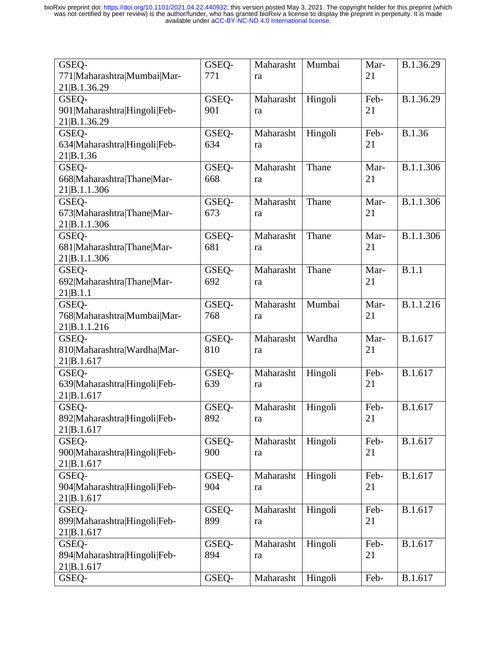| GSEQ-                        | GSEQ- | Maharasht | Mumbai  | Mar- | B.1.36.29 |
|------------------------------|-------|-----------|---------|------|-----------|
| 771 Maharashtra Mumbai Mar-  | 771   | ra        |         | 21   |           |
| 21 B.1.36.29                 |       |           |         |      |           |
| GSEQ-                        | GSEQ- | Maharasht | Hingoli | Feb- | B.1.36.29 |
| 901 Maharashtra Hingoli Feb- | 901   | ra        |         | 21   |           |
| 21 B.1.36.29                 |       |           |         |      |           |
| GSEQ-                        | GSEQ- | Maharasht | Hingoli | Feb- | B.1.36    |
| 634 Maharashtra Hingoli Feb- | 634   | ra        |         | 21   |           |
| 21 B.1.36                    |       |           |         |      |           |
| GSEQ-                        | GSEQ- | Maharasht | Thane   | Mar- | B.1.1.306 |
| 668 Maharashtra Thane Mar-   | 668   | ra        |         | 21   |           |
| 21 B.1.1.306                 |       |           |         |      |           |
| GSEQ-                        | GSEQ- | Maharasht | Thane   | Mar- | B.1.1.306 |
| 673 Maharashtra Thane Mar-   | 673   | ra        |         | 21   |           |
| 21 B.1.1.306                 |       |           |         |      |           |
| GSEQ-                        | GSEQ- | Maharasht | Thane   | Mar- | B.1.1.306 |
| 681 Maharashtra Thane Mar-   | 681   | ra        |         | 21   |           |
| 21 B.1.1.306                 |       |           |         |      |           |
| GSEQ-                        | GSEQ- | Maharasht | Thane   | Mar- | B.1.1     |
| 692 Maharashtra Thane Mar-   | 692   | ra        |         | 21   |           |
| 21 B.1.1                     |       |           |         |      |           |
| GSEQ-                        | GSEQ- | Maharasht | Mumbai  | Mar- | B.1.1.216 |
| 768 Maharashtra Mumbai Mar-  | 768   | ra        |         | 21   |           |
| 21 B.1.1.216                 |       |           |         |      |           |
| GSEQ-                        | GSEQ- | Maharasht | Wardha  | Mar- | B.1.617   |
| 810 Maharashtra Wardha Mar-  | 810   | ra        |         | 21   |           |
| 21 B.1.617                   |       |           |         |      |           |
| GSEQ-                        | GSEQ- | Maharasht | Hingoli | Feb- | B.1.617   |
| 639 Maharashtra Hingoli Feb- | 639   | ra        |         | 21   |           |
| 21 B.1.617                   |       |           |         |      |           |
| GSEQ-                        | GSEQ- | Maharasht | Hingoli | Feb- | B.1.617   |
| 892 Maharashtra Hingoli Feb- | 892   | ra        |         | 21   |           |
| 21 B.1.617                   |       |           |         |      |           |
| GSEQ-                        | GSEQ- | Maharasht | Hingoli | Feb- | B.1.617   |
| 900 Maharashtra Hingoli Feb- | 900   | ra        |         | 21   |           |
| 21 B.1.617                   |       |           |         |      |           |
| GSEQ-                        | GSEQ- | Maharasht | Hingoli | Feb- | B.1.617   |
| 904 Maharashtra Hingoli Feb- | 904   | ra        |         | 21   |           |
| 21 B.1.617                   |       |           |         |      |           |
| GSEQ-                        | GSEQ- | Maharasht | Hingoli | Feb- | B.1.617   |
| 899 Maharashtra Hingoli Feb- | 899   | ra        |         | 21   |           |
| 21 B.1.617                   |       |           |         |      |           |
| GSEQ-                        | GSEQ- | Maharasht | Hingoli | Feb- | B.1.617   |
| 894 Maharashtra Hingoli Feb- | 894   | ra        |         | 21   |           |
| 21 B.1.617                   |       |           |         |      |           |
| GSEQ-                        | GSEQ- | Maharasht | Hingoli | Feb- | B.1.617   |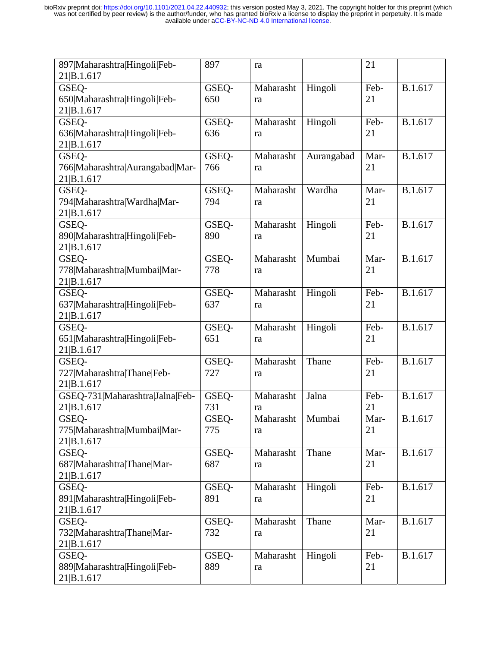| 897 Maharashtra Hingoli Feb-<br>21 B.1.617 | 897   | ra        |            | 21   |         |
|--------------------------------------------|-------|-----------|------------|------|---------|
| GSEQ-                                      | GSEQ- | Maharasht | Hingoli    | Feb- | B.1.617 |
| 650 Maharashtra Hingoli Feb-               | 650   | ra        |            | 21   |         |
| 21 B.1.617                                 |       |           |            |      |         |
| GSEQ-                                      | GSEQ- | Maharasht | Hingoli    | Feb- | B.1.617 |
| 636 Maharashtra Hingoli Feb-               | 636   | ra        |            | 21   |         |
| 21 B.1.617                                 |       |           |            |      |         |
| GSEQ-                                      | GSEQ- | Maharasht | Aurangabad | Mar- | B.1.617 |
| 766 Maharashtra Aurangabad Mar-            | 766   | ra        |            | 21   |         |
| 21 B.1.617                                 |       |           |            |      |         |
| GSEQ-                                      | GSEQ- | Maharasht | Wardha     | Mar- | B.1.617 |
| 794 Maharashtra Wardha Mar-                | 794   | ra        |            | 21   |         |
| 21 B.1.617                                 |       |           |            |      |         |
| GSEQ-                                      | GSEQ- | Maharasht | Hingoli    | Feb- | B.1.617 |
| 890 Maharashtra Hingoli Feb-               | 890   | ra        |            | 21   |         |
| 21 B.1.617                                 |       |           |            |      |         |
| GSEQ-                                      | GSEQ- | Maharasht | Mumbai     | Mar- | B.1.617 |
| 778 Maharashtra Mumbai Mar-                | 778   | ra        |            | 21   |         |
| 21 B.1.617                                 |       |           |            |      |         |
| GSEQ-                                      | GSEQ- | Maharasht | Hingoli    | Feb- | B.1.617 |
| 637 Maharashtra Hingoli Feb-               | 637   | ra        |            | 21   |         |
| 21 B.1.617                                 |       |           |            |      |         |
| GSEQ-                                      | GSEQ- | Maharasht | Hingoli    | Feb- | B.1.617 |
| 651 Maharashtra Hingoli Feb-               | 651   | ra        |            | 21   |         |
| 21 B.1.617                                 |       |           |            |      |         |
|                                            | GSEQ- | Maharasht | Thane      | Feb- | B.1.617 |
| GSEQ-                                      |       |           |            |      |         |
| 727 Maharashtra Thane Feb-                 | 727   | ra        |            | 21   |         |
| 21 B.1.617                                 |       |           |            |      |         |
| GSEQ-731 Maharashtra Jalna Feb-            | GSEQ- | Maharasht | Jalna      | Feb- | B.1.617 |
| 21 B.1.617                                 | 731   | ra        |            | 21   |         |
| GSEO-                                      | GSEQ- | Maharasht | Mumbai     | Mar- | B.1.617 |
| 775 Maharashtra Mumbai Mar-                | 775   | ra        |            | 21   |         |
| 21 B.1.617                                 |       |           |            |      |         |
| GSEQ-                                      | GSEQ- | Maharasht | Thane      | Mar- | B.1.617 |
| 687 Maharashtra Thane Mar-                 | 687   | ra        |            | 21   |         |
| 21 B.1.617                                 |       |           |            |      |         |
| GSEQ-                                      | GSEQ- | Maharasht | Hingoli    | Feb- | B.1.617 |
| 891 Maharashtra Hingoli Feb-               | 891   | ra        |            | 21   |         |
| 21 B.1.617                                 |       |           |            |      |         |
| GSEQ-                                      | GSEQ- | Maharasht | Thane      | Mar- | B.1.617 |
| 732 Maharashtra Thane Mar-                 | 732   | ra        |            | 21   |         |
| 21 B.1.617                                 |       |           |            |      |         |
| GSEQ-                                      | GSEQ- | Maharasht | Hingoli    | Feb- | B.1.617 |
| 889 Maharashtra Hingoli Feb-<br>21 B.1.617 | 889   | ra        |            | 21   |         |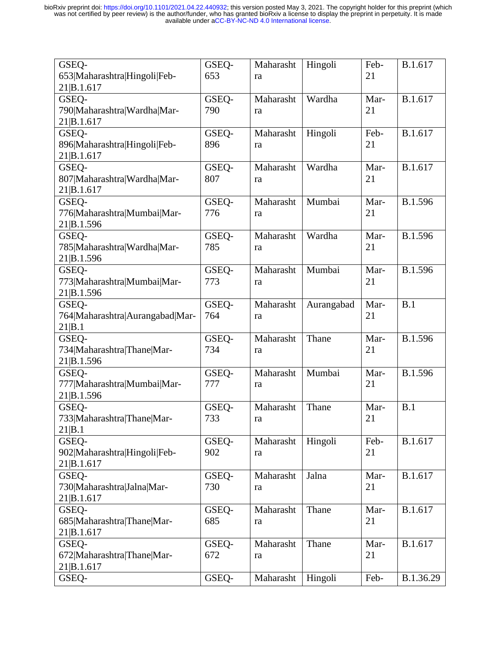| GSEQ-                           | GSEQ- | Maharasht | Hingoli    | Feb- | B.1.617   |
|---------------------------------|-------|-----------|------------|------|-----------|
| 653 Maharashtra Hingoli Feb-    | 653   | ra        |            | 21   |           |
| 21 B.1.617                      |       |           |            |      |           |
| GSEQ-                           | GSEQ- | Maharasht | Wardha     | Mar- | B.1.617   |
| 790 Maharashtra Wardha Mar-     | 790   | ra        |            | 21   |           |
| 21 B.1.617                      |       |           |            |      |           |
| GSEQ-                           | GSEQ- | Maharasht | Hingoli    | Feb- | B.1.617   |
| 896 Maharashtra Hingoli Feb-    | 896   | ra        |            | 21   |           |
| 21 B.1.617                      |       |           |            |      |           |
| GSEQ-                           | GSEQ- | Maharasht | Wardha     | Mar- | B.1.617   |
| 807 Maharashtra Wardha Mar-     | 807   | ra        |            | 21   |           |
| 21 B.1.617                      |       |           |            |      |           |
| GSEQ-                           | GSEQ- | Maharasht | Mumbai     | Mar- | B.1.596   |
| 776 Maharashtra Mumbai Mar-     | 776   | ra        |            | 21   |           |
| 21 B.1.596                      |       |           |            |      |           |
| GSEQ-                           | GSEQ- | Maharasht | Wardha     | Mar- | B.1.596   |
| 785 Maharashtra Wardha Mar-     | 785   | ra        |            | 21   |           |
| 21 B.1.596                      |       |           |            |      |           |
| GSEQ-                           | GSEQ- | Maharasht | Mumbai     | Mar- | B.1.596   |
| 773 Maharashtra Mumbai Mar-     | 773   | ra        |            | 21   |           |
| 21 B.1.596                      |       |           |            |      |           |
| GSEQ-                           | GSEQ- | Maharasht | Aurangabad | Mar- | B.1       |
| 764 Maharashtra Aurangabad Mar- | 764   | ra        |            | 21   |           |
| 21 B.1                          |       |           |            |      |           |
| GSEQ-                           | GSEQ- | Maharasht | Thane      | Mar- | B.1.596   |
| 734 Maharashtra Thane Mar-      | 734   | ra        |            | 21   |           |
| 21 B.1.596                      |       |           |            |      |           |
| GSEQ-                           | GSEQ- | Maharasht | Mumbai     | Mar- | B.1.596   |
| 777 Maharashtra Mumbai Mar-     | 777   | ra        |            | 21   |           |
| 21 B.1.596                      |       |           |            |      |           |
| GSEQ-                           | GSEQ- | Maharasht | Thane      | Mar- | B.1       |
| 733 Maharashtra Thane Mar-      | 733   | ra        |            | 21   |           |
| 21 B.1                          |       |           |            |      |           |
| GSEQ-                           | GSEQ- | Maharasht | Hingoli    | Feb- | B.1.617   |
| 902 Maharashtra Hingoli Feb-    | 902   | ra        |            | 21   |           |
| 21 B.1.617                      |       |           |            |      |           |
| GSEQ-                           | GSEQ- | Maharasht | Jalna      | Mar- | B.1.617   |
| 730 Maharashtra Jalna Mar-      | 730   | ra        |            | 21   |           |
| 21 B.1.617                      |       |           |            |      |           |
| GSEQ-                           | GSEQ- | Maharasht | Thane      | Mar- | B.1.617   |
| 685 Maharashtra Thane Mar-      | 685   | ra        |            | 21   |           |
| 21 B.1.617                      |       |           |            |      |           |
| GSEQ-                           | GSEQ- | Maharasht | Thane      | Mar- | B.1.617   |
| 672 Maharashtra Thane Mar-      | 672   | ra        |            | 21   |           |
| 21 B.1.617                      |       |           |            |      |           |
| GSEQ-                           | GSEQ- | Maharasht | Hingoli    | Feb- | B.1.36.29 |
|                                 |       |           |            |      |           |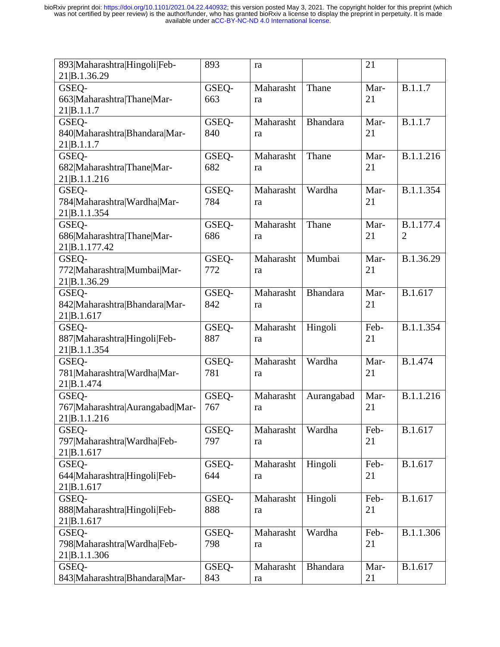| 893 Maharashtra Hingoli Feb-    | 893   | ra        |                 | 21   |                |
|---------------------------------|-------|-----------|-----------------|------|----------------|
| 21 B.1.36.29                    |       |           |                 |      |                |
| GSEQ-                           | GSEQ- | Maharasht | Thane           | Mar- | B.1.1.7        |
| 663 Maharashtra Thane Mar-      | 663   | ra        |                 | 21   |                |
| 21 B.1.1.7                      |       |           |                 |      |                |
| GSEQ-                           | GSEQ- | Maharasht | <b>Bhandara</b> | Mar- | B.1.1.7        |
| 840 Maharashtra Bhandara Mar-   | 840   | ra        |                 | 21   |                |
| 21 B.1.1.7                      |       |           |                 |      |                |
| GSEQ-                           | GSEQ- | Maharasht | Thane           | Mar- | B.1.1.216      |
| 682 Maharashtra Thane Mar-      | 682   | ra        |                 | 21   |                |
| 21 B.1.1.216                    |       |           |                 |      |                |
| GSEQ-                           | GSEQ- | Maharasht | Wardha          | Mar- | B.1.1.354      |
| 784 Maharashtra Wardha Mar-     | 784   | ra        |                 | 21   |                |
| 21 B.1.1.354                    |       |           |                 |      |                |
| GSEQ-                           | GSEO- | Maharasht | Thane           | Mar- | B.1.177.4      |
| 686 Maharashtra Thane Mar-      | 686   | ra        |                 | 21   | $\overline{2}$ |
| 21 B.1.177.42                   |       |           |                 |      |                |
| GSEQ-                           | GSEQ- | Maharasht | Mumbai          | Mar- | B.1.36.29      |
| 772 Maharashtra Mumbai Mar-     | 772   | ra        |                 | 21   |                |
| 21 B.1.36.29                    |       |           |                 |      |                |
| GSEQ-                           | GSEQ- | Maharasht | <b>Bhandara</b> | Mar- | B.1.617        |
| 842 Maharashtra Bhandara Mar-   | 842   | ra        |                 | 21   |                |
| 21 B.1.617                      |       |           |                 |      |                |
| GSEQ-                           | GSEQ- | Maharasht | Hingoli         | Feb- | B.1.1.354      |
| 887 Maharashtra Hingoli Feb-    | 887   | ra        |                 | 21   |                |
| 21 B.1.1.354                    |       |           |                 |      |                |
| GSEQ-                           | GSEQ- | Maharasht | Wardha          | Mar- | B.1.474        |
| 781 Maharashtra Wardha Mar-     | 781   | ra        |                 | 21   |                |
| 21 B.1.474                      |       |           |                 |      |                |
| GSEQ-                           | GSEQ- | Maharasht | Aurangabad      | Mar- | B.1.1.216      |
| 767 Maharashtra Aurangabad Mar- | 767   | ra        |                 | 21   |                |
| 21 B.1.1.216                    |       |           |                 |      |                |
| GSEQ-                           | GSEQ- | Maharasht | Wardha          | Feb- | B.1.617        |
| 797 Maharashtra Wardha Feb-     | 797   | ra        |                 | 21   |                |
| 21 B.1.617                      |       |           |                 |      |                |
| GSEQ-                           | GSEQ- | Maharasht | Hingoli         | Feb- | B.1.617        |
| 644 Maharashtra Hingoli Feb-    | 644   | ra        |                 | 21   |                |
| 21 B.1.617                      |       |           |                 |      |                |
| GSEQ-                           | GSEQ- | Maharasht | Hingoli         | Feb- | B.1.617        |
| 888 Maharashtra Hingoli Feb-    | 888   | ra        |                 | 21   |                |
| 21 B.1.617                      |       |           |                 |      |                |
| GSEQ-                           | GSEQ- | Maharasht | Wardha          | Feb- | B.1.1.306      |
| 798 Maharashtra Wardha Feb-     | 798   | ra        |                 | 21   |                |
| 21 B.1.1.306                    |       |           |                 |      |                |
| GSEQ-                           | GSEQ- | Maharasht | <b>Bhandara</b> | Mar- | B.1.617        |
| 843 Maharashtra Bhandara Mar-   | 843   | ra        |                 | 21   |                |
|                                 |       |           |                 |      |                |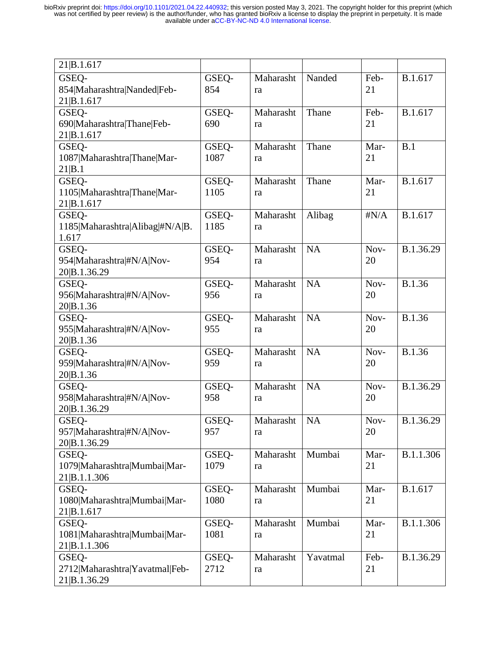| 21 B.1.617                      |       |           |           |              |           |
|---------------------------------|-------|-----------|-----------|--------------|-----------|
| GSEQ-                           | GSEQ- | Maharasht | Nanded    | Feb-         | B.1.617   |
| 854 Maharashtra Nanded Feb-     | 854   | ra        |           | 21           |           |
| 21 B.1.617                      |       |           |           |              |           |
| GSEQ-                           | GSEQ- | Maharasht | Thane     | Feb-         | B.1.617   |
| 690 Maharashtra Thane Feb-      | 690   |           |           | 21           |           |
|                                 |       | ra        |           |              |           |
| 21 B.1.617                      |       |           |           | Mar-         |           |
| GSEQ-                           | GSEQ- | Maharasht | Thane     |              | B.1       |
| 1087 Maharashtra Thane Mar-     | 1087  | ra        |           | 21           |           |
| 21 B.1                          |       |           |           |              |           |
| GSEQ-                           | GSEQ- | Maharasht | Thane     | Mar-         | B.1.617   |
| 1105 Maharashtra Thane Mar-     | 1105  | ra        |           | 21           |           |
| 21 B.1.617                      |       |           |           |              |           |
| GSEQ-                           | GSEQ- | Maharasht | Alibag    | $\sharp N/A$ | B.1.617   |
| 1185 Maharashtra Alibag #N/A B. | 1185  | ra        |           |              |           |
| 1.617                           |       |           |           |              |           |
| GSEQ-                           | GSEQ- | Maharasht | <b>NA</b> | Nov-         | B.1.36.29 |
| 954 Maharashtra #N/A Nov-       | 954   | ra        |           | 20           |           |
| 20 B.1.36.29                    |       |           |           |              |           |
| GSEQ-                           | GSEQ- | Maharasht | <b>NA</b> | Nov-         | B.1.36    |
| 956 Maharashtra #N/A Nov-       | 956   | ra        |           | 20           |           |
| 20 B.1.36                       |       |           |           |              |           |
| GSEQ-                           | GSEQ- | Maharasht | <b>NA</b> | Nov-         | B.1.36    |
| 955 Maharashtra #N/A Nov-       | 955   | ra        |           | 20           |           |
| 20 B.1.36                       |       |           |           |              |           |
| GSEQ-                           | GSEQ- | Maharasht | <b>NA</b> | Nov-         | B.1.36    |
| 959 Maharashtra #N/A Nov-       | 959   | ra        |           | 20           |           |
| 20 B.1.36                       |       |           |           |              |           |
| GSEQ-                           | GSEQ- | Maharasht | <b>NA</b> | Nov-         | B.1.36.29 |
| 958 Maharashtra #N/A Nov-       | 958   | ra        |           | 20           |           |
| 20 B.1.36.29                    |       |           |           |              |           |
| GSEO-                           | GSEQ- | Maharasht | <b>NA</b> | Nov-         | B.1.36.29 |
| 957 Maharashtra #N/A Nov-       | 957   | ra        |           | 20           |           |
| 20 B.1.36.29                    |       |           |           |              |           |
| GSEQ-                           | GSEQ- | Maharasht | Mumbai    | Mar-         | B.1.1.306 |
| 1079 Maharashtra Mumbai Mar-    | 1079  | ra        |           | 21           |           |
| 21 B.1.1.306                    |       |           |           |              |           |
| GSEQ-                           | GSEQ- | Maharasht | Mumbai    | Mar-         | B.1.617   |
| 1080 Maharashtra Mumbai Mar-    | 1080  | ra        |           | 21           |           |
| 21 B.1.617                      |       |           |           |              |           |
| GSEQ-                           | GSEQ- | Maharasht | Mumbai    | Mar-         | B.1.1.306 |
| 1081 Maharashtra Mumbai Mar-    | 1081  | ra        |           | 21           |           |
| 21 B.1.1.306                    |       |           |           |              |           |
| GSEQ-                           | GSEQ- | Maharasht | Yavatmal  | Feb-         | B.1.36.29 |
| 2712 Maharashtra Yavatmal Feb-  | 2712  | ra        |           | 21           |           |
| 21 B.1.36.29                    |       |           |           |              |           |
|                                 |       |           |           |              |           |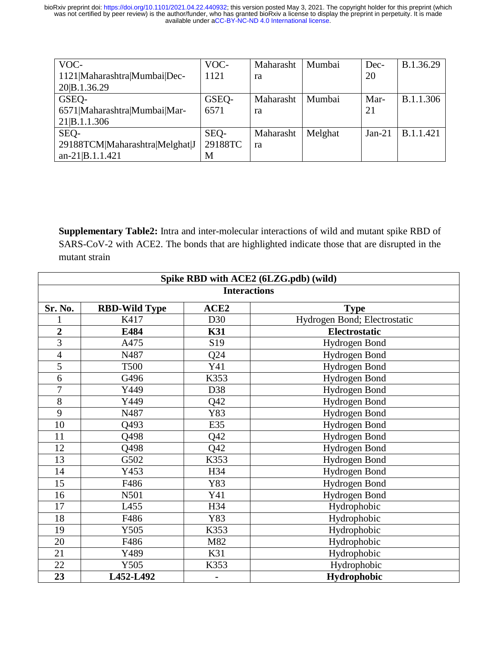| VOC-                           | VOC-    | Maharasht | Mumbai  | Dec-     | B.1.36.29        |
|--------------------------------|---------|-----------|---------|----------|------------------|
| 1121 Maharashtra Mumbai Dec-   | 1121    | ra        |         | 20       |                  |
| 20 B.1.36.29                   |         |           |         |          |                  |
| GSEQ-                          | GSEQ-   | Maharasht | Mumbai  | Mar-     | B.1.1.306        |
| 6571 Maharashtra Mumbai Mar-   | 6571    | ra        |         | 21       |                  |
| 21 B.1.1.306                   |         |           |         |          |                  |
| SEQ-                           | SEQ-    | Maharasht | Melghat | $Jan-21$ | <b>B.1.1.421</b> |
| 29188TCM Maharashtra Melghat J | 29188TC | ra        |         |          |                  |
| $an-21$ [B.1.1.421]            | М       |           |         |          |                  |

**Supplementary Table2:** Intra and inter-molecular interactions of wild and mutant spike RBD of SARS-CoV-2 with ACE2. The bonds that are highlighted indicate those that are disrupted in the mutant strain

| Spike RBD with ACE2 (6LZG.pdb) (wild) |                      |                  |                              |  |
|---------------------------------------|----------------------|------------------|------------------------------|--|
| <b>Interactions</b>                   |                      |                  |                              |  |
| Sr. No.                               | <b>RBD-Wild Type</b> | ACE <sub>2</sub> | <b>Type</b>                  |  |
|                                       | K417                 | D30              | Hydrogen Bond; Electrostatic |  |
| $\overline{2}$                        | E484                 | <b>K31</b>       | Electrostatic                |  |
| $\overline{3}$                        | A475                 | S <sub>19</sub>  | Hydrogen Bond                |  |
| $\overline{4}$                        | N487                 | Q24              | Hydrogen Bond                |  |
| $\overline{5}$                        | <b>T500</b>          | Y41              | Hydrogen Bond                |  |
| 6                                     | G496                 | K353             | Hydrogen Bond                |  |
| $\overline{7}$                        | Y449                 | D38              | Hydrogen Bond                |  |
| $8\,$                                 | Y449                 | Q <sub>42</sub>  | Hydrogen Bond                |  |
| 9                                     | N487                 | Y83              | Hydrogen Bond                |  |
| 10                                    | Q493                 | E35              | Hydrogen Bond                |  |
| 11                                    | Q498                 | Q42              | Hydrogen Bond                |  |
| 12                                    | Q498                 | Q42              | Hydrogen Bond                |  |
| 13                                    | G502                 | K353             | Hydrogen Bond                |  |
| 14                                    | Y453                 | H34              | Hydrogen Bond                |  |
| 15                                    | F486                 | Y83              | Hydrogen Bond                |  |
| 16                                    | N501                 | Y41              | Hydrogen Bond                |  |
| 17                                    | L455                 | H34              | Hydrophobic                  |  |
| 18                                    | F486                 | Y83              | Hydrophobic                  |  |
| 19                                    | Y505                 | K353             | Hydrophobic                  |  |
| 20                                    | F486                 | M82              | Hydrophobic                  |  |
| 21                                    | Y489                 | K31              | Hydrophobic                  |  |
| 22                                    | Y505                 | K353             | Hydrophobic                  |  |
| 23                                    | L452-L492            |                  | Hydrophobic                  |  |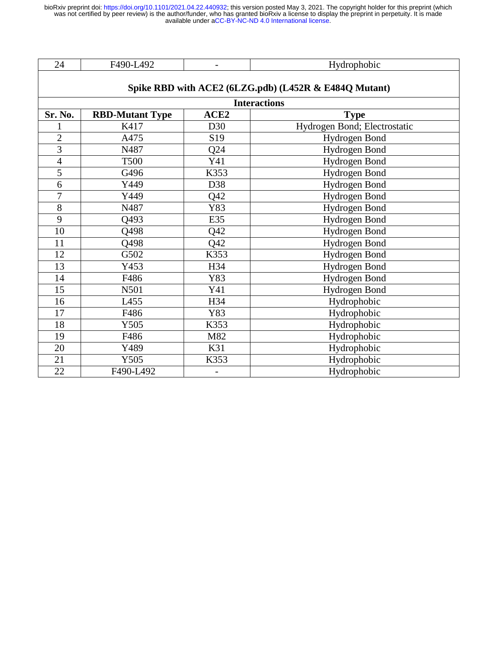| . .<br>.<br>$ -$ | $\overline{\phantom{0}}$ | - -<br>$\sim$ $\sim$<br>----<br>_____ |
|------------------|--------------------------|---------------------------------------|
|                  |                          |                                       |

| <b>Interactions</b> |                        |                  |                              |  |
|---------------------|------------------------|------------------|------------------------------|--|
| Sr. No.             | <b>RBD-Mutant Type</b> | ACE <sub>2</sub> | <b>Type</b>                  |  |
|                     | K417                   | D30              | Hydrogen Bond; Electrostatic |  |
| $\overline{2}$      | A475                   | S <sub>19</sub>  | Hydrogen Bond                |  |
| 3                   | N487                   | Q24              | Hydrogen Bond                |  |
| $\overline{4}$      | <b>T500</b>            | Y41              | Hydrogen Bond                |  |
| $\overline{5}$      | G496                   | K353             | Hydrogen Bond                |  |
| $\boldsymbol{6}$    | Y449                   | D38              | Hydrogen Bond                |  |
| 7                   | Y449                   | Q42              | Hydrogen Bond                |  |
| 8                   | N487                   | Y83              | Hydrogen Bond                |  |
| 9                   | Q493                   | E35              | Hydrogen Bond                |  |
| 10                  | Q498                   | Q42              | Hydrogen Bond                |  |
| 11                  | Q498                   | Q <sub>42</sub>  | Hydrogen Bond                |  |
| 12                  | G502                   | K353             | Hydrogen Bond                |  |
| 13                  | Y453                   | H34              | Hydrogen Bond                |  |
| 14                  | F486                   | Y83              | Hydrogen Bond                |  |
| 15                  | N501                   | Y41              | Hydrogen Bond                |  |
| 16                  | L455                   | H34              | Hydrophobic                  |  |
| 17                  | F486                   | Y83              | Hydrophobic                  |  |
| 18                  | Y505                   | K353             | Hydrophobic                  |  |
| 19                  | F486                   | M82              | Hydrophobic                  |  |
| 20                  | Y489                   | K31              | Hydrophobic                  |  |
| 21                  | Y505                   | K353             | Hydrophobic                  |  |
| 22                  | F490-L492              |                  | Hydrophobic                  |  |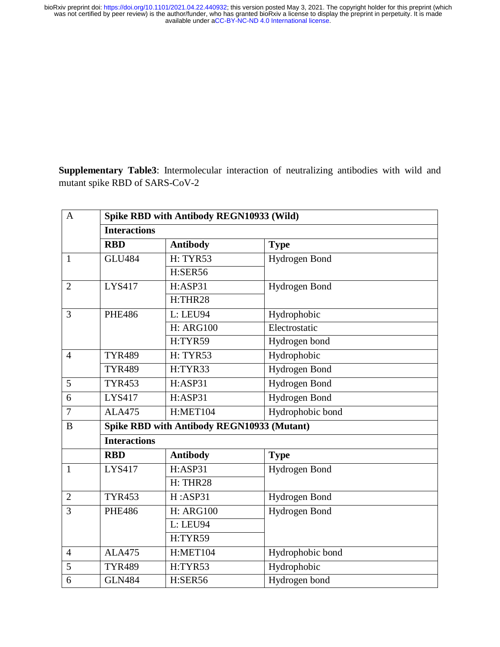**Supplementary Table3**: Intermolecular interaction of neutralizing antibodies with wild and mutant spike RBD of SARS-CoV-2

| $\mathbf{A}$   | Spike RBD with Antibody REGN10933 (Wild)   |                  |                  |  |
|----------------|--------------------------------------------|------------------|------------------|--|
|                | <b>Interactions</b>                        |                  |                  |  |
|                | <b>RBD</b>                                 | <b>Antibody</b>  | <b>Type</b>      |  |
| $\mathbf{1}$   | <b>GLU484</b>                              | <b>H: TYR53</b>  | Hydrogen Bond    |  |
|                |                                            | H:SER56          |                  |  |
| $\overline{2}$ | <b>LYS417</b>                              | H:ASP31          | Hydrogen Bond    |  |
|                |                                            | H:THR28          |                  |  |
| 3              | <b>PHE486</b>                              | L: LEU94         | Hydrophobic      |  |
|                |                                            | <b>H: ARG100</b> | Electrostatic    |  |
|                |                                            | H:TYR59          | Hydrogen bond    |  |
| $\overline{4}$ | <b>TYR489</b>                              | <b>H: TYR53</b>  | Hydrophobic      |  |
|                | <b>TYR489</b>                              | H:TYR33          | Hydrogen Bond    |  |
| 5              | <b>TYR453</b>                              | H:ASP31          | Hydrogen Bond    |  |
| 6              | <b>LYS417</b>                              | H:ASP31          | Hydrogen Bond    |  |
| $\overline{7}$ | <b>ALA475</b>                              | H:MET104         | Hydrophobic bond |  |
| $\bf{B}$       | Spike RBD with Antibody REGN10933 (Mutant) |                  |                  |  |
|                | <b>Interactions</b>                        |                  |                  |  |
|                | <b>RBD</b>                                 | <b>Antibody</b>  | <b>Type</b>      |  |
| $\mathbf{1}$   | <b>LYS417</b>                              | H:ASP31          | Hydrogen Bond    |  |
|                |                                            | H: THR28         |                  |  |
| $\overline{2}$ | <b>TYR453</b>                              | H:ASP31          | Hydrogen Bond    |  |
| 3              | <b>PHE486</b>                              | <b>H: ARG100</b> | Hydrogen Bond    |  |
|                |                                            | L: LEU94         |                  |  |
|                |                                            | H:TYR59          |                  |  |
| $\overline{4}$ | <b>ALA475</b>                              | <b>H:MET104</b>  | Hydrophobic bond |  |
| 5              | <b>TYR489</b>                              | H:TYR53          | Hydrophobic      |  |
| 6              | <b>GLN484</b>                              | H:SER56          | Hydrogen bond    |  |